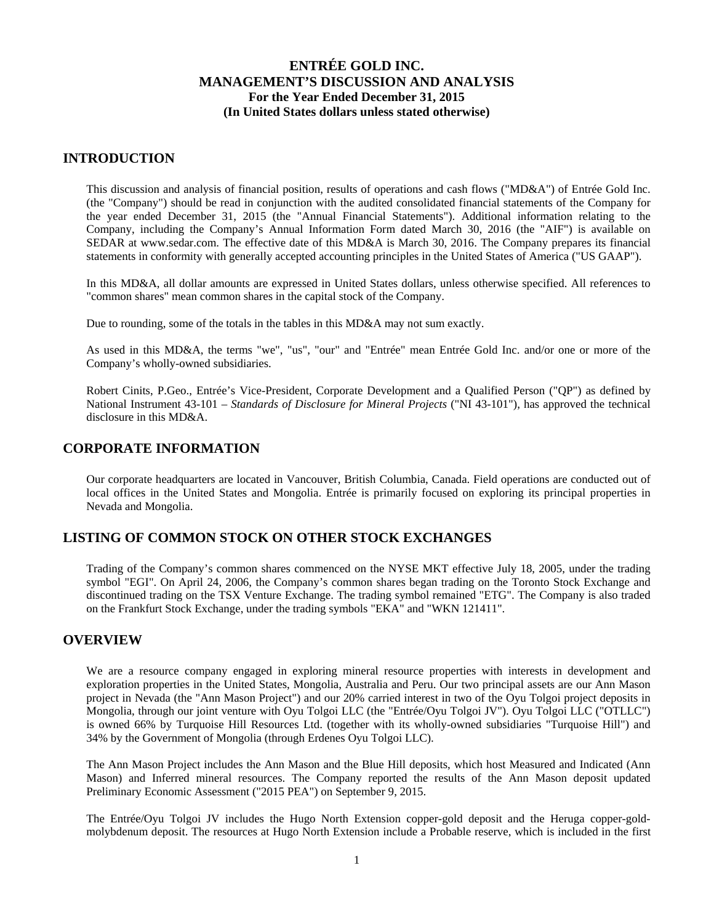### **INTRODUCTION**

This discussion and analysis of financial position, results of operations and cash flows ("MD&A") of Entrée Gold Inc. (the "Company") should be read in conjunction with the audited consolidated financial statements of the Company for the year ended December 31, 2015 (the "Annual Financial Statements"). Additional information relating to the Company, including the Company's Annual Information Form dated March 30, 2016 (the "AIF") is available on SEDAR at www.sedar.com. The effective date of this MD&A is March 30, 2016. The Company prepares its financial statements in conformity with generally accepted accounting principles in the United States of America ("US GAAP").

In this MD&A, all dollar amounts are expressed in United States dollars, unless otherwise specified. All references to "common shares" mean common shares in the capital stock of the Company.

Due to rounding, some of the totals in the tables in this MD&A may not sum exactly.

As used in this MD&A, the terms "we", "us", "our" and "Entrée" mean Entrée Gold Inc. and/or one or more of the Company's wholly-owned subsidiaries.

Robert Cinits, P.Geo., Entrée's Vice-President, Corporate Development and a Qualified Person ("QP") as defined by National Instrument 43-101 – *Standards of Disclosure for Mineral Projects* ("NI 43-101"), has approved the technical disclosure in this MD&A.

### **CORPORATE INFORMATION**

Our corporate headquarters are located in Vancouver, British Columbia, Canada. Field operations are conducted out of local offices in the United States and Mongolia. Entrée is primarily focused on exploring its principal properties in Nevada and Mongolia.

### **LISTING OF COMMON STOCK ON OTHER STOCK EXCHANGES**

Trading of the Company's common shares commenced on the NYSE MKT effective July 18, 2005, under the trading symbol "EGI". On April 24, 2006, the Company's common shares began trading on the Toronto Stock Exchange and discontinued trading on the TSX Venture Exchange. The trading symbol remained "ETG". The Company is also traded on the Frankfurt Stock Exchange, under the trading symbols "EKA" and "WKN 121411".

### **OVERVIEW**

We are a resource company engaged in exploring mineral resource properties with interests in development and exploration properties in the United States, Mongolia, Australia and Peru. Our two principal assets are our Ann Mason project in Nevada (the "Ann Mason Project") and our 20% carried interest in two of the Oyu Tolgoi project deposits in Mongolia, through our joint venture with Oyu Tolgoi LLC (the "Entrée/Oyu Tolgoi JV"). Oyu Tolgoi LLC ("OTLLC") is owned 66% by Turquoise Hill Resources Ltd. (together with its wholly-owned subsidiaries "Turquoise Hill") and 34% by the Government of Mongolia (through Erdenes Oyu Tolgoi LLC).

The Ann Mason Project includes the Ann Mason and the Blue Hill deposits, which host Measured and Indicated (Ann Mason) and Inferred mineral resources. The Company reported the results of the Ann Mason deposit updated Preliminary Economic Assessment ("2015 PEA") on September 9, 2015.

The Entrée/Oyu Tolgoi JV includes the Hugo North Extension copper-gold deposit and the Heruga copper-goldmolybdenum deposit. The resources at Hugo North Extension include a Probable reserve, which is included in the first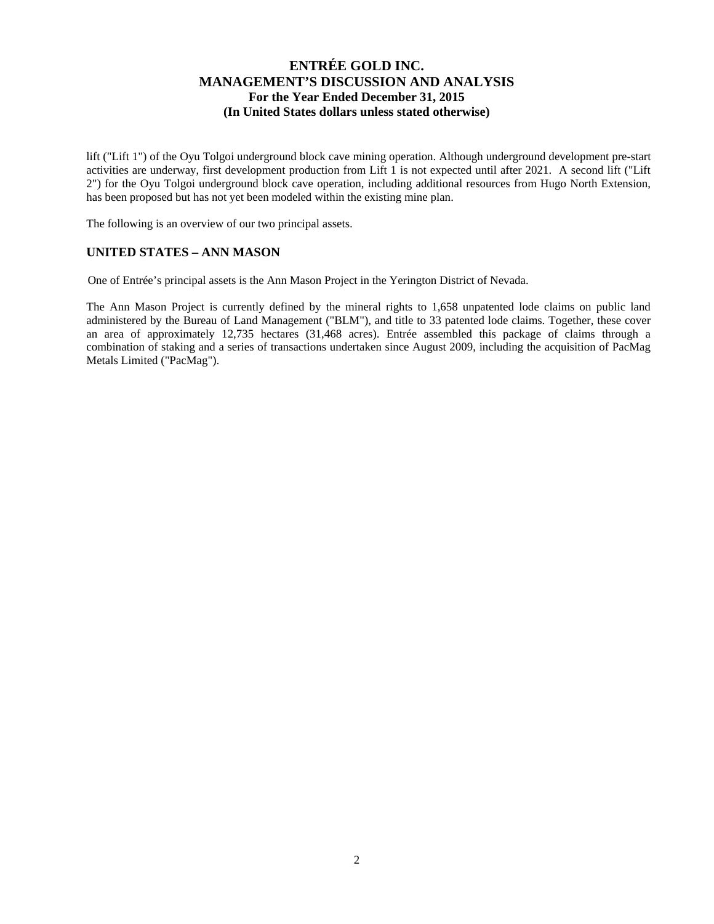lift ("Lift 1") of the Oyu Tolgoi underground block cave mining operation. Although underground development pre-start activities are underway, first development production from Lift 1 is not expected until after 2021. A second lift ("Lift 2") for the Oyu Tolgoi underground block cave operation, including additional resources from Hugo North Extension, has been proposed but has not yet been modeled within the existing mine plan.

The following is an overview of our two principal assets.

### **UNITED STATES – ANN MASON**

One of Entrée's principal assets is the Ann Mason Project in the Yerington District of Nevada.

The Ann Mason Project is currently defined by the mineral rights to 1,658 unpatented lode claims on public land administered by the Bureau of Land Management ("BLM"), and title to 33 patented lode claims. Together, these cover an area of approximately 12,735 hectares (31,468 acres). Entrée assembled this package of claims through a combination of staking and a series of transactions undertaken since August 2009, including the acquisition of PacMag Metals Limited ("PacMag").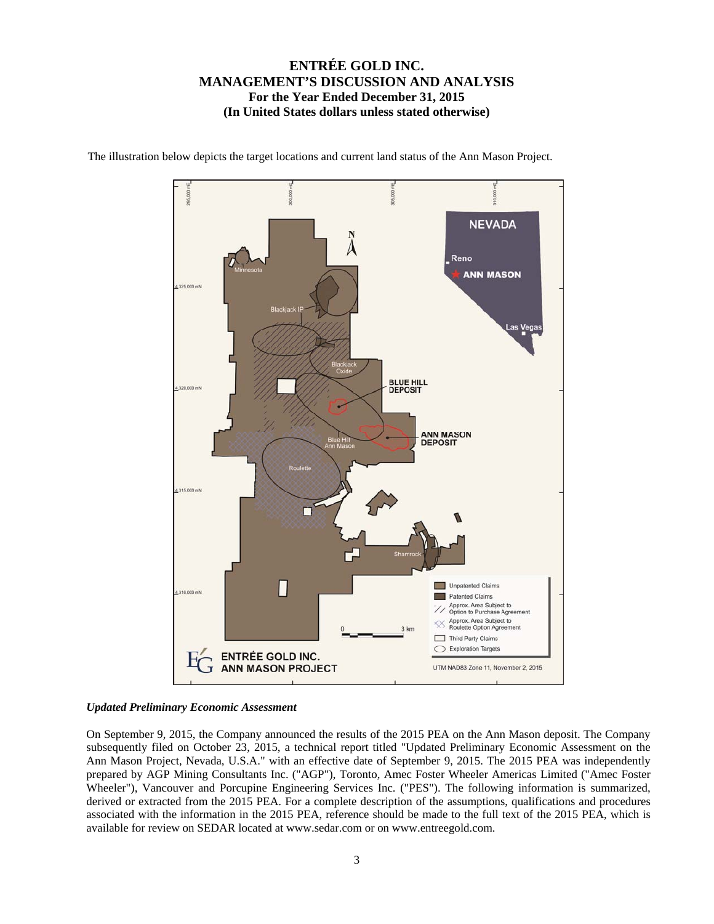

The illustration below depicts the target locations and current land status of the Ann Mason Project.

### *Updated Preliminary Economic Assessment*

On September 9, 2015, the Company announced the results of the 2015 PEA on the Ann Mason deposit. The Company subsequently filed on October 23, 2015, a technical report titled "Updated Preliminary Economic Assessment on the Ann Mason Project, Nevada, U.S.A." with an effective date of September 9, 2015. The 2015 PEA was independently prepared by AGP Mining Consultants Inc. ("AGP"), Toronto, Amec Foster Wheeler Americas Limited ("Amec Foster Wheeler"), Vancouver and Porcupine Engineering Services Inc. ("PES"). The following information is summarized, derived or extracted from the 2015 PEA. For a complete description of the assumptions, qualifications and procedures associated with the information in the 2015 PEA, reference should be made to the full text of the 2015 PEA, which is available for review on SEDAR located at www.sedar.com or on www.entreegold.com.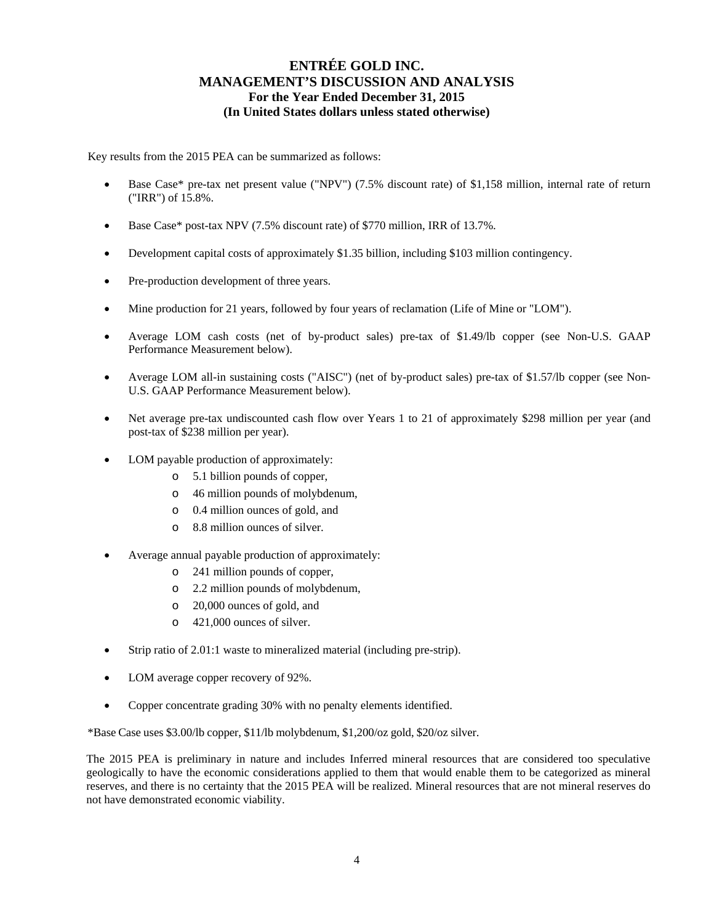Key results from the 2015 PEA can be summarized as follows:

- Base Case\* pre-tax net present value ("NPV") (7.5% discount rate) of \$1,158 million, internal rate of return ("IRR") of 15.8%.
- Base Case\* post-tax NPV (7.5% discount rate) of \$770 million, IRR of 13.7%.
- Development capital costs of approximately \$1.35 billion, including \$103 million contingency.
- Pre-production development of three years.
- Mine production for 21 years, followed by four years of reclamation (Life of Mine or "LOM").
- Average LOM cash costs (net of by-product sales) pre-tax of \$1.49/lb copper (see Non-U.S. GAAP Performance Measurement below).
- Average LOM all-in sustaining costs ("AISC") (net of by-product sales) pre-tax of \$1.57/lb copper (see Non-U.S. GAAP Performance Measurement below).
- Net average pre-tax undiscounted cash flow over Years 1 to 21 of approximately \$298 million per year (and post-tax of \$238 million per year).
- LOM payable production of approximately:
	- o 5.1 billion pounds of copper,
	- o 46 million pounds of molybdenum,
	- o 0.4 million ounces of gold, and
	- o 8.8 million ounces of silver.
- Average annual payable production of approximately:
	- o 241 million pounds of copper,
	- o 2.2 million pounds of molybdenum,
	- o 20,000 ounces of gold, and
	- o 421,000 ounces of silver.
- Strip ratio of 2.01:1 waste to mineralized material (including pre-strip).
- LOM average copper recovery of 92%.
- Copper concentrate grading 30% with no penalty elements identified.

\*Base Case uses \$3.00/lb copper, \$11/lb molybdenum, \$1,200/oz gold, \$20/oz silver.

The 2015 PEA is preliminary in nature and includes Inferred mineral resources that are considered too speculative geologically to have the economic considerations applied to them that would enable them to be categorized as mineral reserves, and there is no certainty that the 2015 PEA will be realized. Mineral resources that are not mineral reserves do not have demonstrated economic viability.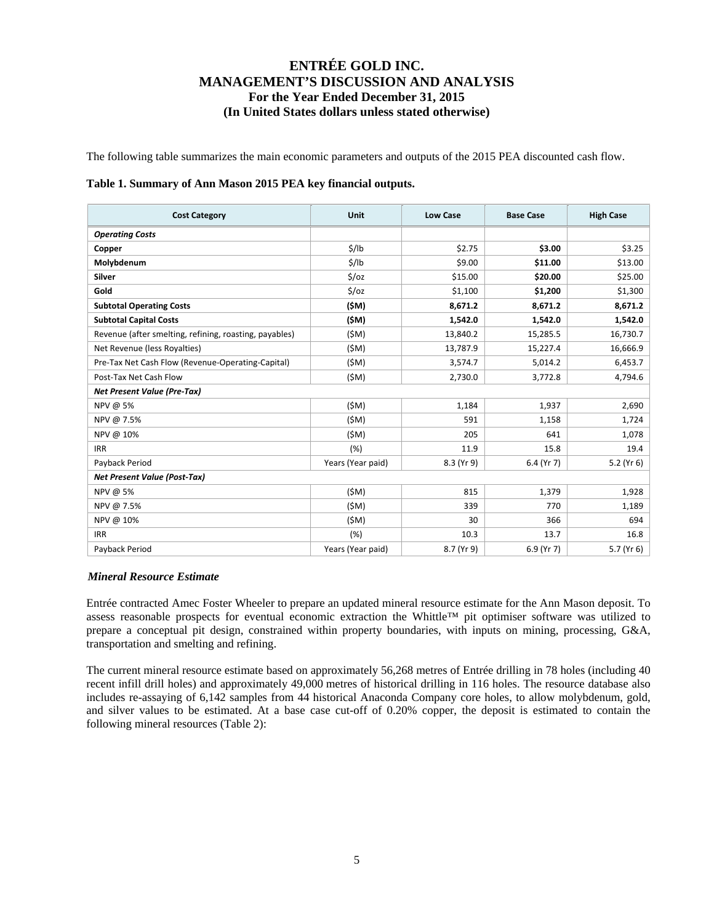The following table summarizes the main economic parameters and outputs of the 2015 PEA discounted cash flow.

#### **Table 1. Summary of Ann Mason 2015 PEA key financial outputs.**

| <b>Cost Category</b>                                   | Unit              | <b>Low Case</b> | <b>Base Case</b> | <b>High Case</b> |
|--------------------------------------------------------|-------------------|-----------------|------------------|------------------|
| <b>Operating Costs</b>                                 |                   |                 |                  |                  |
| Copper                                                 | \$/lb             | \$2.75          | \$3.00           | \$3.25           |
| Molybdenum                                             | \$/lb             | \$9.00          | \$11.00          | \$13.00          |
| Silver                                                 | $5$ / $oz$        | \$15.00         | \$20.00          | \$25.00          |
| Gold                                                   | $5$ / $oz$        | \$1,100         | \$1,200          | \$1,300          |
| <b>Subtotal Operating Costs</b>                        | (\$M)             | 8,671.2         | 8,671.2          | 8,671.2          |
| <b>Subtotal Capital Costs</b>                          | (\$M)             | 1,542.0         | 1,542.0          | 1,542.0          |
| Revenue (after smelting, refining, roasting, payables) | (SM)              | 13,840.2        | 15,285.5         | 16,730.7         |
| Net Revenue (less Royalties)                           | (SM)              | 13,787.9        | 15,227.4         | 16,666.9         |
| Pre-Tax Net Cash Flow (Revenue-Operating-Capital)      | (SM)              | 3,574.7         | 5,014.2          | 6,453.7          |
| Post-Tax Net Cash Flow                                 | (SM)              | 2,730.0         | 3,772.8          | 4,794.6          |
| <b>Net Present Value (Pre-Tax)</b>                     |                   |                 |                  |                  |
| NPV @ 5%                                               | (SM)              | 1,184           | 1,937            | 2,690            |
| NPV @ 7.5%                                             | (SM)              | 591             | 1,158            | 1,724            |
| NPV @ 10%                                              | (SM)              | 205             | 641              | 1,078            |
| <b>IRR</b>                                             | (% )              | 11.9            | 15.8             | 19.4             |
| Payback Period                                         | Years (Year paid) | 8.3 (Yr 9)      | 6.4 (Yr 7)       | 5.2 (Yr 6)       |
| <b>Net Present Value (Post-Tax)</b>                    |                   |                 |                  |                  |
| NPV @ 5%                                               | (SM)              | 815             | 1,379            | 1,928            |
| NPV @ 7.5%                                             | (SM)              | 339             | 770              | 1,189            |
| NPV @ 10%                                              | (SM)              | 30              | 366              | 694              |
| <b>IRR</b>                                             | (%)               | 10.3            | 13.7             | 16.8             |
| Payback Period                                         | Years (Year paid) | 8.7 (Yr 9)      | 6.9 (Yr 7)       | 5.7 (Yr 6)       |

### *Mineral Resource Estimate*

Entrée contracted Amec Foster Wheeler to prepare an updated mineral resource estimate for the Ann Mason deposit. To assess reasonable prospects for eventual economic extraction the Whittle™ pit optimiser software was utilized to prepare a conceptual pit design, constrained within property boundaries, with inputs on mining, processing, G&A, transportation and smelting and refining.

The current mineral resource estimate based on approximately 56,268 metres of Entrée drilling in 78 holes (including 40 recent infill drill holes) and approximately 49,000 metres of historical drilling in 116 holes. The resource database also includes re-assaying of 6,142 samples from 44 historical Anaconda Company core holes, to allow molybdenum, gold, and silver values to be estimated. At a base case cut-off of 0.20% copper, the deposit is estimated to contain the following mineral resources (Table 2):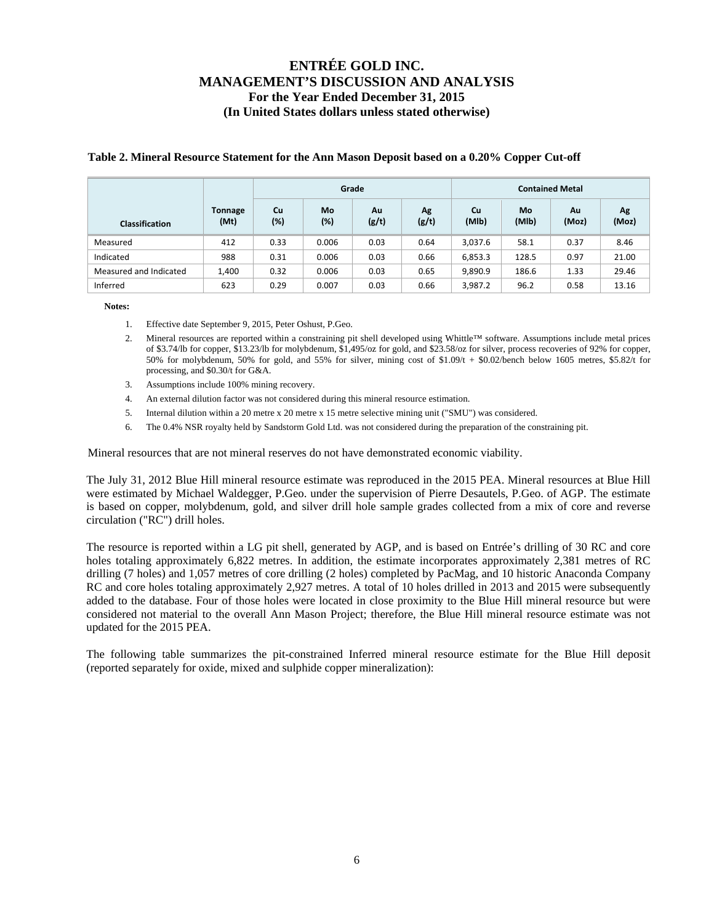|                        |                 |              |              | Grade       |             |             |             | <b>Contained Metal</b> |             |
|------------------------|-----------------|--------------|--------------|-------------|-------------|-------------|-------------|------------------------|-------------|
| <b>Classification</b>  | Tonnage<br>(Mt) | Cu<br>$(\%)$ | Mo<br>$(\%)$ | Au<br>(g/t) | Ag<br>(g/t) | Cu<br>(MIb) | Mo<br>(MIb) | Au<br>(Moz)            | Ag<br>(Moz) |
| Measured               | 412             | 0.33         | 0.006        | 0.03        | 0.64        | 3,037.6     | 58.1        | 0.37                   | 8.46        |
| Indicated              | 988             | 0.31         | 0.006        | 0.03        | 0.66        | 6,853.3     | 128.5       | 0.97                   | 21.00       |
| Measured and Indicated | 1,400           | 0.32         | 0.006        | 0.03        | 0.65        | 9,890.9     | 186.6       | 1.33                   | 29.46       |
| Inferred               | 623             | 0.29         | 0.007        | 0.03        | 0.66        | 3,987.2     | 96.2        | 0.58                   | 13.16       |

### **Table 2. Mineral Resource Statement for the Ann Mason Deposit based on a 0.20% Copper Cut-off**

**Notes:** 

- 1. Effective date September 9, 2015, Peter Oshust, P.Geo.
- 2. Mineral resources are reported within a constraining pit shell developed using Whittle™ software. Assumptions include metal prices of \$3.74/lb for copper, \$13.23/lb for molybdenum, \$1,495/oz for gold, and \$23.58/oz for silver, process recoveries of 92% for copper, 50% for molybdenum, 50% for gold, and 55% for silver, mining cost of  $$1.09/t + $0.02/b$ ench below 1605 metres, \$5.82/t for processing, and \$0.30/t for G&A.
- 3. Assumptions include 100% mining recovery.
- 4. An external dilution factor was not considered during this mineral resource estimation.
- 5. Internal dilution within a 20 metre x 20 metre x 15 metre selective mining unit ("SMU") was considered.
- 6. The 0.4% NSR royalty held by Sandstorm Gold Ltd. was not considered during the preparation of the constraining pit.

Mineral resources that are not mineral reserves do not have demonstrated economic viability.

The July 31, 2012 Blue Hill mineral resource estimate was reproduced in the 2015 PEA. Mineral resources at Blue Hill were estimated by Michael Waldegger, P.Geo. under the supervision of Pierre Desautels, P.Geo. of AGP. The estimate is based on copper, molybdenum, gold, and silver drill hole sample grades collected from a mix of core and reverse circulation ("RC") drill holes.

The resource is reported within a LG pit shell, generated by AGP, and is based on Entrée's drilling of 30 RC and core holes totaling approximately 6,822 metres. In addition, the estimate incorporates approximately 2,381 metres of RC drilling (7 holes) and 1,057 metres of core drilling (2 holes) completed by PacMag, and 10 historic Anaconda Company RC and core holes totaling approximately 2,927 metres. A total of 10 holes drilled in 2013 and 2015 were subsequently added to the database. Four of those holes were located in close proximity to the Blue Hill mineral resource but were considered not material to the overall Ann Mason Project; therefore, the Blue Hill mineral resource estimate was not updated for the 2015 PEA.

The following table summarizes the pit-constrained Inferred mineral resource estimate for the Blue Hill deposit (reported separately for oxide, mixed and sulphide copper mineralization):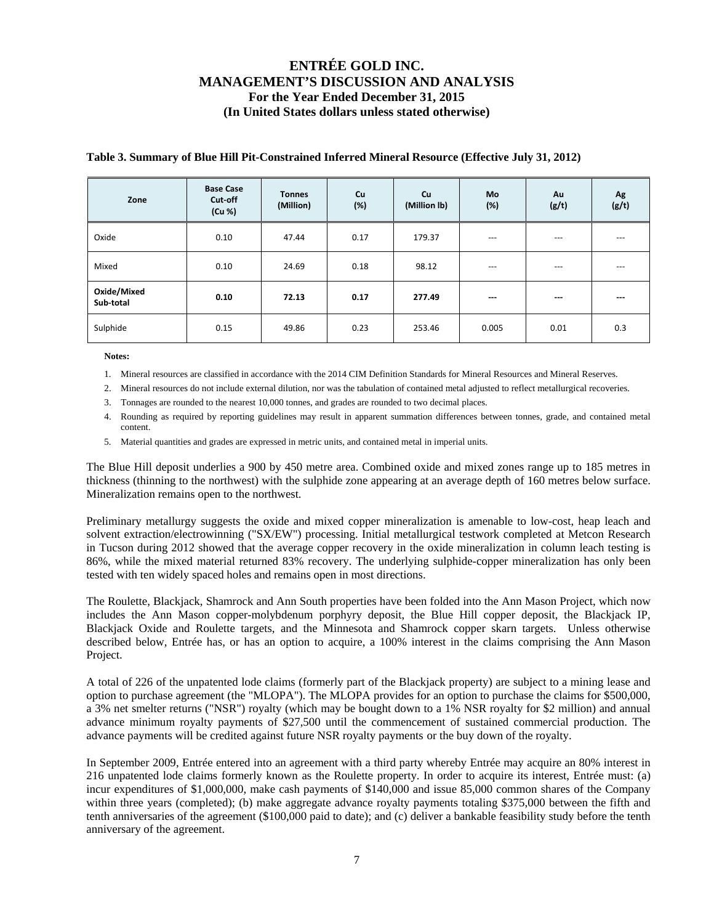| Zone                     | <b>Base Case</b><br>Cut-off<br>(Cu %) | <b>Tonnes</b><br>(Million) | Cu<br>(%) | <b>Cu</b><br>(Million lb) | <b>Mo</b><br>(%) | Au<br>(g/t) | Ag<br>(g/t) |
|--------------------------|---------------------------------------|----------------------------|-----------|---------------------------|------------------|-------------|-------------|
| Oxide                    | 0.10                                  | 47.44                      | 0.17      | 179.37                    | $---$            | $---$       | $---$       |
| Mixed                    | 0.10                                  | 24.69                      | 0.18      | 98.12                     | $---$            | $---$       | $---$       |
| Oxide/Mixed<br>Sub-total | 0.10                                  | 72.13                      | 0.17      | 277.49                    | ---              | $--$        | ---         |
| Sulphide                 | 0.15                                  | 49.86                      | 0.23      | 253.46                    | 0.005            | 0.01        | 0.3         |

### **Table 3. Summary of Blue Hill Pit-Constrained Inferred Mineral Resource (Effective July 31, 2012)**

**Notes:** 

- 1. Mineral resources are classified in accordance with the 2014 CIM Definition Standards for Mineral Resources and Mineral Reserves.
- 2. Mineral resources do not include external dilution, nor was the tabulation of contained metal adjusted to reflect metallurgical recoveries.
- 3. Tonnages are rounded to the nearest 10,000 tonnes, and grades are rounded to two decimal places.
- 4. Rounding as required by reporting guidelines may result in apparent summation differences between tonnes, grade, and contained metal content.
- 5. Material quantities and grades are expressed in metric units, and contained metal in imperial units.

The Blue Hill deposit underlies a 900 by 450 metre area. Combined oxide and mixed zones range up to 185 metres in thickness (thinning to the northwest) with the sulphide zone appearing at an average depth of 160 metres below surface. Mineralization remains open to the northwest.

Preliminary metallurgy suggests the oxide and mixed copper mineralization is amenable to low-cost, heap leach and solvent extraction/electrowinning ("SX/EW") processing. Initial metallurgical testwork completed at Metcon Research in Tucson during 2012 showed that the average copper recovery in the oxide mineralization in column leach testing is 86%, while the mixed material returned 83% recovery. The underlying sulphide-copper mineralization has only been tested with ten widely spaced holes and remains open in most directions.

The Roulette, Blackjack, Shamrock and Ann South properties have been folded into the Ann Mason Project, which now includes the Ann Mason copper-molybdenum porphyry deposit, the Blue Hill copper deposit, the Blackjack IP, Blackjack Oxide and Roulette targets, and the Minnesota and Shamrock copper skarn targets. Unless otherwise described below, Entrée has, or has an option to acquire, a 100% interest in the claims comprising the Ann Mason Project.

A total of 226 of the unpatented lode claims (formerly part of the Blackjack property) are subject to a mining lease and option to purchase agreement (the "MLOPA"). The MLOPA provides for an option to purchase the claims for \$500,000, a 3% net smelter returns ("NSR") royalty (which may be bought down to a 1% NSR royalty for \$2 million) and annual advance minimum royalty payments of \$27,500 until the commencement of sustained commercial production. The advance payments will be credited against future NSR royalty payments or the buy down of the royalty.

In September 2009, Entrée entered into an agreement with a third party whereby Entrée may acquire an 80% interest in 216 unpatented lode claims formerly known as the Roulette property. In order to acquire its interest, Entrée must: (a) incur expenditures of \$1,000,000, make cash payments of \$140,000 and issue 85,000 common shares of the Company within three years (completed); (b) make aggregate advance royalty payments totaling \$375,000 between the fifth and tenth anniversaries of the agreement (\$100,000 paid to date); and (c) deliver a bankable feasibility study before the tenth anniversary of the agreement.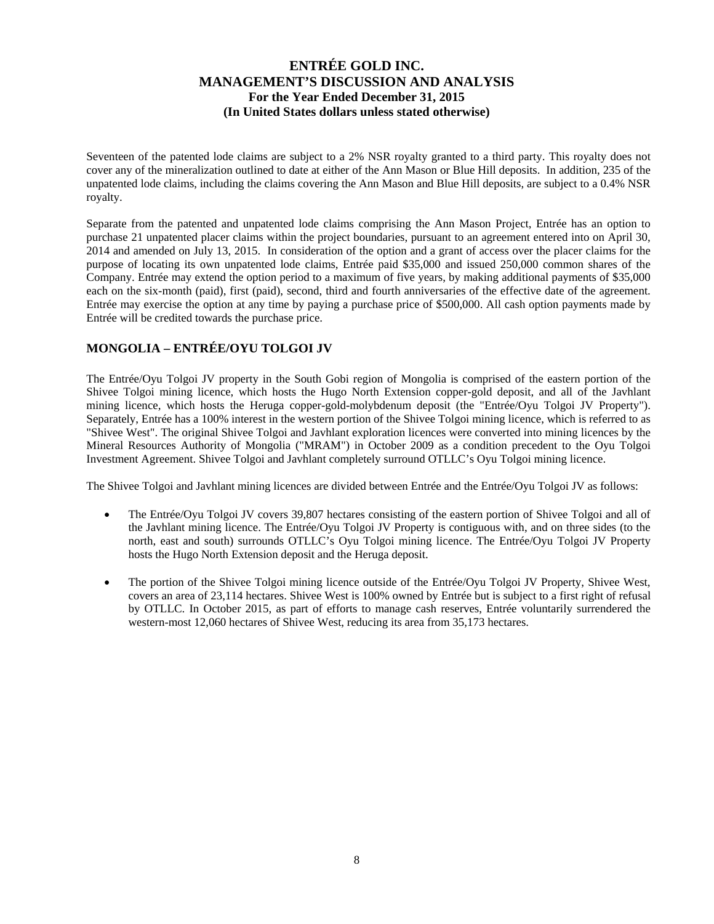Seventeen of the patented lode claims are subject to a 2% NSR royalty granted to a third party. This royalty does not cover any of the mineralization outlined to date at either of the Ann Mason or Blue Hill deposits. In addition, 235 of the unpatented lode claims, including the claims covering the Ann Mason and Blue Hill deposits, are subject to a 0.4% NSR royalty.

Separate from the patented and unpatented lode claims comprising the Ann Mason Project, Entrée has an option to purchase 21 unpatented placer claims within the project boundaries, pursuant to an agreement entered into on April 30, 2014 and amended on July 13, 2015. In consideration of the option and a grant of access over the placer claims for the purpose of locating its own unpatented lode claims, Entrée paid \$35,000 and issued 250,000 common shares of the Company. Entrée may extend the option period to a maximum of five years, by making additional payments of \$35,000 each on the six-month (paid), first (paid), second, third and fourth anniversaries of the effective date of the agreement. Entrée may exercise the option at any time by paying a purchase price of \$500,000. All cash option payments made by Entrée will be credited towards the purchase price.

### **MONGOLIA – ENTRÉE/OYU TOLGOI JV**

The Entrée/Oyu Tolgoi JV property in the South Gobi region of Mongolia is comprised of the eastern portion of the Shivee Tolgoi mining licence, which hosts the Hugo North Extension copper-gold deposit, and all of the Javhlant mining licence, which hosts the Heruga copper-gold-molybdenum deposit (the "Entrée/Oyu Tolgoi JV Property"). Separately, Entrée has a 100% interest in the western portion of the Shivee Tolgoi mining licence, which is referred to as "Shivee West". The original Shivee Tolgoi and Javhlant exploration licences were converted into mining licences by the Mineral Resources Authority of Mongolia ("MRAM") in October 2009 as a condition precedent to the Oyu Tolgoi Investment Agreement. Shivee Tolgoi and Javhlant completely surround OTLLC's Oyu Tolgoi mining licence.

The Shivee Tolgoi and Javhlant mining licences are divided between Entrée and the Entrée/Oyu Tolgoi JV as follows:

- The Entrée/Oyu Tolgoi JV covers 39,807 hectares consisting of the eastern portion of Shivee Tolgoi and all of the Javhlant mining licence. The Entrée/Oyu Tolgoi JV Property is contiguous with, and on three sides (to the north, east and south) surrounds OTLLC's Oyu Tolgoi mining licence. The Entrée/Oyu Tolgoi JV Property hosts the Hugo North Extension deposit and the Heruga deposit.
- The portion of the Shivee Tolgoi mining licence outside of the Entrée/Oyu Tolgoi JV Property, Shivee West, covers an area of 23,114 hectares. Shivee West is 100% owned by Entrée but is subject to a first right of refusal by OTLLC. In October 2015, as part of efforts to manage cash reserves, Entrée voluntarily surrendered the western-most 12,060 hectares of Shivee West, reducing its area from 35,173 hectares.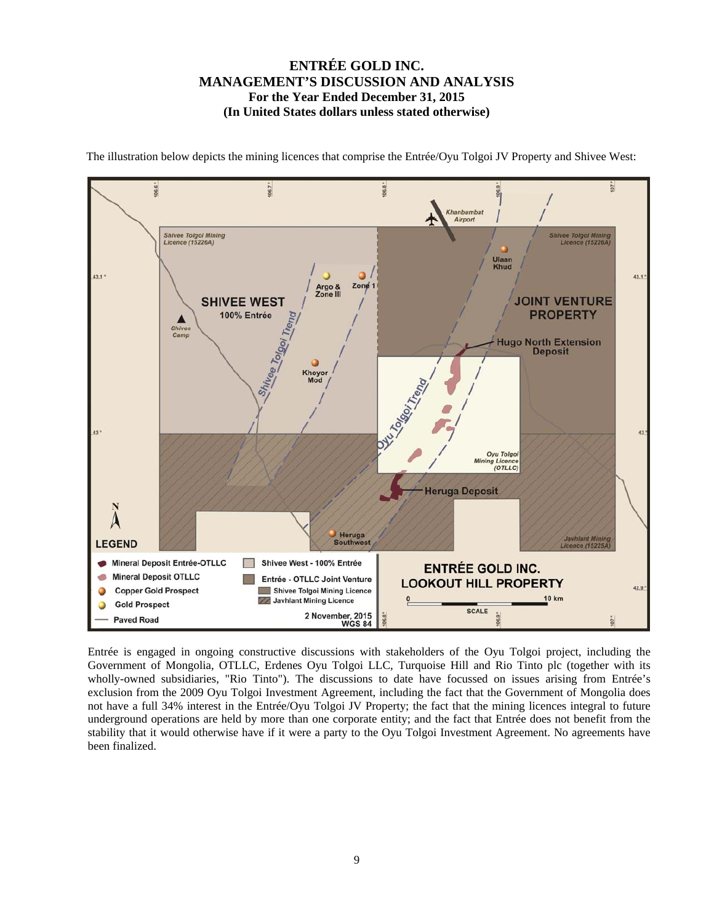

The illustration below depicts the mining licences that comprise the Entrée/Oyu Tolgoi JV Property and Shivee West:

Entrée is engaged in ongoing constructive discussions with stakeholders of the Oyu Tolgoi project, including the Government of Mongolia, OTLLC, Erdenes Oyu Tolgoi LLC, Turquoise Hill and Rio Tinto plc (together with its wholly-owned subsidiaries, "Rio Tinto"). The discussions to date have focussed on issues arising from Entrée's exclusion from the 2009 Oyu Tolgoi Investment Agreement, including the fact that the Government of Mongolia does not have a full 34% interest in the Entrée/Oyu Tolgoi JV Property; the fact that the mining licences integral to future underground operations are held by more than one corporate entity; and the fact that Entrée does not benefit from the stability that it would otherwise have if it were a party to the Oyu Tolgoi Investment Agreement. No agreements have been finalized.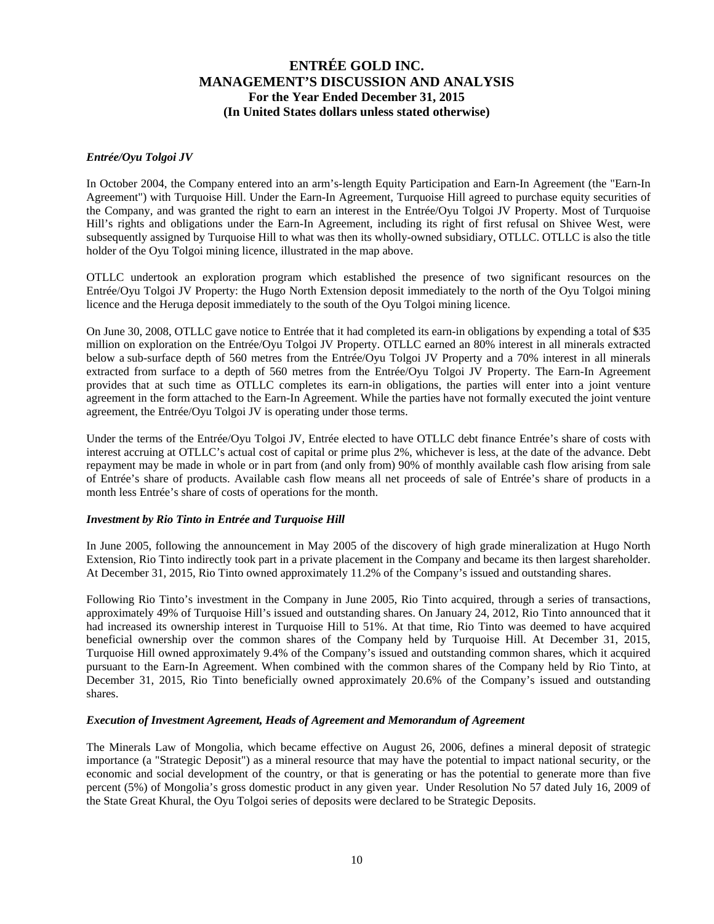### *Entrée/Oyu Tolgoi JV*

In October 2004, the Company entered into an arm's-length Equity Participation and Earn-In Agreement (the "Earn-In Agreement") with Turquoise Hill. Under the Earn-In Agreement, Turquoise Hill agreed to purchase equity securities of the Company, and was granted the right to earn an interest in the Entrée/Oyu Tolgoi JV Property. Most of Turquoise Hill's rights and obligations under the Earn-In Agreement, including its right of first refusal on Shivee West, were subsequently assigned by Turquoise Hill to what was then its wholly-owned subsidiary, OTLLC. OTLLC is also the title holder of the Oyu Tolgoi mining licence, illustrated in the map above.

OTLLC undertook an exploration program which established the presence of two significant resources on the Entrée/Oyu Tolgoi JV Property: the Hugo North Extension deposit immediately to the north of the Oyu Tolgoi mining licence and the Heruga deposit immediately to the south of the Oyu Tolgoi mining licence.

On June 30, 2008, OTLLC gave notice to Entrée that it had completed its earn-in obligations by expending a total of \$35 million on exploration on the Entrée/Oyu Tolgoi JV Property. OTLLC earned an 80% interest in all minerals extracted below a sub-surface depth of 560 metres from the Entrée/Oyu Tolgoi JV Property and a 70% interest in all minerals extracted from surface to a depth of 560 metres from the Entrée/Oyu Tolgoi JV Property. The Earn-In Agreement provides that at such time as OTLLC completes its earn-in obligations, the parties will enter into a joint venture agreement in the form attached to the Earn-In Agreement. While the parties have not formally executed the joint venture agreement, the Entrée/Oyu Tolgoi JV is operating under those terms.

Under the terms of the Entrée/Oyu Tolgoi JV, Entrée elected to have OTLLC debt finance Entrée's share of costs with interest accruing at OTLLC's actual cost of capital or prime plus 2%, whichever is less, at the date of the advance. Debt repayment may be made in whole or in part from (and only from) 90% of monthly available cash flow arising from sale of Entrée's share of products. Available cash flow means all net proceeds of sale of Entrée's share of products in a month less Entrée's share of costs of operations for the month.

### *Investment by Rio Tinto in Entrée and Turquoise Hill*

In June 2005, following the announcement in May 2005 of the discovery of high grade mineralization at Hugo North Extension, Rio Tinto indirectly took part in a private placement in the Company and became its then largest shareholder. At December 31, 2015, Rio Tinto owned approximately 11.2% of the Company's issued and outstanding shares.

Following Rio Tinto's investment in the Company in June 2005, Rio Tinto acquired, through a series of transactions, approximately 49% of Turquoise Hill's issued and outstanding shares. On January 24, 2012, Rio Tinto announced that it had increased its ownership interest in Turquoise Hill to 51%. At that time, Rio Tinto was deemed to have acquired beneficial ownership over the common shares of the Company held by Turquoise Hill. At December 31, 2015, Turquoise Hill owned approximately 9.4% of the Company's issued and outstanding common shares, which it acquired pursuant to the Earn-In Agreement. When combined with the common shares of the Company held by Rio Tinto, at December 31, 2015, Rio Tinto beneficially owned approximately 20.6% of the Company's issued and outstanding shares.

#### *Execution of Investment Agreement, Heads of Agreement and Memorandum of Agreement*

The Minerals Law of Mongolia, which became effective on August 26, 2006, defines a mineral deposit of strategic importance (a "Strategic Deposit") as a mineral resource that may have the potential to impact national security, or the economic and social development of the country, or that is generating or has the potential to generate more than five percent (5%) of Mongolia's gross domestic product in any given year. Under Resolution No 57 dated July 16, 2009 of the State Great Khural, the Oyu Tolgoi series of deposits were declared to be Strategic Deposits.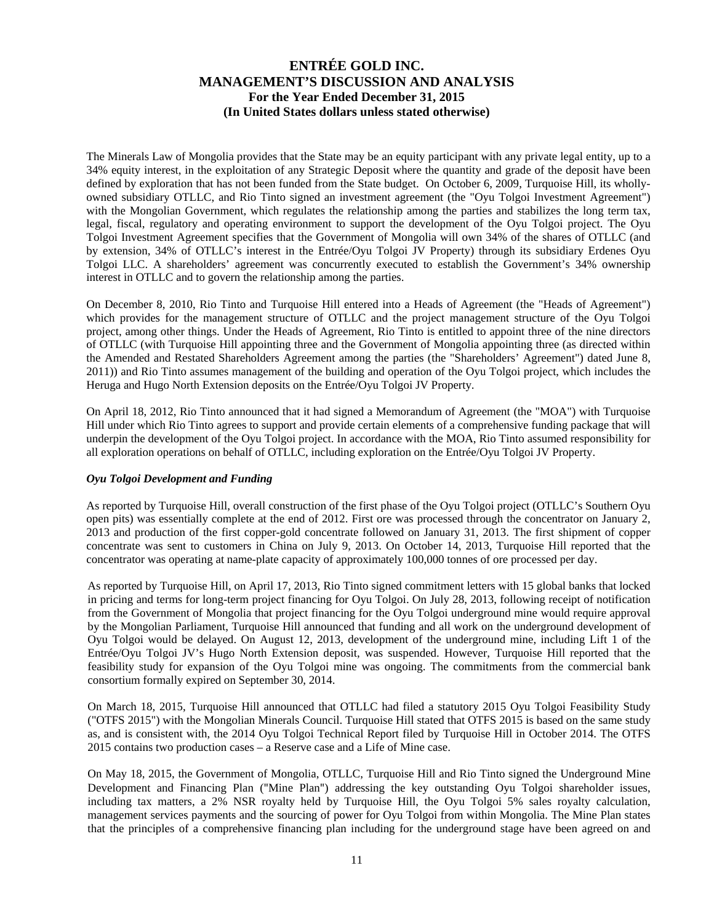The Minerals Law of Mongolia provides that the State may be an equity participant with any private legal entity, up to a 34% equity interest, in the exploitation of any Strategic Deposit where the quantity and grade of the deposit have been defined by exploration that has not been funded from the State budget. On October 6, 2009, Turquoise Hill, its whollyowned subsidiary OTLLC, and Rio Tinto signed an investment agreement (the "Oyu Tolgoi Investment Agreement") with the Mongolian Government, which regulates the relationship among the parties and stabilizes the long term tax, legal, fiscal, regulatory and operating environment to support the development of the Oyu Tolgoi project. The Oyu Tolgoi Investment Agreement specifies that the Government of Mongolia will own 34% of the shares of OTLLC (and by extension, 34% of OTLLC's interest in the Entrée/Oyu Tolgoi JV Property) through its subsidiary Erdenes Oyu Tolgoi LLC. A shareholders' agreement was concurrently executed to establish the Government's 34% ownership interest in OTLLC and to govern the relationship among the parties.

On December 8, 2010, Rio Tinto and Turquoise Hill entered into a Heads of Agreement (the "Heads of Agreement") which provides for the management structure of OTLLC and the project management structure of the Oyu Tolgoi project, among other things. Under the Heads of Agreement, Rio Tinto is entitled to appoint three of the nine directors of OTLLC (with Turquoise Hill appointing three and the Government of Mongolia appointing three (as directed within the Amended and Restated Shareholders Agreement among the parties (the "Shareholders' Agreement") dated June 8, 2011)) and Rio Tinto assumes management of the building and operation of the Oyu Tolgoi project, which includes the Heruga and Hugo North Extension deposits on the Entrée/Oyu Tolgoi JV Property.

On April 18, 2012, Rio Tinto announced that it had signed a Memorandum of Agreement (the "MOA") with Turquoise Hill under which Rio Tinto agrees to support and provide certain elements of a comprehensive funding package that will underpin the development of the Oyu Tolgoi project. In accordance with the MOA, Rio Tinto assumed responsibility for all exploration operations on behalf of OTLLC, including exploration on the Entrée/Oyu Tolgoi JV Property.

### *Oyu Tolgoi Development and Funding*

As reported by Turquoise Hill, overall construction of the first phase of the Oyu Tolgoi project (OTLLC's Southern Oyu open pits) was essentially complete at the end of 2012. First ore was processed through the concentrator on January 2, 2013 and production of the first copper-gold concentrate followed on January 31, 2013. The first shipment of copper concentrate was sent to customers in China on July 9, 2013. On October 14, 2013, Turquoise Hill reported that the concentrator was operating at name-plate capacity of approximately 100,000 tonnes of ore processed per day.

As reported by Turquoise Hill, on April 17, 2013, Rio Tinto signed commitment letters with 15 global banks that locked in pricing and terms for long-term project financing for Oyu Tolgoi. On July 28, 2013, following receipt of notification from the Government of Mongolia that project financing for the Oyu Tolgoi underground mine would require approval by the Mongolian Parliament, Turquoise Hill announced that funding and all work on the underground development of Oyu Tolgoi would be delayed. On August 12, 2013, development of the underground mine, including Lift 1 of the Entrée/Oyu Tolgoi JV's Hugo North Extension deposit, was suspended. However, Turquoise Hill reported that the feasibility study for expansion of the Oyu Tolgoi mine was ongoing. The commitments from the commercial bank consortium formally expired on September 30, 2014.

On March 18, 2015, Turquoise Hill announced that OTLLC had filed a statutory 2015 Oyu Tolgoi Feasibility Study ("OTFS 2015") with the Mongolian Minerals Council. Turquoise Hill stated that OTFS 2015 is based on the same study as, and is consistent with, the 2014 Oyu Tolgoi Technical Report filed by Turquoise Hill in October 2014. The OTFS 2015 contains two production cases – a Reserve case and a Life of Mine case.

On May 18, 2015, the Government of Mongolia, OTLLC, Turquoise Hill and Rio Tinto signed the Underground Mine Development and Financing Plan ("Mine Plan") addressing the key outstanding Oyu Tolgoi shareholder issues, including tax matters, a 2% NSR royalty held by Turquoise Hill, the Oyu Tolgoi 5% sales royalty calculation, management services payments and the sourcing of power for Oyu Tolgoi from within Mongolia. The Mine Plan states that the principles of a comprehensive financing plan including for the underground stage have been agreed on and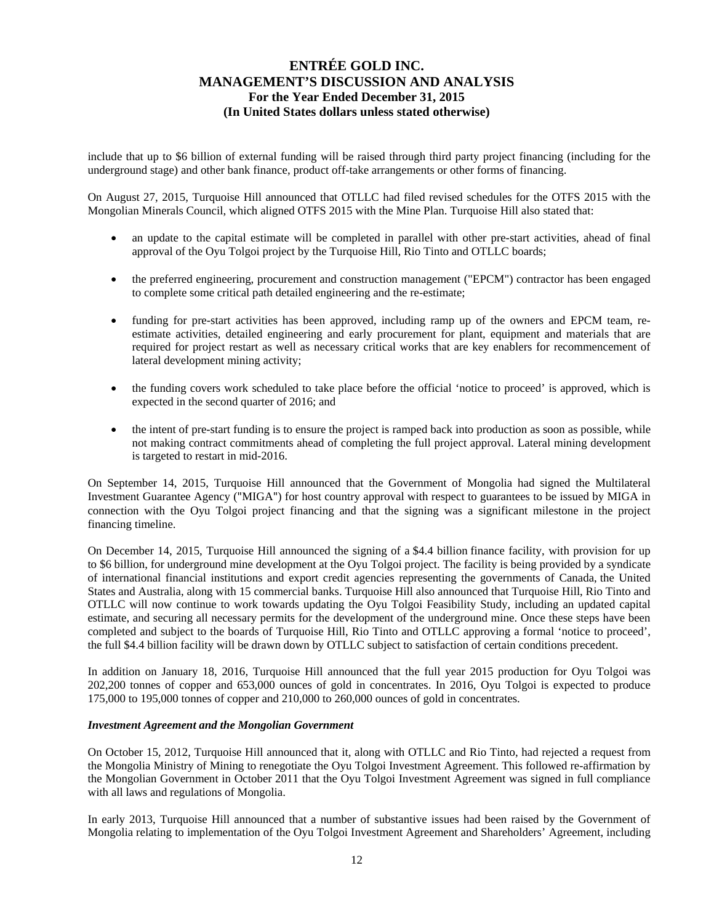include that up to \$6 billion of external funding will be raised through third party project financing (including for the underground stage) and other bank finance, product off-take arrangements or other forms of financing.

On August 27, 2015, Turquoise Hill announced that OTLLC had filed revised schedules for the OTFS 2015 with the Mongolian Minerals Council, which aligned OTFS 2015 with the Mine Plan. Turquoise Hill also stated that:

- an update to the capital estimate will be completed in parallel with other pre-start activities, ahead of final approval of the Oyu Tolgoi project by the Turquoise Hill, Rio Tinto and OTLLC boards;
- the preferred engineering, procurement and construction management ("EPCM") contractor has been engaged to complete some critical path detailed engineering and the re-estimate;
- funding for pre-start activities has been approved, including ramp up of the owners and EPCM team, reestimate activities, detailed engineering and early procurement for plant, equipment and materials that are required for project restart as well as necessary critical works that are key enablers for recommencement of lateral development mining activity;
- the funding covers work scheduled to take place before the official 'notice to proceed' is approved, which is expected in the second quarter of 2016; and
- the intent of pre-start funding is to ensure the project is ramped back into production as soon as possible, while not making contract commitments ahead of completing the full project approval. Lateral mining development is targeted to restart in mid-2016.

On September 14, 2015, Turquoise Hill announced that the Government of Mongolia had signed the Multilateral Investment Guarantee Agency ("MIGA") for host country approval with respect to guarantees to be issued by MIGA in connection with the Oyu Tolgoi project financing and that the signing was a significant milestone in the project financing timeline.

On December 14, 2015, Turquoise Hill announced the signing of a \$4.4 billion finance facility, with provision for up to \$6 billion, for underground mine development at the Oyu Tolgoi project. The facility is being provided by a syndicate of international financial institutions and export credit agencies representing the governments of Canada, the United States and Australia, along with 15 commercial banks. Turquoise Hill also announced that Turquoise Hill, Rio Tinto and OTLLC will now continue to work towards updating the Oyu Tolgoi Feasibility Study, including an updated capital estimate, and securing all necessary permits for the development of the underground mine. Once these steps have been completed and subject to the boards of Turquoise Hill, Rio Tinto and OTLLC approving a formal 'notice to proceed', the full \$4.4 billion facility will be drawn down by OTLLC subject to satisfaction of certain conditions precedent.

In addition on January 18, 2016, Turquoise Hill announced that the full year 2015 production for Oyu Tolgoi was 202,200 tonnes of copper and 653,000 ounces of gold in concentrates. In 2016, Oyu Tolgoi is expected to produce 175,000 to 195,000 tonnes of copper and 210,000 to 260,000 ounces of gold in concentrates.

#### *Investment Agreement and the Mongolian Government*

On October 15, 2012, Turquoise Hill announced that it, along with OTLLC and Rio Tinto, had rejected a request from the Mongolia Ministry of Mining to renegotiate the Oyu Tolgoi Investment Agreement. This followed re-affirmation by the Mongolian Government in October 2011 that the Oyu Tolgoi Investment Agreement was signed in full compliance with all laws and regulations of Mongolia.

In early 2013, Turquoise Hill announced that a number of substantive issues had been raised by the Government of Mongolia relating to implementation of the Oyu Tolgoi Investment Agreement and Shareholders' Agreement, including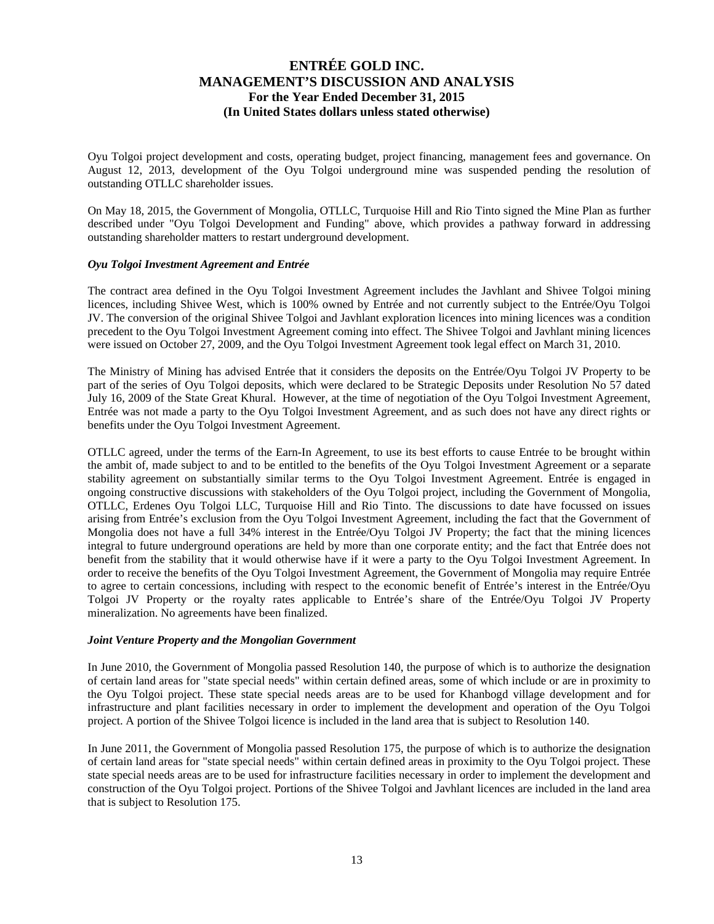Oyu Tolgoi project development and costs, operating budget, project financing, management fees and governance. On August 12, 2013, development of the Oyu Tolgoi underground mine was suspended pending the resolution of outstanding OTLLC shareholder issues.

On May 18, 2015, the Government of Mongolia, OTLLC, Turquoise Hill and Rio Tinto signed the Mine Plan as further described under "Oyu Tolgoi Development and Funding" above, which provides a pathway forward in addressing outstanding shareholder matters to restart underground development.

### *Oyu Tolgoi Investment Agreement and Entrée*

The contract area defined in the Oyu Tolgoi Investment Agreement includes the Javhlant and Shivee Tolgoi mining licences, including Shivee West, which is 100% owned by Entrée and not currently subject to the Entrée/Oyu Tolgoi JV. The conversion of the original Shivee Tolgoi and Javhlant exploration licences into mining licences was a condition precedent to the Oyu Tolgoi Investment Agreement coming into effect. The Shivee Tolgoi and Javhlant mining licences were issued on October 27, 2009, and the Oyu Tolgoi Investment Agreement took legal effect on March 31, 2010.

The Ministry of Mining has advised Entrée that it considers the deposits on the Entrée/Oyu Tolgoi JV Property to be part of the series of Oyu Tolgoi deposits, which were declared to be Strategic Deposits under Resolution No 57 dated July 16, 2009 of the State Great Khural. However, at the time of negotiation of the Oyu Tolgoi Investment Agreement, Entrée was not made a party to the Oyu Tolgoi Investment Agreement, and as such does not have any direct rights or benefits under the Oyu Tolgoi Investment Agreement.

OTLLC agreed, under the terms of the Earn-In Agreement, to use its best efforts to cause Entrée to be brought within the ambit of, made subject to and to be entitled to the benefits of the Oyu Tolgoi Investment Agreement or a separate stability agreement on substantially similar terms to the Oyu Tolgoi Investment Agreement. Entrée is engaged in ongoing constructive discussions with stakeholders of the Oyu Tolgoi project, including the Government of Mongolia, OTLLC, Erdenes Oyu Tolgoi LLC, Turquoise Hill and Rio Tinto. The discussions to date have focussed on issues arising from Entrée's exclusion from the Oyu Tolgoi Investment Agreement, including the fact that the Government of Mongolia does not have a full 34% interest in the Entrée/Oyu Tolgoi JV Property; the fact that the mining licences integral to future underground operations are held by more than one corporate entity; and the fact that Entrée does not benefit from the stability that it would otherwise have if it were a party to the Oyu Tolgoi Investment Agreement. In order to receive the benefits of the Oyu Tolgoi Investment Agreement, the Government of Mongolia may require Entrée to agree to certain concessions, including with respect to the economic benefit of Entrée's interest in the Entrée/Oyu Tolgoi JV Property or the royalty rates applicable to Entrée's share of the Entrée/Oyu Tolgoi JV Property mineralization. No agreements have been finalized.

#### *Joint Venture Property and the Mongolian Government*

In June 2010, the Government of Mongolia passed Resolution 140, the purpose of which is to authorize the designation of certain land areas for "state special needs" within certain defined areas, some of which include or are in proximity to the Oyu Tolgoi project. These state special needs areas are to be used for Khanbogd village development and for infrastructure and plant facilities necessary in order to implement the development and operation of the Oyu Tolgoi project. A portion of the Shivee Tolgoi licence is included in the land area that is subject to Resolution 140.

In June 2011, the Government of Mongolia passed Resolution 175, the purpose of which is to authorize the designation of certain land areas for "state special needs" within certain defined areas in proximity to the Oyu Tolgoi project. These state special needs areas are to be used for infrastructure facilities necessary in order to implement the development and construction of the Oyu Tolgoi project. Portions of the Shivee Tolgoi and Javhlant licences are included in the land area that is subject to Resolution 175.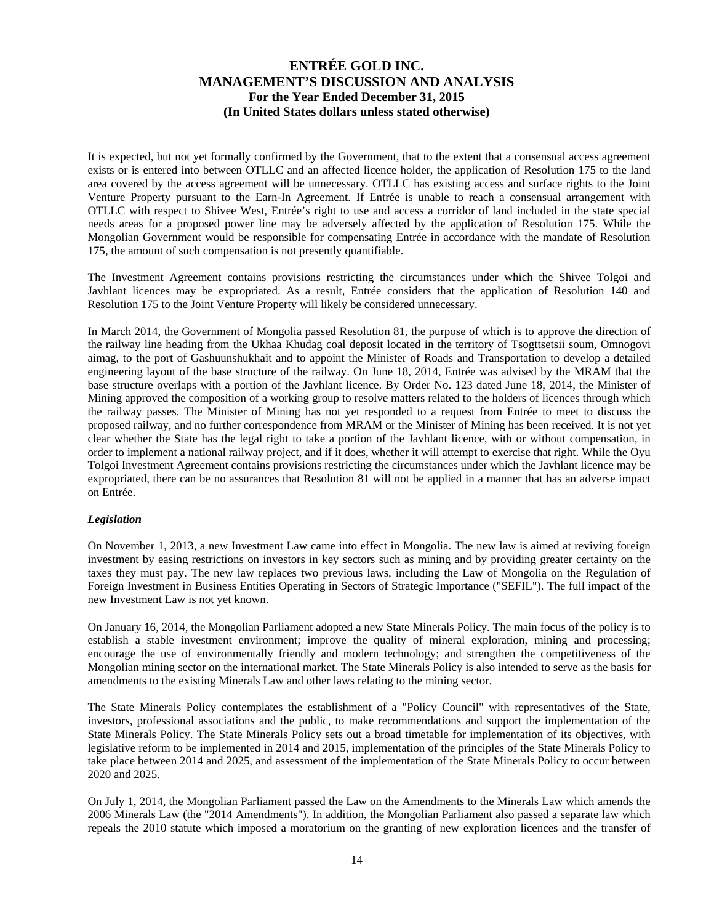It is expected, but not yet formally confirmed by the Government, that to the extent that a consensual access agreement exists or is entered into between OTLLC and an affected licence holder, the application of Resolution 175 to the land area covered by the access agreement will be unnecessary. OTLLC has existing access and surface rights to the Joint Venture Property pursuant to the Earn-In Agreement. If Entrée is unable to reach a consensual arrangement with OTLLC with respect to Shivee West, Entrée's right to use and access a corridor of land included in the state special needs areas for a proposed power line may be adversely affected by the application of Resolution 175. While the Mongolian Government would be responsible for compensating Entrée in accordance with the mandate of Resolution 175, the amount of such compensation is not presently quantifiable.

The Investment Agreement contains provisions restricting the circumstances under which the Shivee Tolgoi and Javhlant licences may be expropriated. As a result, Entrée considers that the application of Resolution 140 and Resolution 175 to the Joint Venture Property will likely be considered unnecessary.

In March 2014, the Government of Mongolia passed Resolution 81, the purpose of which is to approve the direction of the railway line heading from the Ukhaa Khudag coal deposit located in the territory of Tsogttsetsii soum, Omnogovi aimag, to the port of Gashuunshukhait and to appoint the Minister of Roads and Transportation to develop a detailed engineering layout of the base structure of the railway. On June 18, 2014, Entrée was advised by the MRAM that the base structure overlaps with a portion of the Javhlant licence. By Order No. 123 dated June 18, 2014, the Minister of Mining approved the composition of a working group to resolve matters related to the holders of licences through which the railway passes. The Minister of Mining has not yet responded to a request from Entrée to meet to discuss the proposed railway, and no further correspondence from MRAM or the Minister of Mining has been received. It is not yet clear whether the State has the legal right to take a portion of the Javhlant licence, with or without compensation, in order to implement a national railway project, and if it does, whether it will attempt to exercise that right. While the Oyu Tolgoi Investment Agreement contains provisions restricting the circumstances under which the Javhlant licence may be expropriated, there can be no assurances that Resolution 81 will not be applied in a manner that has an adverse impact on Entrée.

### *Legislation*

On November 1, 2013, a new Investment Law came into effect in Mongolia. The new law is aimed at reviving foreign investment by easing restrictions on investors in key sectors such as mining and by providing greater certainty on the taxes they must pay. The new law replaces two previous laws, including the Law of Mongolia on the Regulation of Foreign Investment in Business Entities Operating in Sectors of Strategic Importance ("SEFIL"). The full impact of the new Investment Law is not yet known.

On January 16, 2014, the Mongolian Parliament adopted a new State Minerals Policy. The main focus of the policy is to establish a stable investment environment; improve the quality of mineral exploration, mining and processing; encourage the use of environmentally friendly and modern technology; and strengthen the competitiveness of the Mongolian mining sector on the international market. The State Minerals Policy is also intended to serve as the basis for amendments to the existing Minerals Law and other laws relating to the mining sector.

The State Minerals Policy contemplates the establishment of a "Policy Council" with representatives of the State, investors, professional associations and the public, to make recommendations and support the implementation of the State Minerals Policy. The State Minerals Policy sets out a broad timetable for implementation of its objectives, with legislative reform to be implemented in 2014 and 2015, implementation of the principles of the State Minerals Policy to take place between 2014 and 2025, and assessment of the implementation of the State Minerals Policy to occur between 2020 and 2025.

On July 1, 2014, the Mongolian Parliament passed the Law on the Amendments to the Minerals Law which amends the 2006 Minerals Law (the "2014 Amendments"). In addition, the Mongolian Parliament also passed a separate law which repeals the 2010 statute which imposed a moratorium on the granting of new exploration licences and the transfer of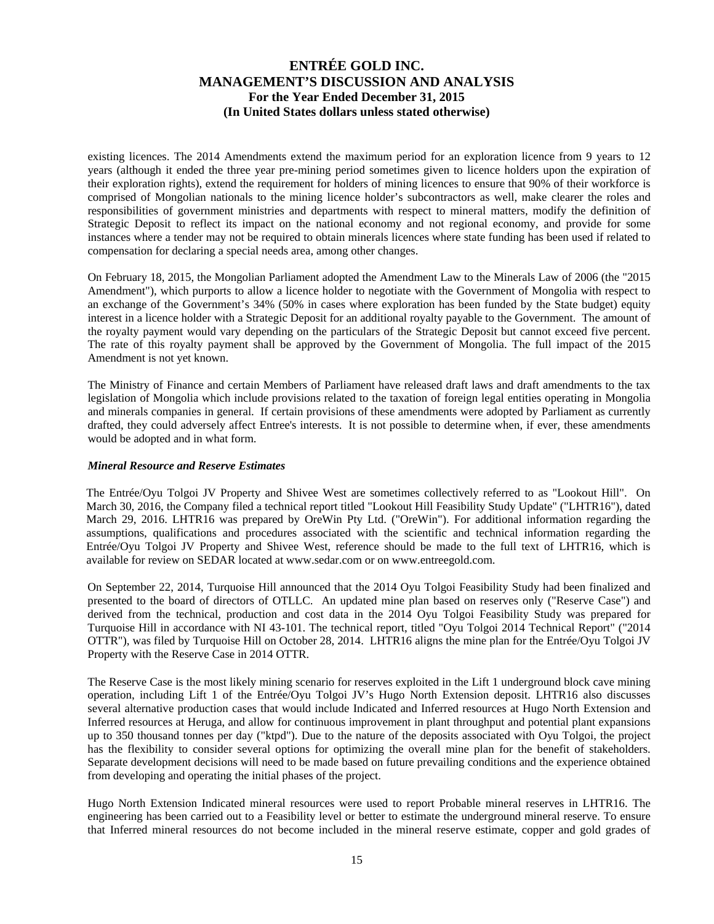existing licences. The 2014 Amendments extend the maximum period for an exploration licence from 9 years to 12 years (although it ended the three year pre-mining period sometimes given to licence holders upon the expiration of their exploration rights), extend the requirement for holders of mining licences to ensure that 90% of their workforce is comprised of Mongolian nationals to the mining licence holder's subcontractors as well, make clearer the roles and responsibilities of government ministries and departments with respect to mineral matters, modify the definition of Strategic Deposit to reflect its impact on the national economy and not regional economy, and provide for some instances where a tender may not be required to obtain minerals licences where state funding has been used if related to compensation for declaring a special needs area, among other changes.

On February 18, 2015, the Mongolian Parliament adopted the Amendment Law to the Minerals Law of 2006 (the "2015 Amendment"), which purports to allow a licence holder to negotiate with the Government of Mongolia with respect to an exchange of the Government's 34% (50% in cases where exploration has been funded by the State budget) equity interest in a licence holder with a Strategic Deposit for an additional royalty payable to the Government. The amount of the royalty payment would vary depending on the particulars of the Strategic Deposit but cannot exceed five percent. The rate of this royalty payment shall be approved by the Government of Mongolia. The full impact of the 2015 Amendment is not yet known.

The Ministry of Finance and certain Members of Parliament have released draft laws and draft amendments to the tax legislation of Mongolia which include provisions related to the taxation of foreign legal entities operating in Mongolia and minerals companies in general. If certain provisions of these amendments were adopted by Parliament as currently drafted, they could adversely affect Entree's interests. It is not possible to determine when, if ever, these amendments would be adopted and in what form.

### *Mineral Resource and Reserve Estimates*

The Entrée/Oyu Tolgoi JV Property and Shivee West are sometimes collectively referred to as "Lookout Hill". On March 30, 2016, the Company filed a technical report titled "Lookout Hill Feasibility Study Update" ("LHTR16"), dated March 29, 2016. LHTR16 was prepared by OreWin Pty Ltd. ("OreWin"). For additional information regarding the assumptions, qualifications and procedures associated with the scientific and technical information regarding the Entrée/Oyu Tolgoi JV Property and Shivee West, reference should be made to the full text of LHTR16, which is available for review on SEDAR located at www.sedar.com or on www.entreegold.com.

On September 22, 2014, Turquoise Hill announced that the 2014 Oyu Tolgoi Feasibility Study had been finalized and presented to the board of directors of OTLLC. An updated mine plan based on reserves only ("Reserve Case") and derived from the technical, production and cost data in the 2014 Oyu Tolgoi Feasibility Study was prepared for Turquoise Hill in accordance with NI 43-101. The technical report, titled "Oyu Tolgoi 2014 Technical Report" ("2014 OTTR"), was filed by Turquoise Hill on October 28, 2014. LHTR16 aligns the mine plan for the Entrée/Oyu Tolgoi JV Property with the Reserve Case in 2014 OTTR.

The Reserve Case is the most likely mining scenario for reserves exploited in the Lift 1 underground block cave mining operation, including Lift 1 of the Entrée/Oyu Tolgoi JV's Hugo North Extension deposit. LHTR16 also discusses several alternative production cases that would include Indicated and Inferred resources at Hugo North Extension and Inferred resources at Heruga, and allow for continuous improvement in plant throughput and potential plant expansions up to 350 thousand tonnes per day ("ktpd"). Due to the nature of the deposits associated with Oyu Tolgoi, the project has the flexibility to consider several options for optimizing the overall mine plan for the benefit of stakeholders. Separate development decisions will need to be made based on future prevailing conditions and the experience obtained from developing and operating the initial phases of the project.

Hugo North Extension Indicated mineral resources were used to report Probable mineral reserves in LHTR16. The engineering has been carried out to a Feasibility level or better to estimate the underground mineral reserve. To ensure that Inferred mineral resources do not become included in the mineral reserve estimate, copper and gold grades of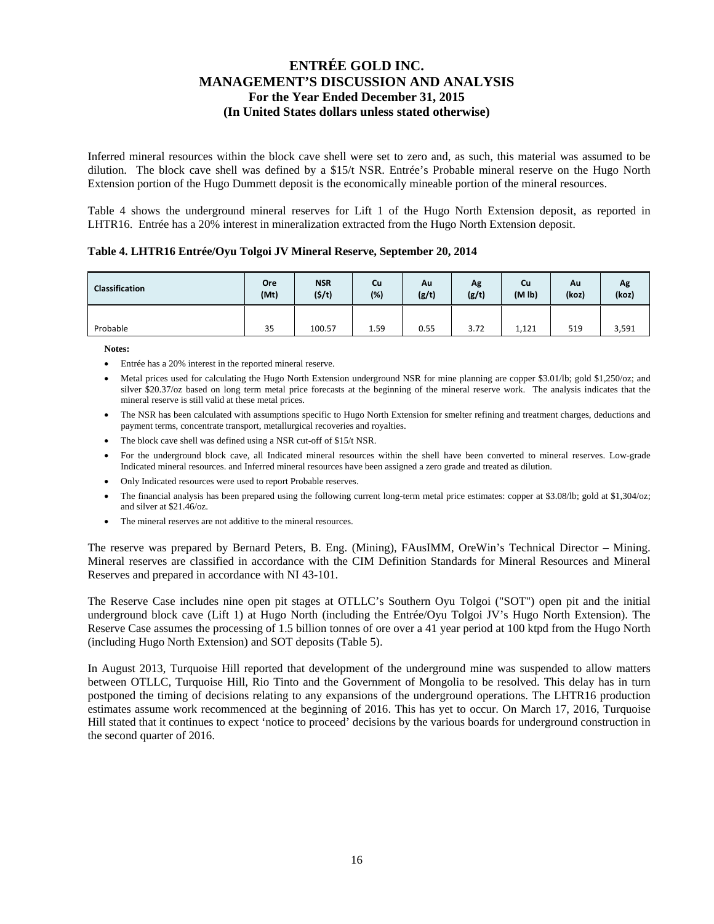Inferred mineral resources within the block cave shell were set to zero and, as such, this material was assumed to be dilution. The block cave shell was defined by a \$15/t NSR. Entrée's Probable mineral reserve on the Hugo North Extension portion of the Hugo Dummett deposit is the economically mineable portion of the mineral resources.

Table 4 shows the underground mineral reserves for Lift 1 of the Hugo North Extension deposit, as reported in LHTR16. Entrée has a 20% interest in mineralization extracted from the Hugo North Extension deposit.

#### **Table 4. LHTR16 Entrée/Oyu Tolgoi JV Mineral Reserve, September 20, 2014**

| <b>Classification</b> | Ore  | <b>NSR</b> | Cu     | Au    | Ag    | Cu                 | Au    | Λg    |
|-----------------------|------|------------|--------|-------|-------|--------------------|-------|-------|
|                       | (Mt) | (5/t)      | $(\%)$ | (g/t) | (g/t) | (M <sub>1b</sub> ) | (koz) | (koz) |
| Probable              | 35   | 100.57     | 1.59   | 0.55  | 3.72  | 1,121              | 519   | 3,591 |

**Notes:** 

- Entrée has a 20% interest in the reported mineral reserve.
- Metal prices used for calculating the Hugo North Extension underground NSR for mine planning are copper \$3.01/lb; gold \$1,250/oz; and silver \$20.37/oz based on long term metal price forecasts at the beginning of the mineral reserve work. The analysis indicates that the mineral reserve is still valid at these metal prices.
- The NSR has been calculated with assumptions specific to Hugo North Extension for smelter refining and treatment charges, deductions and payment terms, concentrate transport, metallurgical recoveries and royalties.
- The block cave shell was defined using a NSR cut-off of \$15/t NSR.
- For the underground block cave, all Indicated mineral resources within the shell have been converted to mineral reserves. Low-grade Indicated mineral resources. and Inferred mineral resources have been assigned a zero grade and treated as dilution.
- Only Indicated resources were used to report Probable reserves.
- The financial analysis has been prepared using the following current long-term metal price estimates: copper at \$3.08/lb; gold at \$1,304/oz; and silver at \$21.46/oz.
- The mineral reserves are not additive to the mineral resources.

The reserve was prepared by Bernard Peters, B. Eng. (Mining), FAusIMM, OreWin's Technical Director – Mining. Mineral reserves are classified in accordance with the CIM Definition Standards for Mineral Resources and Mineral Reserves and prepared in accordance with NI 43-101.

The Reserve Case includes nine open pit stages at OTLLC's Southern Oyu Tolgoi ("SOT") open pit and the initial underground block cave (Lift 1) at Hugo North (including the Entrée/Oyu Tolgoi JV's Hugo North Extension). The Reserve Case assumes the processing of 1.5 billion tonnes of ore over a 41 year period at 100 ktpd from the Hugo North (including Hugo North Extension) and SOT deposits (Table 5).

In August 2013, Turquoise Hill reported that development of the underground mine was suspended to allow matters between OTLLC, Turquoise Hill, Rio Tinto and the Government of Mongolia to be resolved. This delay has in turn postponed the timing of decisions relating to any expansions of the underground operations. The LHTR16 production estimates assume work recommenced at the beginning of 2016. This has yet to occur. On March 17, 2016, Turquoise Hill stated that it continues to expect 'notice to proceed' decisions by the various boards for underground construction in the second quarter of 2016.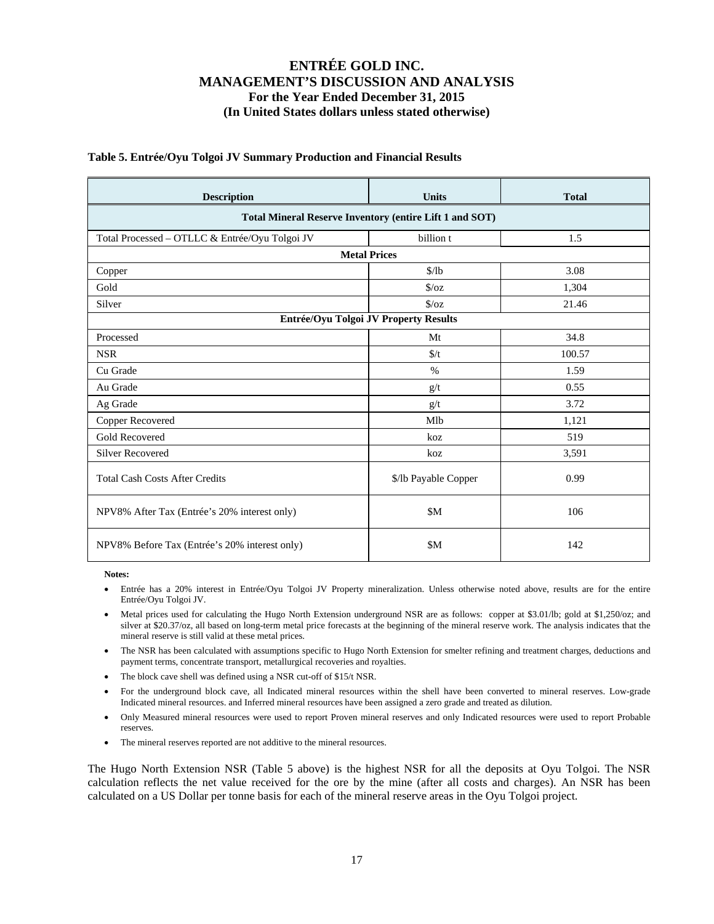| <b>Description</b>                             | <b>Units</b>                                                   | <b>Total</b> |  |  |  |  |  |  |  |  |
|------------------------------------------------|----------------------------------------------------------------|--------------|--|--|--|--|--|--|--|--|
|                                                | <b>Total Mineral Reserve Inventory (entire Lift 1 and SOT)</b> |              |  |  |  |  |  |  |  |  |
| Total Processed - OTLLC & Entrée/Oyu Tolgoi JV | billion t                                                      | 1.5          |  |  |  |  |  |  |  |  |
|                                                | <b>Metal Prices</b>                                            |              |  |  |  |  |  |  |  |  |
| Copper                                         | \$/lb                                                          | 3.08         |  |  |  |  |  |  |  |  |
| Gold                                           | $\sqrt{$}$ /oz                                                 | 1,304        |  |  |  |  |  |  |  |  |
| Silver                                         | $\sqrt{$}$ /oz                                                 | 21.46        |  |  |  |  |  |  |  |  |
| Entrée/Oyu Tolgoi JV Property Results          |                                                                |              |  |  |  |  |  |  |  |  |
| Processed                                      | Mt                                                             | 34.8         |  |  |  |  |  |  |  |  |
| <b>NSR</b>                                     | $\frac{f}{f}$                                                  | 100.57       |  |  |  |  |  |  |  |  |
| Cu Grade                                       | $\%$                                                           | 1.59         |  |  |  |  |  |  |  |  |
| Au Grade                                       | g/t                                                            | 0.55         |  |  |  |  |  |  |  |  |
| Ag Grade                                       | g/t                                                            | 3.72         |  |  |  |  |  |  |  |  |
| Copper Recovered                               | Mlb                                                            | 1,121        |  |  |  |  |  |  |  |  |
| <b>Gold Recovered</b>                          | koz                                                            | 519          |  |  |  |  |  |  |  |  |
| <b>Silver Recovered</b>                        | koz                                                            | 3,591        |  |  |  |  |  |  |  |  |
| <b>Total Cash Costs After Credits</b>          | \$/lb Payable Copper                                           | 0.99         |  |  |  |  |  |  |  |  |
| NPV8% After Tax (Entrée's 20% interest only)   | \$M                                                            | 106          |  |  |  |  |  |  |  |  |
| NPV8% Before Tax (Entrée's 20% interest only)  | \$M                                                            | 142          |  |  |  |  |  |  |  |  |

### **Table 5. Entrée/Oyu Tolgoi JV Summary Production and Financial Results**

**Notes:** 

- Entrée has a 20% interest in Entrée/Oyu Tolgoi JV Property mineralization. Unless otherwise noted above, results are for the entire Entrée/Oyu Tolgoi JV.
- Metal prices used for calculating the Hugo North Extension underground NSR are as follows: copper at \$3.01/lb; gold at \$1,250/oz; and silver at \$20.37/oz, all based on long-term metal price forecasts at the beginning of the mineral reserve work. The analysis indicates that the mineral reserve is still valid at these metal prices.
- The NSR has been calculated with assumptions specific to Hugo North Extension for smelter refining and treatment charges, deductions and payment terms, concentrate transport, metallurgical recoveries and royalties.
- The block cave shell was defined using a NSR cut-off of \$15/t NSR.
- For the underground block cave, all Indicated mineral resources within the shell have been converted to mineral reserves. Low-grade Indicated mineral resources. and Inferred mineral resources have been assigned a zero grade and treated as dilution.
- Only Measured mineral resources were used to report Proven mineral reserves and only Indicated resources were used to report Probable reserves.
- The mineral reserves reported are not additive to the mineral resources.

The Hugo North Extension NSR (Table 5 above) is the highest NSR for all the deposits at Oyu Tolgoi. The NSR calculation reflects the net value received for the ore by the mine (after all costs and charges). An NSR has been calculated on a US Dollar per tonne basis for each of the mineral reserve areas in the Oyu Tolgoi project.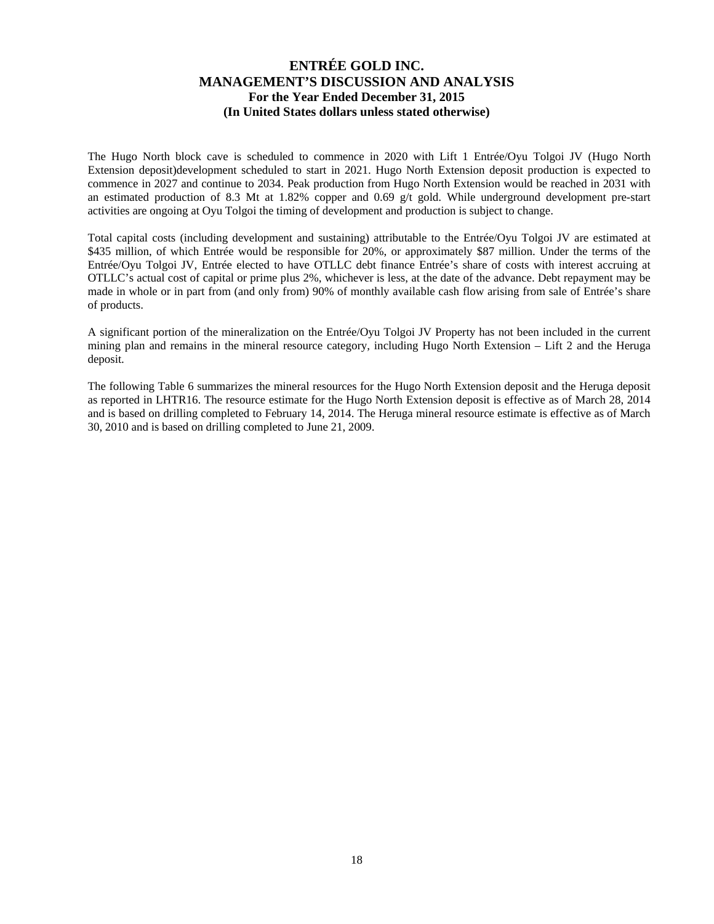The Hugo North block cave is scheduled to commence in 2020 with Lift 1 Entrée/Oyu Tolgoi JV (Hugo North Extension deposit)development scheduled to start in 2021. Hugo North Extension deposit production is expected to commence in 2027 and continue to 2034. Peak production from Hugo North Extension would be reached in 2031 with an estimated production of 8.3 Mt at 1.82% copper and 0.69 g/t gold. While underground development pre-start activities are ongoing at Oyu Tolgoi the timing of development and production is subject to change.

Total capital costs (including development and sustaining) attributable to the Entrée/Oyu Tolgoi JV are estimated at \$435 million, of which Entrée would be responsible for 20%, or approximately \$87 million. Under the terms of the Entrée/Oyu Tolgoi JV, Entrée elected to have OTLLC debt finance Entrée's share of costs with interest accruing at OTLLC's actual cost of capital or prime plus 2%, whichever is less, at the date of the advance. Debt repayment may be made in whole or in part from (and only from) 90% of monthly available cash flow arising from sale of Entrée's share of products.

A significant portion of the mineralization on the Entrée/Oyu Tolgoi JV Property has not been included in the current mining plan and remains in the mineral resource category, including Hugo North Extension – Lift 2 and the Heruga deposit.

The following Table 6 summarizes the mineral resources for the Hugo North Extension deposit and the Heruga deposit as reported in LHTR16. The resource estimate for the Hugo North Extension deposit is effective as of March 28, 2014 and is based on drilling completed to February 14, 2014. The Heruga mineral resource estimate is effective as of March 30, 2010 and is based on drilling completed to June 21, 2009.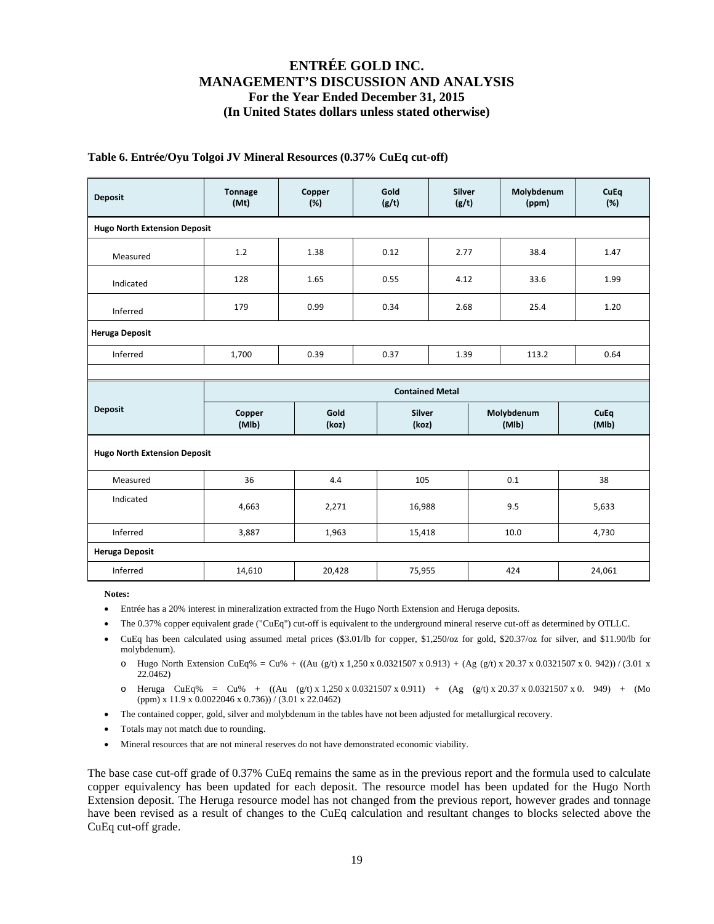### **Table 6. Entrée/Oyu Tolgoi JV Mineral Resources (0.37% CuEq cut-off)**

| <b>Deposit</b>                      | <b>Tonnage</b><br>(Mt)                   | Copper<br>(%) | Gold<br>(g/t)          |            | Molybdenum<br>(ppm) | CuEq<br>(%) |  |  |  |  |
|-------------------------------------|------------------------------------------|---------------|------------------------|------------|---------------------|-------------|--|--|--|--|
| <b>Hugo North Extension Deposit</b> |                                          |               |                        |            |                     |             |  |  |  |  |
| Measured                            | 1.2                                      | 1.38          | 0.12                   |            | 38.4                | 1.47        |  |  |  |  |
| Indicated                           | 128                                      | 1.65          | 0.55                   | 4.12       | 33.6                | 1.99        |  |  |  |  |
| Inferred                            | 179                                      | 0.99          | 0.34                   | 2.68       | 25.4                | 1.20        |  |  |  |  |
| <b>Heruga Deposit</b>               |                                          |               |                        |            |                     |             |  |  |  |  |
| Inferred                            | 1,700                                    | 0.39          | 0.37                   |            | 113.2               | 0.64        |  |  |  |  |
|                                     |                                          |               |                        |            |                     |             |  |  |  |  |
|                                     |                                          |               | <b>Contained Metal</b> |            |                     |             |  |  |  |  |
| <b>Deposit</b>                      | Gold<br><b>Silver</b><br>Copper<br>(koz) |               |                        | Molybdenum | <b>CuEq</b>         |             |  |  |  |  |
|                                     | (MIb)                                    | (koz)         |                        |            | (MIb)               | (MIb)       |  |  |  |  |
| <b>Hugo North Extension Deposit</b> |                                          |               |                        |            |                     |             |  |  |  |  |
| Measured                            | 36                                       | 4.4           | 105                    |            | 0.1                 | 38          |  |  |  |  |
| Indicated                           | 4,663                                    | 2,271         | 16,988                 |            | 9.5                 | 5,633       |  |  |  |  |
| Inferred                            | 3,887                                    | 1,963         | 15,418                 |            | 10.0                | 4,730       |  |  |  |  |
| <b>Heruga Deposit</b>               |                                          |               |                        |            |                     |             |  |  |  |  |

**Notes:** 

- Entrée has a 20% interest in mineralization extracted from the Hugo North Extension and Heruga deposits.
- The 0.37% copper equivalent grade ("CuEq") cut-off is equivalent to the underground mineral reserve cut-off as determined by OTLLC.
- CuEq has been calculated using assumed metal prices (\$3.01/lb for copper, \$1,250/oz for gold, \$20.37/oz for silver, and \$11.90/lb for molybdenum).
	- o Hugo North Extension CuEq% = Cu% + ((Au (g/t) x 1,250 x 0.0321507 x 0.913) + (Ag (g/t) x 20.37 x 0.0321507 x 0.942)) / (3.01 x 22.0462)
	- o Heruga CuEq% = Cu% +  $((Au (g/t) x 1,250 x 0.0321507 x 0.911) + (Ag (g/t) x 20.37 x 0.0321507 x 0. 949) + (Mo(t) x 1,250 x 0.0321507 x 0. 949))$ (ppm) x 11.9 x 0.0022046 x 0.736)) / (3.01 x 22.0462)
- The contained copper, gold, silver and molybdenum in the tables have not been adjusted for metallurgical recovery.
- Totals may not match due to rounding.
- Mineral resources that are not mineral reserves do not have demonstrated economic viability.

The base case cut-off grade of 0.37% CuEq remains the same as in the previous report and the formula used to calculate copper equivalency has been updated for each deposit. The resource model has been updated for the Hugo North Extension deposit. The Heruga resource model has not changed from the previous report, however grades and tonnage have been revised as a result of changes to the CuEq calculation and resultant changes to blocks selected above the CuEq cut-off grade.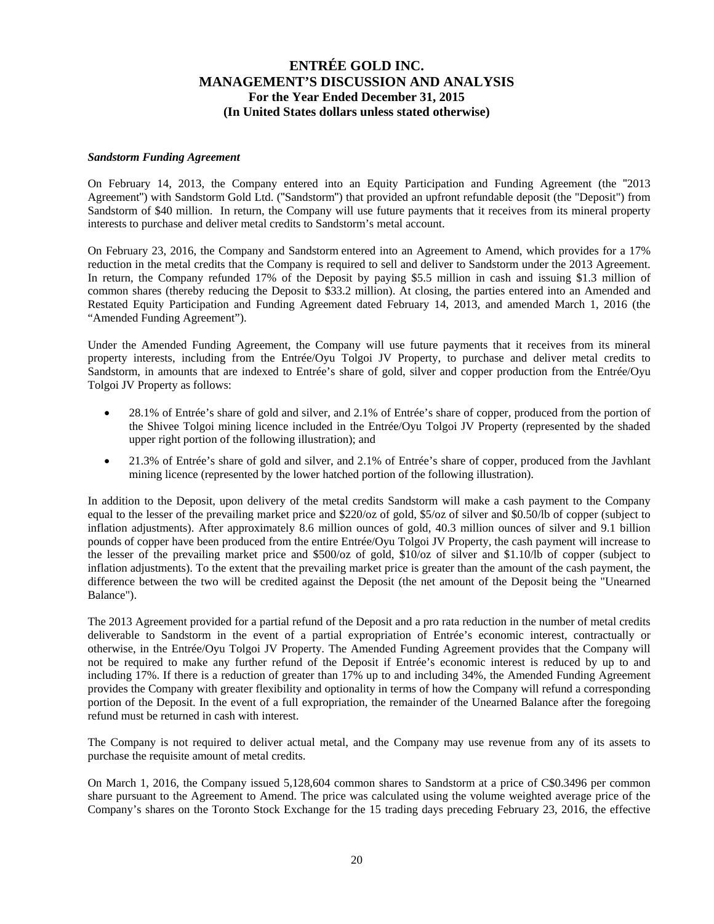#### *Sandstorm Funding Agreement*

On February 14, 2013, the Company entered into an Equity Participation and Funding Agreement (the "2013 Agreement") with Sandstorm Gold Ltd. ("Sandstorm") that provided an upfront refundable deposit (the "Deposit") from Sandstorm of \$40 million. In return, the Company will use future payments that it receives from its mineral property interests to purchase and deliver metal credits to Sandstorm's metal account.

On February 23, 2016, the Company and Sandstorm entered into an Agreement to Amend, which provides for a 17% reduction in the metal credits that the Company is required to sell and deliver to Sandstorm under the 2013 Agreement. In return, the Company refunded 17% of the Deposit by paying \$5.5 million in cash and issuing \$1.3 million of common shares (thereby reducing the Deposit to \$33.2 million). At closing, the parties entered into an Amended and Restated Equity Participation and Funding Agreement dated February 14, 2013, and amended March 1, 2016 (the "Amended Funding Agreement").

Under the Amended Funding Agreement, the Company will use future payments that it receives from its mineral property interests, including from the Entrée/Oyu Tolgoi JV Property, to purchase and deliver metal credits to Sandstorm, in amounts that are indexed to Entrée's share of gold, silver and copper production from the Entrée/Oyu Tolgoi JV Property as follows:

- 28.1% of Entrée's share of gold and silver, and 2.1% of Entrée's share of copper, produced from the portion of the Shivee Tolgoi mining licence included in the Entrée/Oyu Tolgoi JV Property (represented by the shaded upper right portion of the following illustration); and
- 21.3% of Entrée's share of gold and silver, and 2.1% of Entrée's share of copper, produced from the Javhlant mining licence (represented by the lower hatched portion of the following illustration).

In addition to the Deposit, upon delivery of the metal credits Sandstorm will make a cash payment to the Company equal to the lesser of the prevailing market price and \$220/oz of gold, \$5/oz of silver and \$0.50/lb of copper (subject to inflation adjustments). After approximately 8.6 million ounces of gold, 40.3 million ounces of silver and 9.1 billion pounds of copper have been produced from the entire Entrée/Oyu Tolgoi JV Property, the cash payment will increase to the lesser of the prevailing market price and \$500/oz of gold, \$10/oz of silver and \$1.10/lb of copper (subject to inflation adjustments). To the extent that the prevailing market price is greater than the amount of the cash payment, the difference between the two will be credited against the Deposit (the net amount of the Deposit being the "Unearned Balance").

The 2013 Agreement provided for a partial refund of the Deposit and a pro rata reduction in the number of metal credits deliverable to Sandstorm in the event of a partial expropriation of Entrée's economic interest, contractually or otherwise, in the Entrée/Oyu Tolgoi JV Property. The Amended Funding Agreement provides that the Company will not be required to make any further refund of the Deposit if Entrée's economic interest is reduced by up to and including 17%. If there is a reduction of greater than 17% up to and including 34%, the Amended Funding Agreement provides the Company with greater flexibility and optionality in terms of how the Company will refund a corresponding portion of the Deposit. In the event of a full expropriation, the remainder of the Unearned Balance after the foregoing refund must be returned in cash with interest.

The Company is not required to deliver actual metal, and the Company may use revenue from any of its assets to purchase the requisite amount of metal credits.

On March 1, 2016, the Company issued 5,128,604 common shares to Sandstorm at a price of C\$0.3496 per common share pursuant to the Agreement to Amend. The price was calculated using the volume weighted average price of the Company's shares on the Toronto Stock Exchange for the 15 trading days preceding February 23, 2016, the effective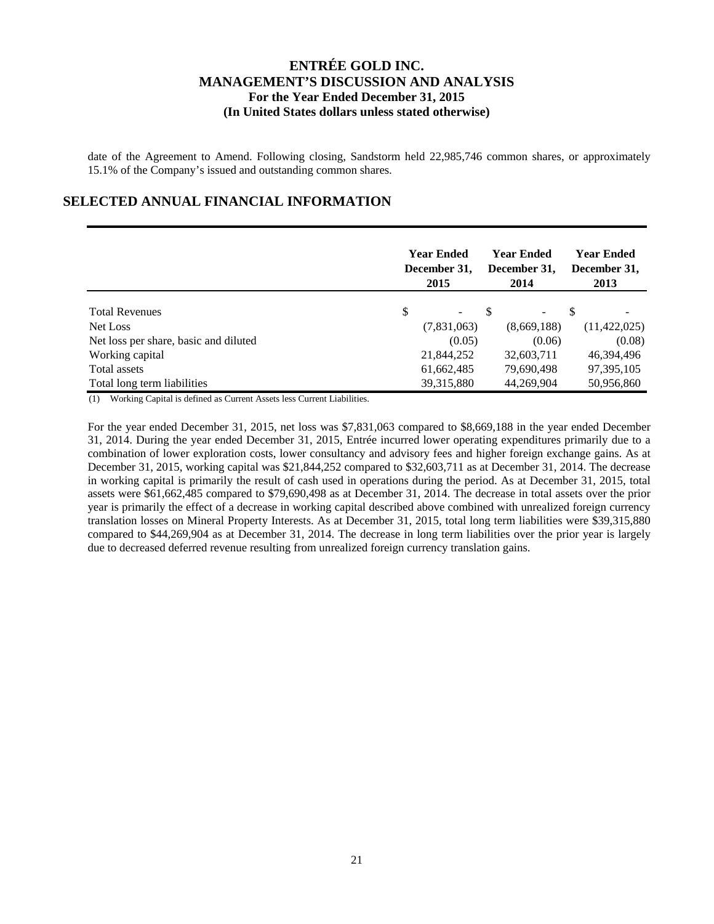date of the Agreement to Amend. Following closing, Sandstorm held 22,985,746 common shares, or approximately 15.1% of the Company's issued and outstanding common shares.

### **SELECTED ANNUAL FINANCIAL INFORMATION**

|                                       | <b>Year Ended</b><br>December 31,<br>2015 |  | Year Ended<br>December 31,<br>2014 | <b>Year Ended</b><br>December 31,<br>2013 |
|---------------------------------------|-------------------------------------------|--|------------------------------------|-------------------------------------------|
| <b>Total Revenues</b>                 | \$                                        |  |                                    | \$                                        |
| Net Loss                              | (7,831,063)                               |  | (8,669,188)                        | (11, 422, 025)                            |
| Net loss per share, basic and diluted | (0.05)                                    |  | (0.06)                             | (0.08)                                    |
| Working capital                       | 21,844,252                                |  | 32,603,711                         | 46,394,496                                |
| Total assets                          | 61,662,485                                |  | 79,690,498                         | 97, 395, 105                              |
| Total long term liabilities           | 39,315,880                                |  | 44,269,904                         | 50,956,860                                |

(1) Working Capital is defined as Current Assets less Current Liabilities.

For the year ended December 31, 2015, net loss was \$7,831,063 compared to \$8,669,188 in the year ended December 31, 2014. During the year ended December 31, 2015, Entrée incurred lower operating expenditures primarily due to a combination of lower exploration costs, lower consultancy and advisory fees and higher foreign exchange gains. As at December 31, 2015, working capital was \$21,844,252 compared to \$32,603,711 as at December 31, 2014. The decrease in working capital is primarily the result of cash used in operations during the period. As at December 31, 2015, total assets were \$61,662,485 compared to \$79,690,498 as at December 31, 2014. The decrease in total assets over the prior year is primarily the effect of a decrease in working capital described above combined with unrealized foreign currency translation losses on Mineral Property Interests. As at December 31, 2015, total long term liabilities were \$39,315,880 compared to \$44,269,904 as at December 31, 2014. The decrease in long term liabilities over the prior year is largely due to decreased deferred revenue resulting from unrealized foreign currency translation gains.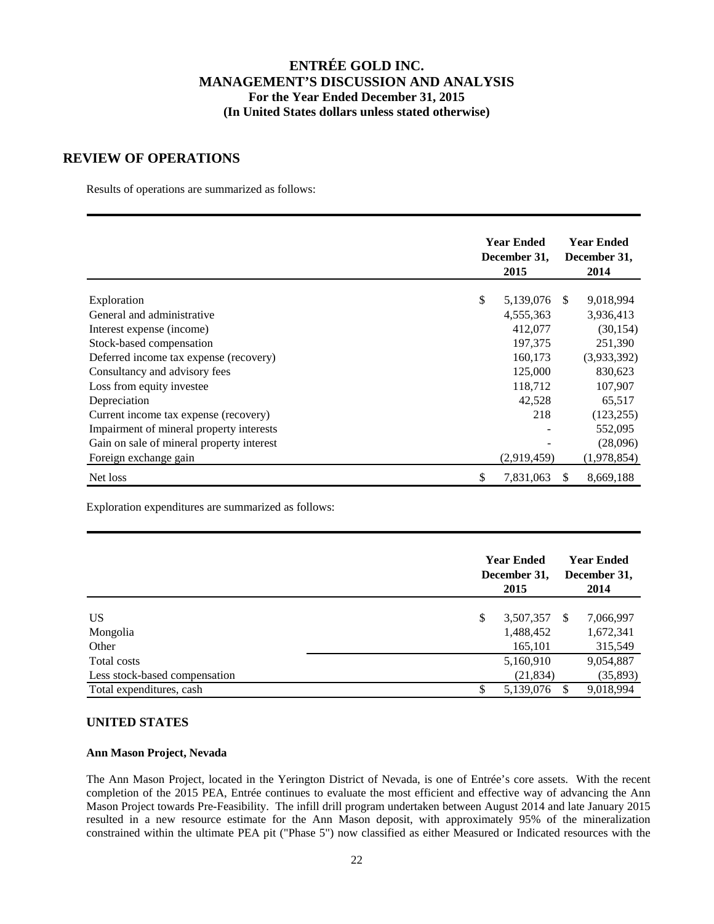### **REVIEW OF OPERATIONS**

Results of operations are summarized as follows:

|                                           | <b>Year Ended</b><br>December 31, | <b>Year Ended</b><br>December 31,<br>2014 |     |             |
|-------------------------------------------|-----------------------------------|-------------------------------------------|-----|-------------|
|                                           |                                   |                                           |     |             |
| Exploration                               | \$                                | 5,139,076                                 | -S  | 9,018,994   |
| General and administrative                |                                   | 4,555,363                                 |     | 3,936,413   |
| Interest expense (income)                 |                                   | 412,077                                   |     | (30, 154)   |
| Stock-based compensation                  |                                   | 197,375                                   |     | 251,390     |
| Deferred income tax expense (recovery)    |                                   | 160,173                                   |     | (3,933,392) |
| Consultancy and advisory fees             |                                   | 125,000                                   |     | 830,623     |
| Loss from equity investee                 |                                   | 118,712                                   |     | 107,907     |
| Depreciation                              |                                   | 42,528                                    |     | 65,517      |
| Current income tax expense (recovery)     |                                   | 218                                       |     | (123, 255)  |
| Impairment of mineral property interests  |                                   |                                           |     | 552,095     |
| Gain on sale of mineral property interest |                                   |                                           |     | (28,096)    |
| Foreign exchange gain                     |                                   | (2,919,459)                               |     | (1,978,854) |
| Net loss                                  | \$                                | 7,831,063                                 | \$. | 8,669,188   |

Exploration expenditures are summarized as follows:

|                               | <b>Year Ended</b><br>December 31,<br>2015 | <b>Year Ended</b><br>December 31,<br>2014 |
|-------------------------------|-------------------------------------------|-------------------------------------------|
|                               |                                           |                                           |
| <b>US</b>                     | \$<br>3,507,357                           | 7,066,997<br>-S                           |
| Mongolia                      | 1,488,452                                 | 1,672,341                                 |
| Other                         | 165,101                                   | 315,549                                   |
| Total costs                   | 5,160,910                                 | 9,054,887                                 |
| Less stock-based compensation | (21, 834)                                 | (35, 893)                                 |
| Total expenditures, cash      | 5,139,076<br>\$.                          | 9,018,994                                 |

### **UNITED STATES**

### **Ann Mason Project, Nevada**

The Ann Mason Project, located in the Yerington District of Nevada, is one of Entrée's core assets. With the recent completion of the 2015 PEA, Entrée continues to evaluate the most efficient and effective way of advancing the Ann Mason Project towards Pre-Feasibility. The infill drill program undertaken between August 2014 and late January 2015 resulted in a new resource estimate for the Ann Mason deposit, with approximately 95% of the mineralization constrained within the ultimate PEA pit ("Phase 5") now classified as either Measured or Indicated resources with the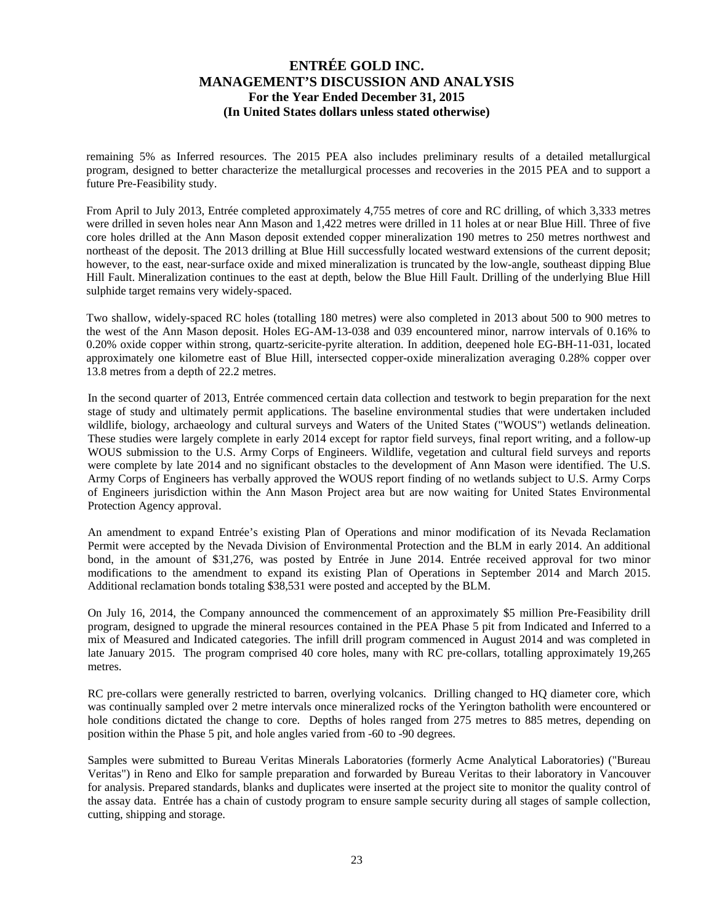remaining 5% as Inferred resources. The 2015 PEA also includes preliminary results of a detailed metallurgical program, designed to better characterize the metallurgical processes and recoveries in the 2015 PEA and to support a future Pre-Feasibility study.

From April to July 2013, Entrée completed approximately 4,755 metres of core and RC drilling, of which 3,333 metres were drilled in seven holes near Ann Mason and 1,422 metres were drilled in 11 holes at or near Blue Hill. Three of five core holes drilled at the Ann Mason deposit extended copper mineralization 190 metres to 250 metres northwest and northeast of the deposit. The 2013 drilling at Blue Hill successfully located westward extensions of the current deposit; however, to the east, near-surface oxide and mixed mineralization is truncated by the low-angle, southeast dipping Blue Hill Fault. Mineralization continues to the east at depth, below the Blue Hill Fault. Drilling of the underlying Blue Hill sulphide target remains very widely-spaced.

Two shallow, widely-spaced RC holes (totalling 180 metres) were also completed in 2013 about 500 to 900 metres to the west of the Ann Mason deposit. Holes EG-AM-13-038 and 039 encountered minor, narrow intervals of 0.16% to 0.20% oxide copper within strong, quartz-sericite-pyrite alteration. In addition, deepened hole EG-BH-11-031, located approximately one kilometre east of Blue Hill, intersected copper-oxide mineralization averaging 0.28% copper over 13.8 metres from a depth of 22.2 metres.

In the second quarter of 2013, Entrée commenced certain data collection and testwork to begin preparation for the next stage of study and ultimately permit applications. The baseline environmental studies that were undertaken included wildlife, biology, archaeology and cultural surveys and Waters of the United States ("WOUS") wetlands delineation. These studies were largely complete in early 2014 except for raptor field surveys, final report writing, and a follow-up WOUS submission to the U.S. Army Corps of Engineers. Wildlife, vegetation and cultural field surveys and reports were complete by late 2014 and no significant obstacles to the development of Ann Mason were identified. The U.S. Army Corps of Engineers has verbally approved the WOUS report finding of no wetlands subject to U.S. Army Corps of Engineers jurisdiction within the Ann Mason Project area but are now waiting for United States Environmental Protection Agency approval.

An amendment to expand Entrée's existing Plan of Operations and minor modification of its Nevada Reclamation Permit were accepted by the Nevada Division of Environmental Protection and the BLM in early 2014. An additional bond, in the amount of \$31,276, was posted by Entrée in June 2014. Entrée received approval for two minor modifications to the amendment to expand its existing Plan of Operations in September 2014 and March 2015. Additional reclamation bonds totaling \$38,531 were posted and accepted by the BLM.

On July 16, 2014, the Company announced the commencement of an approximately \$5 million Pre-Feasibility drill program, designed to upgrade the mineral resources contained in the PEA Phase 5 pit from Indicated and Inferred to a mix of Measured and Indicated categories. The infill drill program commenced in August 2014 and was completed in late January 2015. The program comprised 40 core holes, many with RC pre-collars, totalling approximately 19,265 metres.

RC pre-collars were generally restricted to barren, overlying volcanics. Drilling changed to HQ diameter core, which was continually sampled over 2 metre intervals once mineralized rocks of the Yerington batholith were encountered or hole conditions dictated the change to core. Depths of holes ranged from 275 metres to 885 metres, depending on position within the Phase 5 pit, and hole angles varied from -60 to -90 degrees.

Samples were submitted to Bureau Veritas Minerals Laboratories (formerly Acme Analytical Laboratories) ("Bureau Veritas") in Reno and Elko for sample preparation and forwarded by Bureau Veritas to their laboratory in Vancouver for analysis. Prepared standards, blanks and duplicates were inserted at the project site to monitor the quality control of the assay data. Entrée has a chain of custody program to ensure sample security during all stages of sample collection, cutting, shipping and storage.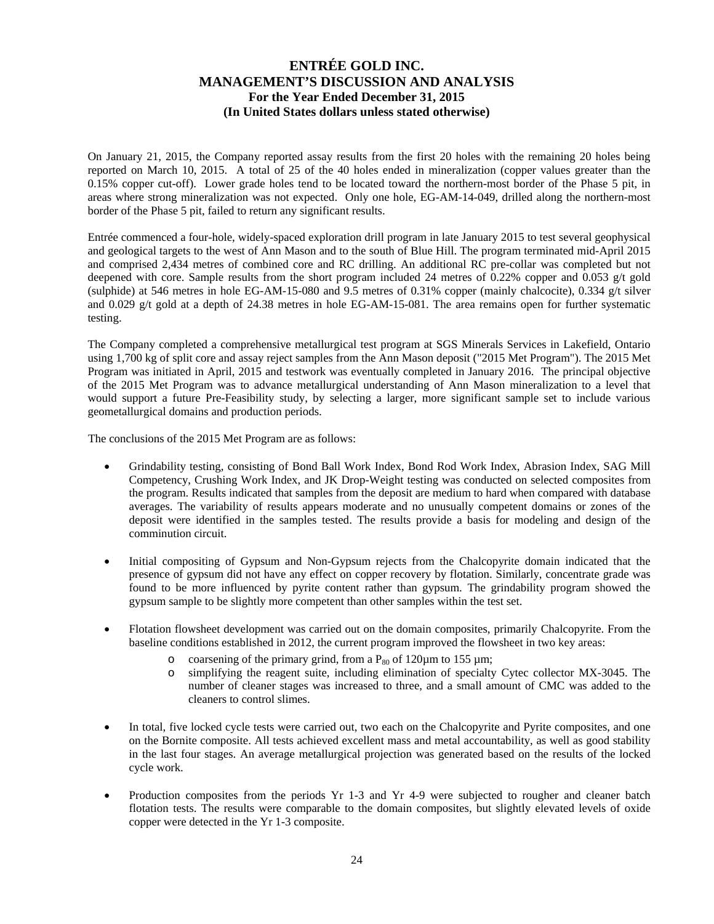On January 21, 2015, the Company reported assay results from the first 20 holes with the remaining 20 holes being reported on March 10, 2015. A total of 25 of the 40 holes ended in mineralization (copper values greater than the 0.15% copper cut-off). Lower grade holes tend to be located toward the northern-most border of the Phase 5 pit, in areas where strong mineralization was not expected. Only one hole, EG-AM-14-049, drilled along the northern-most border of the Phase 5 pit, failed to return any significant results.

Entrée commenced a four-hole, widely-spaced exploration drill program in late January 2015 to test several geophysical and geological targets to the west of Ann Mason and to the south of Blue Hill. The program terminated mid-April 2015 and comprised 2,434 metres of combined core and RC drilling. An additional RC pre-collar was completed but not deepened with core. Sample results from the short program included 24 metres of 0.22% copper and 0.053 g/t gold (sulphide) at 546 metres in hole EG-AM-15-080 and 9.5 metres of 0.31% copper (mainly chalcocite), 0.334  $g/t$  silver and 0.029 g/t gold at a depth of 24.38 metres in hole EG-AM-15-081. The area remains open for further systematic testing.

The Company completed a comprehensive metallurgical test program at SGS Minerals Services in Lakefield, Ontario using 1,700 kg of split core and assay reject samples from the Ann Mason deposit ("2015 Met Program"). The 2015 Met Program was initiated in April, 2015 and testwork was eventually completed in January 2016. The principal objective of the 2015 Met Program was to advance metallurgical understanding of Ann Mason mineralization to a level that would support a future Pre-Feasibility study, by selecting a larger, more significant sample set to include various geometallurgical domains and production periods.

The conclusions of the 2015 Met Program are as follows:

- Grindability testing, consisting of Bond Ball Work Index, Bond Rod Work Index, Abrasion Index, SAG Mill Competency, Crushing Work Index, and JK Drop-Weight testing was conducted on selected composites from the program. Results indicated that samples from the deposit are medium to hard when compared with database averages. The variability of results appears moderate and no unusually competent domains or zones of the deposit were identified in the samples tested. The results provide a basis for modeling and design of the comminution circuit.
- Initial compositing of Gypsum and Non-Gypsum rejects from the Chalcopyrite domain indicated that the presence of gypsum did not have any effect on copper recovery by flotation. Similarly, concentrate grade was found to be more influenced by pyrite content rather than gypsum. The grindability program showed the gypsum sample to be slightly more competent than other samples within the test set.
- Flotation flowsheet development was carried out on the domain composites, primarily Chalcopyrite. From the baseline conditions established in 2012, the current program improved the flowsheet in two key areas:
	- o coarsening of the primary grind, from a  $P_{80}$  of 120 $\mu$ m to 155  $\mu$ m;
	- o simplifying the reagent suite, including elimination of specialty Cytec collector MX-3045. The number of cleaner stages was increased to three, and a small amount of CMC was added to the cleaners to control slimes.
- In total, five locked cycle tests were carried out, two each on the Chalcopyrite and Pyrite composites, and one on the Bornite composite. All tests achieved excellent mass and metal accountability, as well as good stability in the last four stages. An average metallurgical projection was generated based on the results of the locked cycle work.
- Production composites from the periods Yr 1-3 and Yr 4-9 were subjected to rougher and cleaner batch flotation tests. The results were comparable to the domain composites, but slightly elevated levels of oxide copper were detected in the Yr 1-3 composite.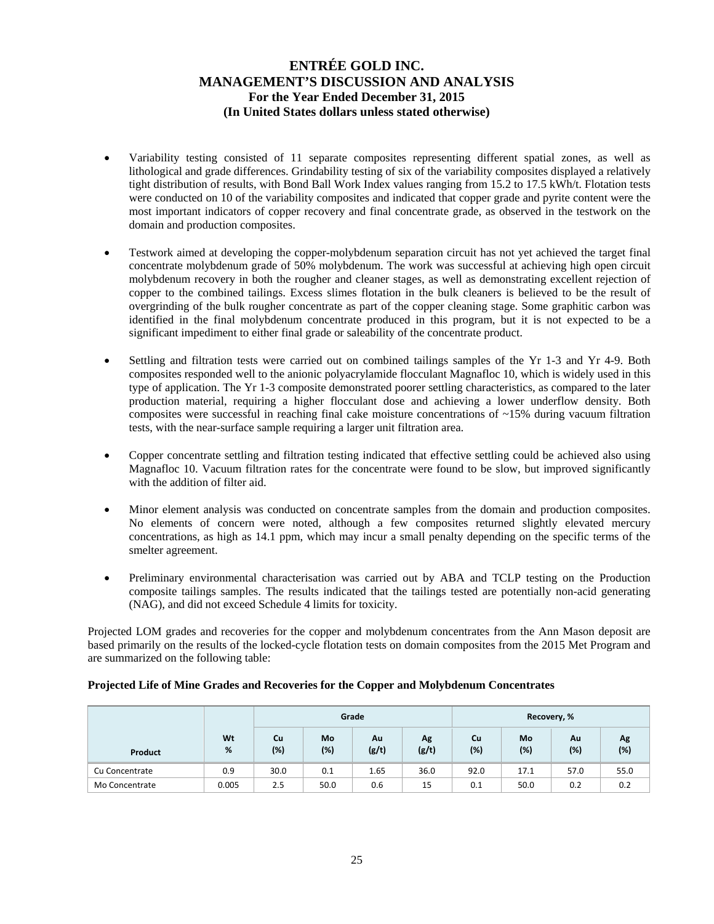- Variability testing consisted of 11 separate composites representing different spatial zones, as well as lithological and grade differences. Grindability testing of six of the variability composites displayed a relatively tight distribution of results, with Bond Ball Work Index values ranging from 15.2 to 17.5 kWh/t. Flotation tests were conducted on 10 of the variability composites and indicated that copper grade and pyrite content were the most important indicators of copper recovery and final concentrate grade, as observed in the testwork on the domain and production composites.
- Testwork aimed at developing the copper-molybdenum separation circuit has not yet achieved the target final concentrate molybdenum grade of 50% molybdenum. The work was successful at achieving high open circuit molybdenum recovery in both the rougher and cleaner stages, as well as demonstrating excellent rejection of copper to the combined tailings. Excess slimes flotation in the bulk cleaners is believed to be the result of overgrinding of the bulk rougher concentrate as part of the copper cleaning stage. Some graphitic carbon was identified in the final molybdenum concentrate produced in this program, but it is not expected to be a significant impediment to either final grade or saleability of the concentrate product.
- Settling and filtration tests were carried out on combined tailings samples of the Yr 1-3 and Yr 4-9. Both composites responded well to the anionic polyacrylamide flocculant Magnafloc 10, which is widely used in this type of application. The Yr 1-3 composite demonstrated poorer settling characteristics, as compared to the later production material, requiring a higher flocculant dose and achieving a lower underflow density. Both composites were successful in reaching final cake moisture concentrations of  $\sim$ 15% during vacuum filtration tests, with the near-surface sample requiring a larger unit filtration area.
- Copper concentrate settling and filtration testing indicated that effective settling could be achieved also using Magnafloc 10. Vacuum filtration rates for the concentrate were found to be slow, but improved significantly with the addition of filter aid.
- Minor element analysis was conducted on concentrate samples from the domain and production composites. No elements of concern were noted, although a few composites returned slightly elevated mercury concentrations, as high as 14.1 ppm, which may incur a small penalty depending on the specific terms of the smelter agreement.
- Preliminary environmental characterisation was carried out by ABA and TCLP testing on the Production composite tailings samples. The results indicated that the tailings tested are potentially non-acid generating (NAG), and did not exceed Schedule 4 limits for toxicity.

Projected LOM grades and recoveries for the copper and molybdenum concentrates from the Ann Mason deposit are based primarily on the results of the locked-cycle flotation tests on domain composites from the 2015 Met Program and are summarized on the following table:

|                |         |                  |           | Grade       |             | Recovery, % |           |           |           |
|----------------|---------|------------------|-----------|-------------|-------------|-------------|-----------|-----------|-----------|
| Product        | Wt<br>% | <b>Cu</b><br>(%) | Mo<br>(%) | Au<br>(g/t) | Ag<br>(g/t) | Cu<br>(%)   | Mo<br>(%) | Λu<br>(%) | Λg<br>(%) |
| Cu Concentrate | 0.9     | 30.0             | 0.1       | 1.65        | 36.0        | 92.0        | 17.1      | 57.0      | 55.0      |
| Mo Concentrate | 0.005   | 2.5              | 50.0      | 0.6         | 15          | 0.1         | 50.0      | 0.2       | 0.2       |

### **Projected Life of Mine Grades and Recoveries for the Copper and Molybdenum Concentrates**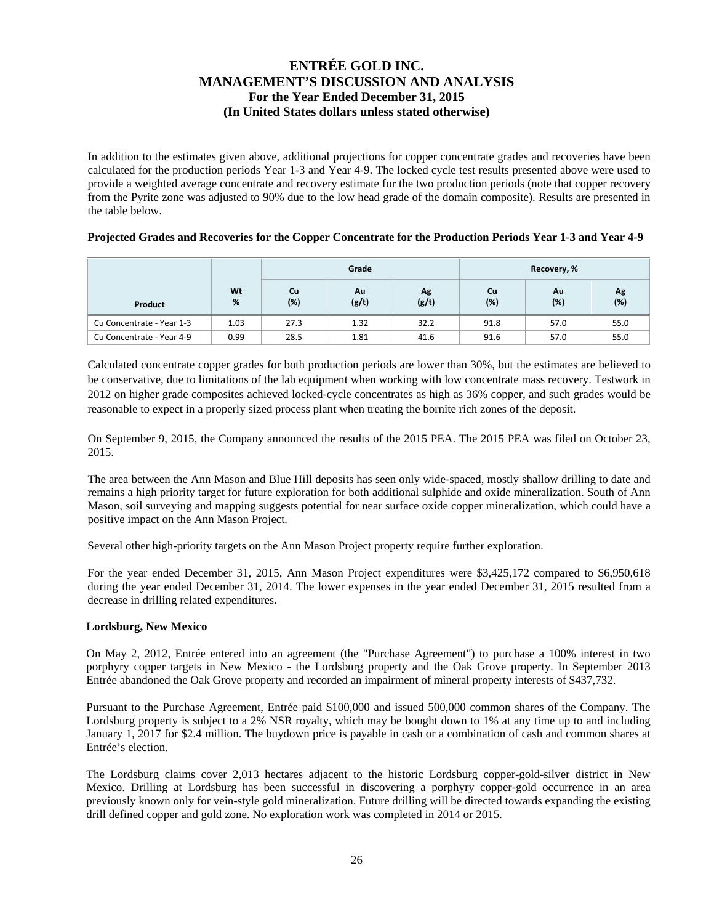In addition to the estimates given above, additional projections for copper concentrate grades and recoveries have been calculated for the production periods Year 1-3 and Year 4-9. The locked cycle test results presented above were used to provide a weighted average concentrate and recovery estimate for the two production periods (note that copper recovery from the Pyrite zone was adjusted to 90% due to the low head grade of the domain composite). Results are presented in the table below.

### **Projected Grades and Recoveries for the Copper Concentrate for the Production Periods Year 1-3 and Year 4-9**

|                           |         |           | Grade       |             | Recovery, % |           |           |  |
|---------------------------|---------|-----------|-------------|-------------|-------------|-----------|-----------|--|
| Product                   | Wt<br>% | Cu<br>(%) | Au<br>(g/t) | Ag<br>(g/t) | Cu<br>(%)   | Au<br>(%) | Ag<br>(%) |  |
| Cu Concentrate - Year 1-3 | 1.03    | 27.3      | 1.32        | 32.2        | 91.8        | 57.0      | 55.0      |  |
| Cu Concentrate - Year 4-9 | 0.99    | 28.5      | 1.81        | 41.6        | 91.6        | 57.0      | 55.0      |  |

Calculated concentrate copper grades for both production periods are lower than 30%, but the estimates are believed to be conservative, due to limitations of the lab equipment when working with low concentrate mass recovery. Testwork in 2012 on higher grade composites achieved locked-cycle concentrates as high as 36% copper, and such grades would be reasonable to expect in a properly sized process plant when treating the bornite rich zones of the deposit.

On September 9, 2015, the Company announced the results of the 2015 PEA. The 2015 PEA was filed on October 23, 2015.

The area between the Ann Mason and Blue Hill deposits has seen only wide-spaced, mostly shallow drilling to date and remains a high priority target for future exploration for both additional sulphide and oxide mineralization. South of Ann Mason, soil surveying and mapping suggests potential for near surface oxide copper mineralization, which could have a positive impact on the Ann Mason Project.

Several other high-priority targets on the Ann Mason Project property require further exploration.

For the year ended December 31, 2015, Ann Mason Project expenditures were \$3,425,172 compared to \$6,950,618 during the year ended December 31, 2014. The lower expenses in the year ended December 31, 2015 resulted from a decrease in drilling related expenditures.

### **Lordsburg, New Mexico**

On May 2, 2012, Entrée entered into an agreement (the "Purchase Agreement") to purchase a 100% interest in two porphyry copper targets in New Mexico - the Lordsburg property and the Oak Grove property. In September 2013 Entrée abandoned the Oak Grove property and recorded an impairment of mineral property interests of \$437,732.

Pursuant to the Purchase Agreement, Entrée paid \$100,000 and issued 500,000 common shares of the Company. The Lordsburg property is subject to a 2% NSR royalty, which may be bought down to 1% at any time up to and including January 1, 2017 for \$2.4 million. The buydown price is payable in cash or a combination of cash and common shares at Entrée's election.

The Lordsburg claims cover 2,013 hectares adjacent to the historic Lordsburg copper-gold-silver district in New Mexico. Drilling at Lordsburg has been successful in discovering a porphyry copper-gold occurrence in an area previously known only for vein-style gold mineralization. Future drilling will be directed towards expanding the existing drill defined copper and gold zone. No exploration work was completed in 2014 or 2015.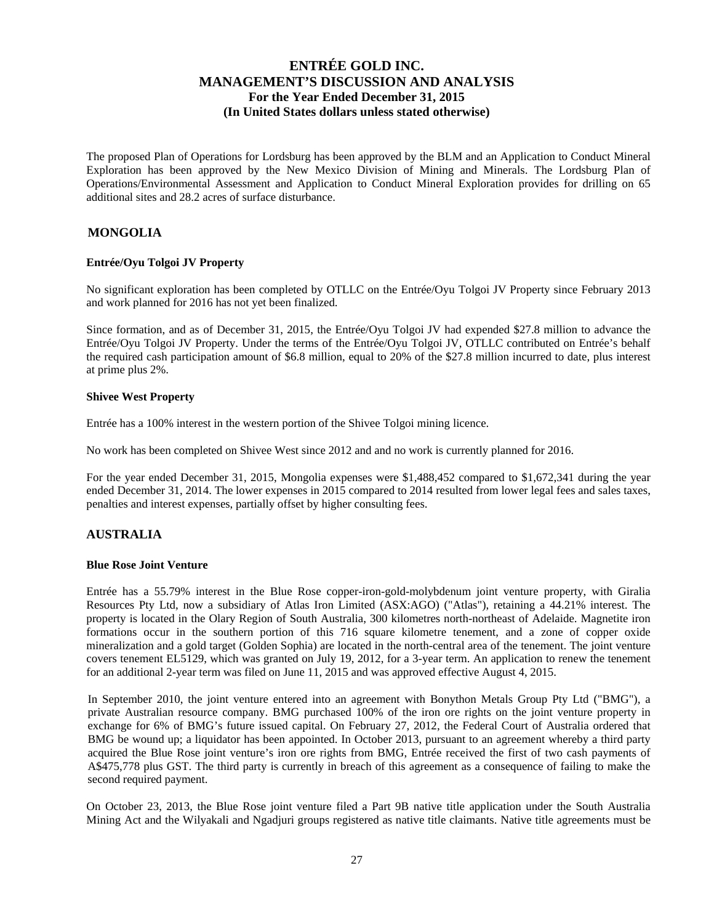The proposed Plan of Operations for Lordsburg has been approved by the BLM and an Application to Conduct Mineral Exploration has been approved by the New Mexico Division of Mining and Minerals. The Lordsburg Plan of Operations/Environmental Assessment and Application to Conduct Mineral Exploration provides for drilling on 65 additional sites and 28.2 acres of surface disturbance.

### **MONGOLIA**

### **Entrée/Oyu Tolgoi JV Property**

No significant exploration has been completed by OTLLC on the Entrée/Oyu Tolgoi JV Property since February 2013 and work planned for 2016 has not yet been finalized.

Since formation, and as of December 31, 2015, the Entrée/Oyu Tolgoi JV had expended \$27.8 million to advance the Entrée/Oyu Tolgoi JV Property. Under the terms of the Entrée/Oyu Tolgoi JV, OTLLC contributed on Entrée's behalf the required cash participation amount of \$6.8 million, equal to 20% of the \$27.8 million incurred to date, plus interest at prime plus 2%.

### **Shivee West Property**

Entrée has a 100% interest in the western portion of the Shivee Tolgoi mining licence.

No work has been completed on Shivee West since 2012 and and no work is currently planned for 2016.

For the year ended December 31, 2015, Mongolia expenses were \$1,488,452 compared to \$1,672,341 during the year ended December 31, 2014. The lower expenses in 2015 compared to 2014 resulted from lower legal fees and sales taxes, penalties and interest expenses, partially offset by higher consulting fees.

### **AUSTRALIA**

#### **Blue Rose Joint Venture**

Entrée has a 55.79% interest in the Blue Rose copper-iron-gold-molybdenum joint venture property, with Giralia Resources Pty Ltd, now a subsidiary of Atlas Iron Limited (ASX:AGO) ("Atlas"), retaining a 44.21% interest. The property is located in the Olary Region of South Australia, 300 kilometres north-northeast of Adelaide. Magnetite iron formations occur in the southern portion of this 716 square kilometre tenement, and a zone of copper oxide mineralization and a gold target (Golden Sophia) are located in the north-central area of the tenement. The joint venture covers tenement EL5129, which was granted on July 19, 2012, for a 3-year term. An application to renew the tenement for an additional 2-year term was filed on June 11, 2015 and was approved effective August 4, 2015.

In September 2010, the joint venture entered into an agreement with Bonython Metals Group Pty Ltd ("BMG"), a private Australian resource company. BMG purchased 100% of the iron ore rights on the joint venture property in exchange for 6% of BMG's future issued capital. On February 27, 2012, the Federal Court of Australia ordered that BMG be wound up; a liquidator has been appointed. In October 2013, pursuant to an agreement whereby a third party acquired the Blue Rose joint venture's iron ore rights from BMG, Entrée received the first of two cash payments of A\$475,778 plus GST. The third party is currently in breach of this agreement as a consequence of failing to make the second required payment.

On October 23, 2013, the Blue Rose joint venture filed a Part 9B native title application under the South Australia Mining Act and the Wilyakali and Ngadjuri groups registered as native title claimants. Native title agreements must be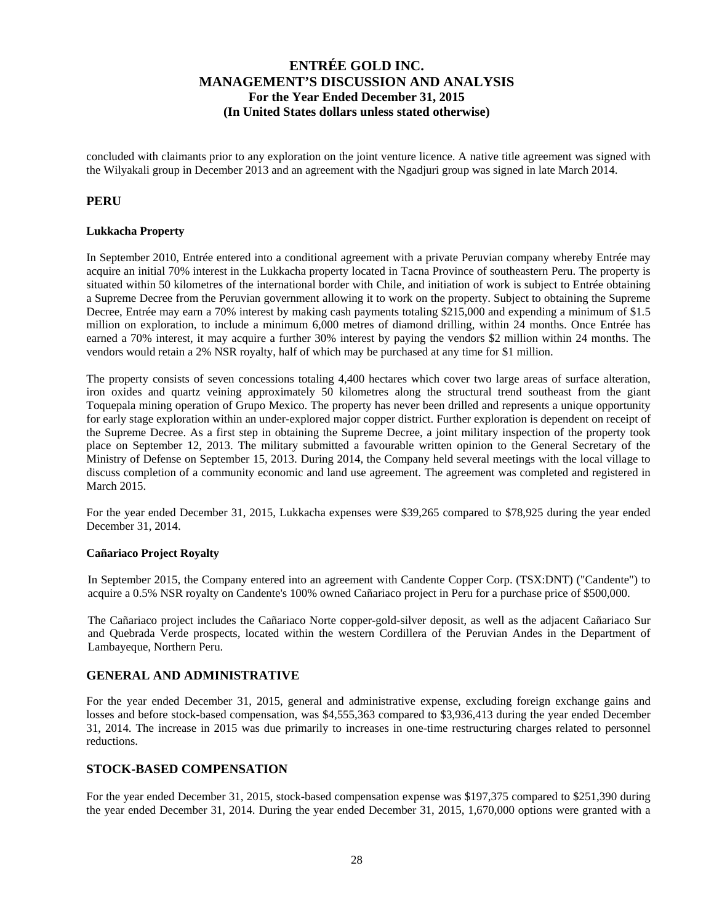concluded with claimants prior to any exploration on the joint venture licence. A native title agreement was signed with the Wilyakali group in December 2013 and an agreement with the Ngadjuri group was signed in late March 2014.

### **PERU**

### **Lukkacha Property**

In September 2010, Entrée entered into a conditional agreement with a private Peruvian company whereby Entrée may acquire an initial 70% interest in the Lukkacha property located in Tacna Province of southeastern Peru. The property is situated within 50 kilometres of the international border with Chile, and initiation of work is subject to Entrée obtaining a Supreme Decree from the Peruvian government allowing it to work on the property. Subject to obtaining the Supreme Decree, Entrée may earn a 70% interest by making cash payments totaling \$215,000 and expending a minimum of \$1.5 million on exploration, to include a minimum 6,000 metres of diamond drilling, within 24 months. Once Entrée has earned a 70% interest, it may acquire a further 30% interest by paying the vendors \$2 million within 24 months. The vendors would retain a 2% NSR royalty, half of which may be purchased at any time for \$1 million.

The property consists of seven concessions totaling 4,400 hectares which cover two large areas of surface alteration, iron oxides and quartz veining approximately 50 kilometres along the structural trend southeast from the giant Toquepala mining operation of Grupo Mexico. The property has never been drilled and represents a unique opportunity for early stage exploration within an under-explored major copper district. Further exploration is dependent on receipt of the Supreme Decree. As a first step in obtaining the Supreme Decree, a joint military inspection of the property took place on September 12, 2013. The military submitted a favourable written opinion to the General Secretary of the Ministry of Defense on September 15, 2013. During 2014, the Company held several meetings with the local village to discuss completion of a community economic and land use agreement. The agreement was completed and registered in March 2015.

For the year ended December 31, 2015, Lukkacha expenses were \$39,265 compared to \$78,925 during the year ended December 31, 2014.

#### **Cañariaco Project Royalty**

In September 2015, the Company entered into an agreement with Candente Copper Corp. (TSX:DNT) ("Candente") to acquire a 0.5% NSR royalty on Candente's 100% owned Cañariaco project in Peru for a purchase price of \$500,000.

The Cañariaco project includes the Cañariaco Norte copper-gold-silver deposit, as well as the adjacent Cañariaco Sur and Quebrada Verde prospects, located within the western Cordillera of the Peruvian Andes in the Department of Lambayeque, Northern Peru.

### **GENERAL AND ADMINISTRATIVE**

For the year ended December 31, 2015, general and administrative expense, excluding foreign exchange gains and losses and before stock-based compensation, was \$4,555,363 compared to \$3,936,413 during the year ended December 31, 2014. The increase in 2015 was due primarily to increases in one-time restructuring charges related to personnel reductions.

### **STOCK-BASED COMPENSATION**

For the year ended December 31, 2015, stock-based compensation expense was \$197,375 compared to \$251,390 during the year ended December 31, 2014. During the year ended December 31, 2015, 1,670,000 options were granted with a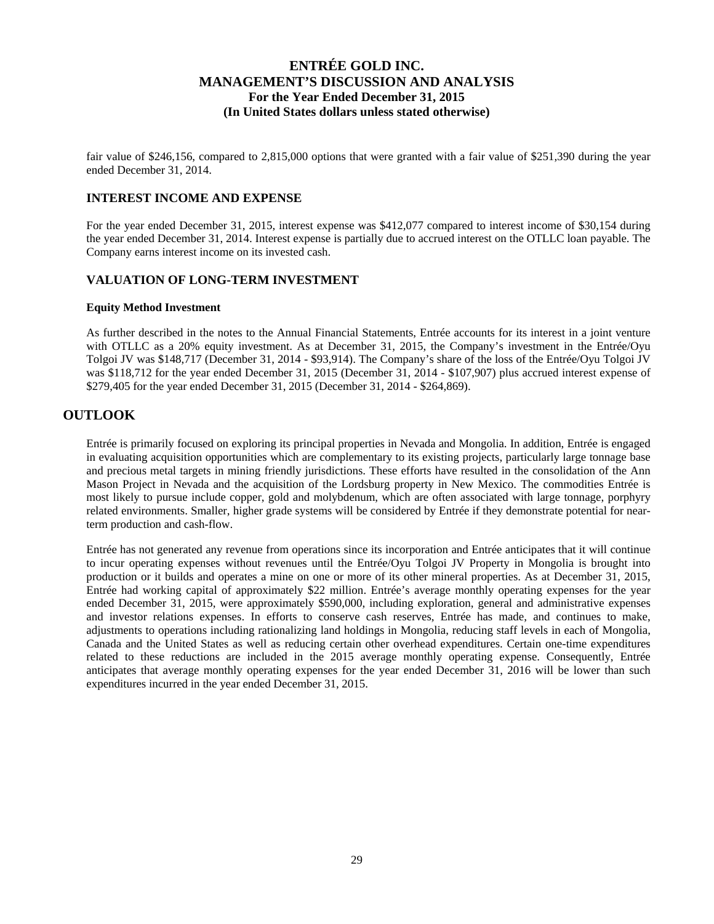fair value of \$246,156, compared to 2,815,000 options that were granted with a fair value of \$251,390 during the year ended December 31, 2014.

### **INTEREST INCOME AND EXPENSE**

For the year ended December 31, 2015, interest expense was \$412,077 compared to interest income of \$30,154 during the year ended December 31, 2014. Interest expense is partially due to accrued interest on the OTLLC loan payable. The Company earns interest income on its invested cash.

### **VALUATION OF LONG-TERM INVESTMENT**

#### **Equity Method Investment**

As further described in the notes to the Annual Financial Statements, Entrée accounts for its interest in a joint venture with OTLLC as a 20% equity investment. As at December 31, 2015, the Company's investment in the Entrée/Oyu Tolgoi JV was \$148,717 (December 31, 2014 - \$93,914). The Company's share of the loss of the Entrée/Oyu Tolgoi JV was \$118,712 for the year ended December 31, 2015 (December 31, 2014 - \$107,907) plus accrued interest expense of \$279,405 for the year ended December 31, 2015 (December 31, 2014 - \$264,869).

## **OUTLOOK**

Entrée is primarily focused on exploring its principal properties in Nevada and Mongolia. In addition, Entrée is engaged in evaluating acquisition opportunities which are complementary to its existing projects, particularly large tonnage base and precious metal targets in mining friendly jurisdictions. These efforts have resulted in the consolidation of the Ann Mason Project in Nevada and the acquisition of the Lordsburg property in New Mexico. The commodities Entrée is most likely to pursue include copper, gold and molybdenum, which are often associated with large tonnage, porphyry related environments. Smaller, higher grade systems will be considered by Entrée if they demonstrate potential for nearterm production and cash-flow.

Entrée has not generated any revenue from operations since its incorporation and Entrée anticipates that it will continue to incur operating expenses without revenues until the Entrée/Oyu Tolgoi JV Property in Mongolia is brought into production or it builds and operates a mine on one or more of its other mineral properties. As at December 31, 2015, Entrée had working capital of approximately \$22 million. Entrée's average monthly operating expenses for the year ended December 31, 2015, were approximately \$590,000, including exploration, general and administrative expenses and investor relations expenses. In efforts to conserve cash reserves, Entrée has made, and continues to make, adjustments to operations including rationalizing land holdings in Mongolia, reducing staff levels in each of Mongolia, Canada and the United States as well as reducing certain other overhead expenditures. Certain one-time expenditures related to these reductions are included in the 2015 average monthly operating expense. Consequently, Entrée anticipates that average monthly operating expenses for the year ended December 31, 2016 will be lower than such expenditures incurred in the year ended December 31, 2015.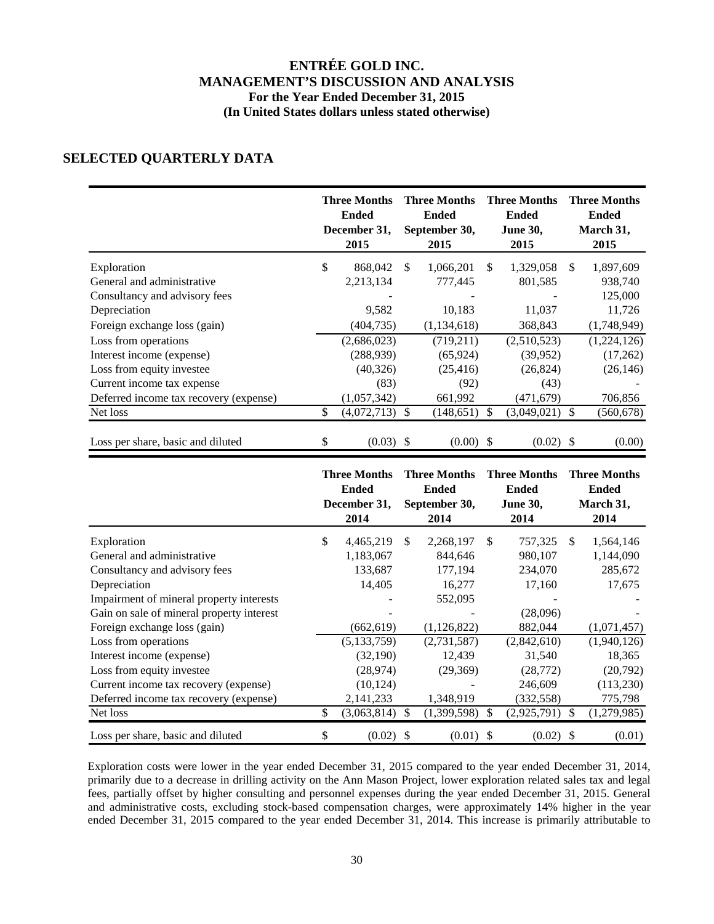### **SELECTED QUARTERLY DATA**

|                                        | <b>Three Months</b><br><b>Ended</b><br>December 31,<br>2015 |     | <b>Three Months</b><br><b>Ended</b><br>September 30,<br>2015 |     | <b>Three Months</b><br><b>Ended</b><br><b>June 30,</b><br>2015 |    | <b>Three Months</b><br><b>Ended</b><br>March 31,<br>2015 |
|----------------------------------------|-------------------------------------------------------------|-----|--------------------------------------------------------------|-----|----------------------------------------------------------------|----|----------------------------------------------------------|
| Exploration                            | \$<br>868,042                                               | \$. | 1,066,201                                                    | \$. | 1,329,058                                                      | S. | 1,897,609                                                |
| General and administrative             | 2,213,134                                                   |     | 777,445                                                      |     | 801,585                                                        |    | 938,740                                                  |
| Consultancy and advisory fees          |                                                             |     |                                                              |     |                                                                |    | 125,000                                                  |
| Depreciation                           | 9,582                                                       |     | 10,183                                                       |     | 11,037                                                         |    | 11,726                                                   |
| Foreign exchange loss (gain)           | (404, 735)                                                  |     | (1,134,618)                                                  |     | 368,843                                                        |    | (1,748,949)                                              |
| Loss from operations                   | (2,686,023)                                                 |     | (719,211)                                                    |     | (2,510,523)                                                    |    | (1,224,126)                                              |
| Interest income (expense)              | (288, 939)                                                  |     | (65, 924)                                                    |     | (39, 952)                                                      |    | (17,262)                                                 |
| Loss from equity investee              | (40, 326)                                                   |     | (25, 416)                                                    |     | (26, 824)                                                      |    | (26, 146)                                                |
| Current income tax expense             | (83)                                                        |     | (92)                                                         |     | (43)                                                           |    |                                                          |
| Deferred income tax recovery (expense) | (1,057,342)                                                 |     | 661,992                                                      |     | (471, 679)                                                     |    | 706,856                                                  |
| Net loss                               | \$<br>$(4,072,713)$ \$                                      |     | (148, 651)                                                   | £.  | (3,049,021)                                                    |    | (560, 678)                                               |
| Loss per share, basic and diluted      | \$<br>$(0.03)$ \$                                           |     | $(0.00)$ \$                                                  |     | $(0.02)$ \$                                                    |    | (0.00)                                                   |

|                                           | <b>Three Months</b><br><b>Ended</b><br>December 31,<br>2014 |               | <b>Three Months</b><br><b>Ended</b><br>September 30,<br>2014 |               | <b>Three Months</b><br><b>Ended</b><br><b>June 30,</b><br>2014 |     | <b>Three Months</b><br><b>Ended</b><br>March 31,<br>2014 |
|-------------------------------------------|-------------------------------------------------------------|---------------|--------------------------------------------------------------|---------------|----------------------------------------------------------------|-----|----------------------------------------------------------|
| Exploration                               | \$<br>4,465,219                                             | \$.           | 2,268,197                                                    | <sup>\$</sup> | 757,325                                                        | \$. | 1,564,146                                                |
| General and administrative                | 1,183,067                                                   |               | 844,646                                                      |               | 980,107                                                        |     | 1,144,090                                                |
| Consultancy and advisory fees             | 133,687                                                     |               | 177,194                                                      |               | 234,070                                                        |     | 285,672                                                  |
| Depreciation                              | 14,405                                                      |               | 16,277                                                       |               | 17,160                                                         |     | 17,675                                                   |
| Impairment of mineral property interests  |                                                             |               | 552,095                                                      |               |                                                                |     |                                                          |
| Gain on sale of mineral property interest |                                                             |               |                                                              |               | (28,096)                                                       |     |                                                          |
| Foreign exchange loss (gain)              | (662, 619)                                                  |               | (1,126,822)                                                  |               | 882,044                                                        |     | (1,071,457)                                              |
| Loss from operations                      | (5, 133, 759)                                               |               | (2,731,587)                                                  |               | (2,842,610)                                                    |     | (1,940,126)                                              |
| Interest income (expense)                 | (32, 190)                                                   |               | 12,439                                                       |               | 31,540                                                         |     | 18,365                                                   |
| Loss from equity investee                 | (28, 974)                                                   |               | (29,369)                                                     |               | (28, 772)                                                      |     | (20,792)                                                 |
| Current income tax recovery (expense)     | (10, 124)                                                   |               |                                                              |               | 246,609                                                        |     | (113,230)                                                |
| Deferred income tax recovery (expense)    | 2,141,233                                                   |               | 1,348,919                                                    |               | (332, 558)                                                     |     | 775,798                                                  |
| Net loss                                  | \$<br>(3,063,814)                                           | <sup>\$</sup> | (1,399,598)                                                  | \$            | (2,925,791)                                                    | \$. | (1,279,985)                                              |
| Loss per share, basic and diluted         | \$<br>$(0.02)$ \$                                           |               | $(0.01)$ \$                                                  |               | $(0.02)$ \$                                                    |     | (0.01)                                                   |

Exploration costs were lower in the year ended December 31, 2015 compared to the year ended December 31, 2014, primarily due to a decrease in drilling activity on the Ann Mason Project, lower exploration related sales tax and legal fees, partially offset by higher consulting and personnel expenses during the year ended December 31, 2015. General and administrative costs, excluding stock-based compensation charges, were approximately 14% higher in the year ended December 31, 2015 compared to the year ended December 31, 2014. This increase is primarily attributable to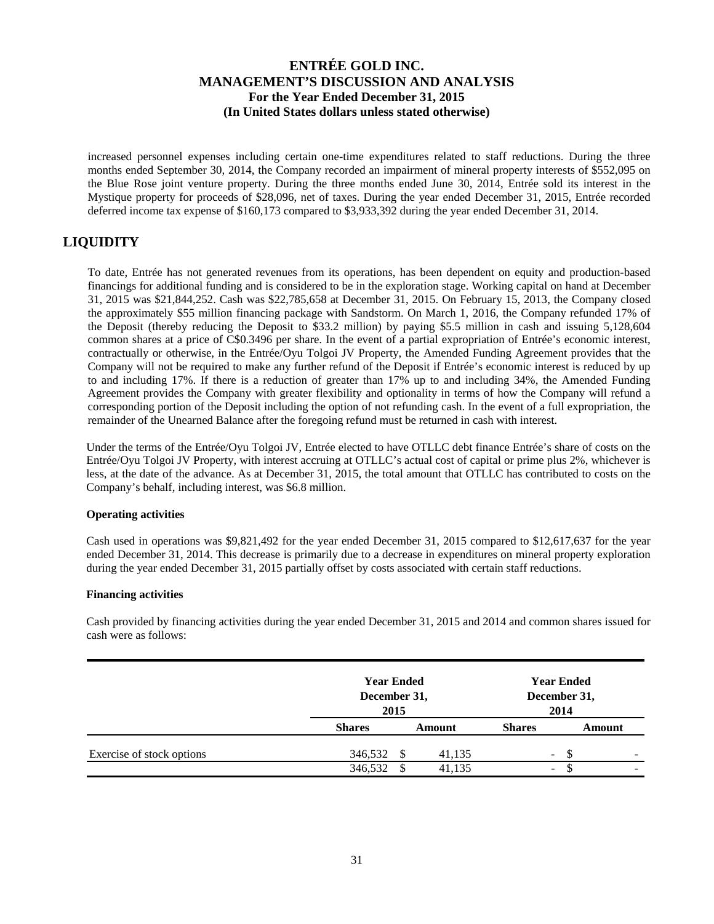increased personnel expenses including certain one-time expenditures related to staff reductions. During the three months ended September 30, 2014, the Company recorded an impairment of mineral property interests of \$552,095 on the Blue Rose joint venture property. During the three months ended June 30, 2014, Entrée sold its interest in the Mystique property for proceeds of \$28,096, net of taxes. During the year ended December 31, 2015, Entrée recorded deferred income tax expense of \$160,173 compared to \$3,933,392 during the year ended December 31, 2014.

# **LIQUIDITY**

To date, Entrée has not generated revenues from its operations, has been dependent on equity and production-based financings for additional funding and is considered to be in the exploration stage. Working capital on hand at December 31, 2015 was \$21,844,252. Cash was \$22,785,658 at December 31, 2015. On February 15, 2013, the Company closed the approximately \$55 million financing package with Sandstorm. On March 1, 2016, the Company refunded 17% of the Deposit (thereby reducing the Deposit to \$33.2 million) by paying \$5.5 million in cash and issuing 5,128,604 common shares at a price of C\$0.3496 per share. In the event of a partial expropriation of Entrée's economic interest, contractually or otherwise, in the Entrée/Oyu Tolgoi JV Property, the Amended Funding Agreement provides that the Company will not be required to make any further refund of the Deposit if Entrée's economic interest is reduced by up to and including 17%. If there is a reduction of greater than 17% up to and including 34%, the Amended Funding Agreement provides the Company with greater flexibility and optionality in terms of how the Company will refund a corresponding portion of the Deposit including the option of not refunding cash. In the event of a full expropriation, the remainder of the Unearned Balance after the foregoing refund must be returned in cash with interest.

Under the terms of the Entrée/Oyu Tolgoi JV, Entrée elected to have OTLLC debt finance Entrée's share of costs on the Entrée/Oyu Tolgoi JV Property, with interest accruing at OTLLC's actual cost of capital or prime plus 2%, whichever is less, at the date of the advance. As at December 31, 2015, the total amount that OTLLC has contributed to costs on the Company's behalf, including interest, was \$6.8 million.

### **Operating activities**

Cash used in operations was \$9,821,492 for the year ended December 31, 2015 compared to \$12,617,637 for the year ended December 31, 2014. This decrease is primarily due to a decrease in expenditures on mineral property exploration during the year ended December 31, 2015 partially offset by costs associated with certain staff reductions.

### **Financing activities**

Cash provided by financing activities during the year ended December 31, 2015 and 2014 and common shares issued for cash were as follows:

|                           |               | <b>Year Ended</b><br>December 31,<br>2015 |                          | <b>Year Ended</b><br>December 31,<br>2014 |   |  |
|---------------------------|---------------|-------------------------------------------|--------------------------|-------------------------------------------|---|--|
|                           | <b>Shares</b> | Amount                                    | <b>Shares</b>            | Amount                                    |   |  |
| Exercise of stock options | 346,532<br>S  | 41,135                                    | $\sim$                   |                                           | - |  |
|                           | 346,532       | 41,135                                    | $\overline{\phantom{0}}$ |                                           | - |  |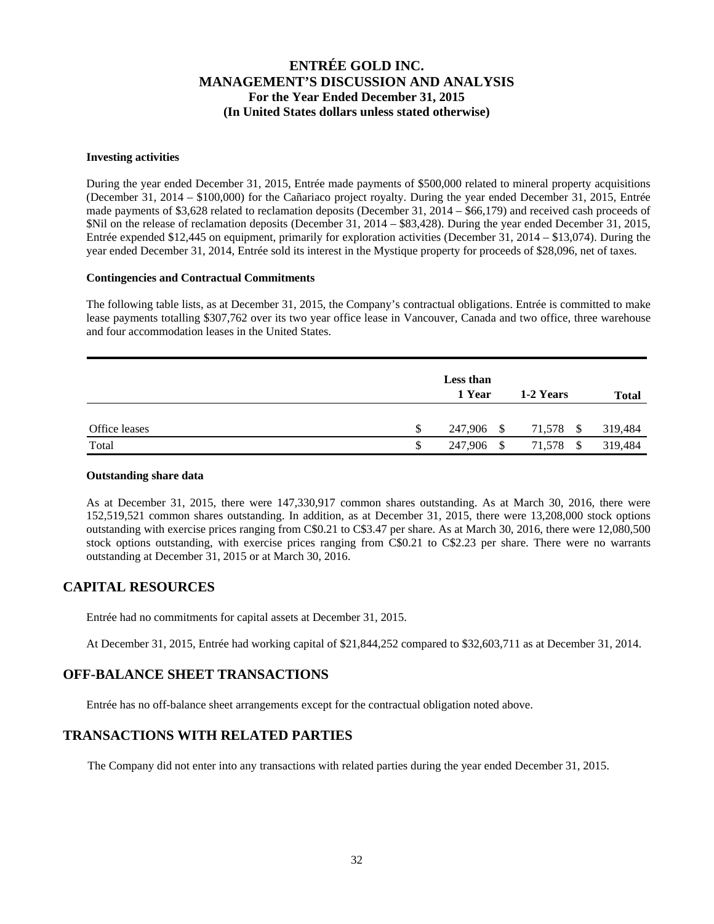#### **Investing activities**

During the year ended December 31, 2015, Entrée made payments of \$500,000 related to mineral property acquisitions (December 31, 2014 – \$100,000) for the Cañariaco project royalty. During the year ended December 31, 2015, Entrée made payments of \$3,628 related to reclamation deposits (December 31, 2014 – \$66,179) and received cash proceeds of \$Nil on the release of reclamation deposits (December 31, 2014 – \$83,428). During the year ended December 31, 2015, Entrée expended \$12,445 on equipment, primarily for exploration activities (December 31, 2014 – \$13,074). During the year ended December 31, 2014, Entrée sold its interest in the Mystique property for proceeds of \$28,096, net of taxes.

### **Contingencies and Contractual Commitments**

The following table lists, as at December 31, 2015, the Company's contractual obligations. Entrée is committed to make lease payments totalling \$307,762 over its two year office lease in Vancouver, Canada and two office, three warehouse and four accommodation leases in the United States.

|               | Less than<br>1 Year            | 1-2 Years      | <b>Total</b> |
|---------------|--------------------------------|----------------|--------------|
| Office leases | \$<br>247,906 \$               | 71,578<br>- \$ | 319,484      |
| Total         | \$<br>247,906<br><sup>\$</sup> | 71,578<br>- \$ | 319,484      |

### **Outstanding share data**

As at December 31, 2015, there were 147,330,917 common shares outstanding. As at March 30, 2016, there were 152,519,521 common shares outstanding. In addition, as at December 31, 2015, there were 13,208,000 stock options outstanding with exercise prices ranging from C\$0.21 to C\$3.47 per share. As at March 30, 2016, there were 12,080,500 stock options outstanding, with exercise prices ranging from C\$0.21 to C\$2.23 per share. There were no warrants outstanding at December 31, 2015 or at March 30, 2016.

## **CAPITAL RESOURCES**

Entrée had no commitments for capital assets at December 31, 2015.

At December 31, 2015, Entrée had working capital of \$21,844,252 compared to \$32,603,711 as at December 31, 2014.

## **OFF-BALANCE SHEET TRANSACTIONS**

Entrée has no off-balance sheet arrangements except for the contractual obligation noted above.

## **TRANSACTIONS WITH RELATED PARTIES**

The Company did not enter into any transactions with related parties during the year ended December 31, 2015.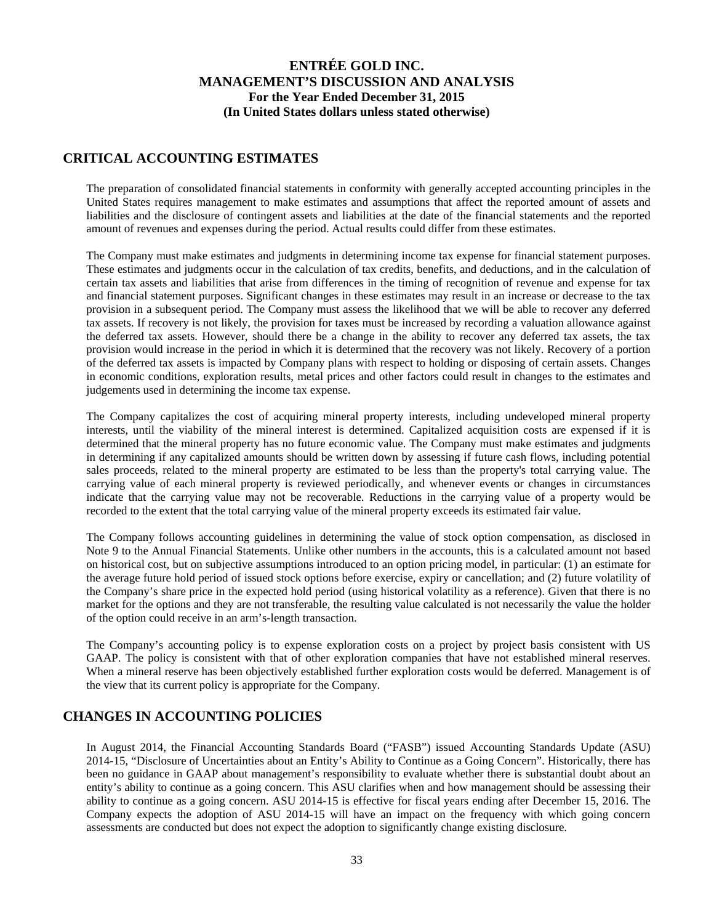### **CRITICAL ACCOUNTING ESTIMATES**

The preparation of consolidated financial statements in conformity with generally accepted accounting principles in the United States requires management to make estimates and assumptions that affect the reported amount of assets and liabilities and the disclosure of contingent assets and liabilities at the date of the financial statements and the reported amount of revenues and expenses during the period. Actual results could differ from these estimates.

The Company must make estimates and judgments in determining income tax expense for financial statement purposes. These estimates and judgments occur in the calculation of tax credits, benefits, and deductions, and in the calculation of certain tax assets and liabilities that arise from differences in the timing of recognition of revenue and expense for tax and financial statement purposes. Significant changes in these estimates may result in an increase or decrease to the tax provision in a subsequent period. The Company must assess the likelihood that we will be able to recover any deferred tax assets. If recovery is not likely, the provision for taxes must be increased by recording a valuation allowance against the deferred tax assets. However, should there be a change in the ability to recover any deferred tax assets, the tax provision would increase in the period in which it is determined that the recovery was not likely. Recovery of a portion of the deferred tax assets is impacted by Company plans with respect to holding or disposing of certain assets. Changes in economic conditions, exploration results, metal prices and other factors could result in changes to the estimates and judgements used in determining the income tax expense.

The Company capitalizes the cost of acquiring mineral property interests, including undeveloped mineral property interests, until the viability of the mineral interest is determined. Capitalized acquisition costs are expensed if it is determined that the mineral property has no future economic value. The Company must make estimates and judgments in determining if any capitalized amounts should be written down by assessing if future cash flows, including potential sales proceeds, related to the mineral property are estimated to be less than the property's total carrying value. The carrying value of each mineral property is reviewed periodically, and whenever events or changes in circumstances indicate that the carrying value may not be recoverable. Reductions in the carrying value of a property would be recorded to the extent that the total carrying value of the mineral property exceeds its estimated fair value.

The Company follows accounting guidelines in determining the value of stock option compensation, as disclosed in Note 9 to the Annual Financial Statements. Unlike other numbers in the accounts, this is a calculated amount not based on historical cost, but on subjective assumptions introduced to an option pricing model, in particular: (1) an estimate for the average future hold period of issued stock options before exercise, expiry or cancellation; and (2) future volatility of the Company's share price in the expected hold period (using historical volatility as a reference). Given that there is no market for the options and they are not transferable, the resulting value calculated is not necessarily the value the holder of the option could receive in an arm's-length transaction.

The Company's accounting policy is to expense exploration costs on a project by project basis consistent with US GAAP. The policy is consistent with that of other exploration companies that have not established mineral reserves. When a mineral reserve has been objectively established further exploration costs would be deferred. Management is of the view that its current policy is appropriate for the Company.

## **CHANGES IN ACCOUNTING POLICIES**

In August 2014, the Financial Accounting Standards Board ("FASB") issued Accounting Standards Update (ASU) 2014-15, "Disclosure of Uncertainties about an Entity's Ability to Continue as a Going Concern". Historically, there has been no guidance in GAAP about management's responsibility to evaluate whether there is substantial doubt about an entity's ability to continue as a going concern. This ASU clarifies when and how management should be assessing their ability to continue as a going concern. ASU 2014-15 is effective for fiscal years ending after December 15, 2016. The Company expects the adoption of ASU 2014-15 will have an impact on the frequency with which going concern assessments are conducted but does not expect the adoption to significantly change existing disclosure.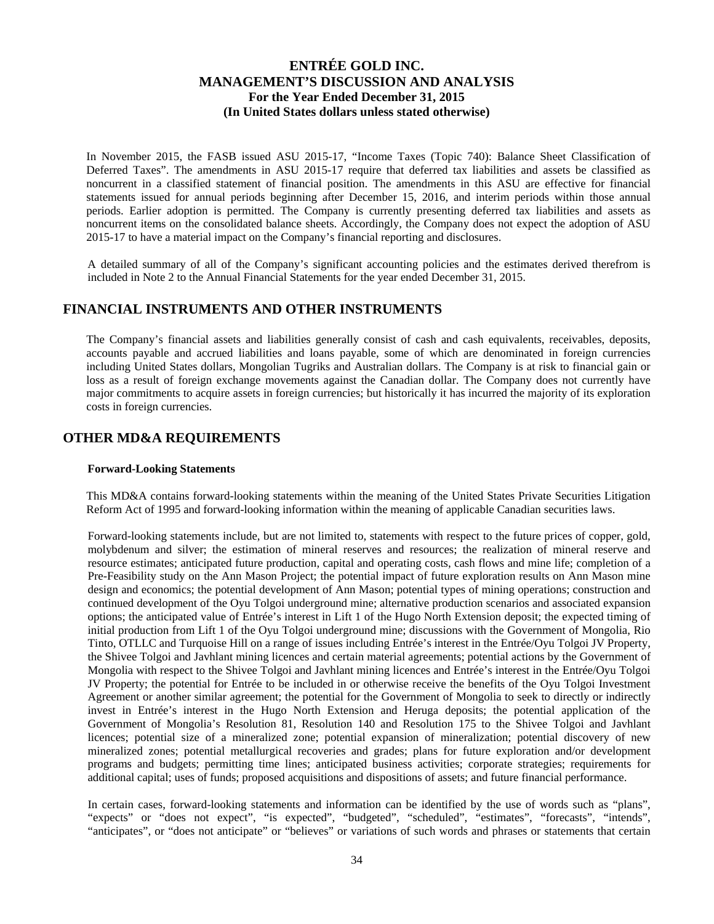In November 2015, the FASB issued ASU 2015-17, "Income Taxes (Topic 740): Balance Sheet Classification of Deferred Taxes". The amendments in ASU 2015-17 require that deferred tax liabilities and assets be classified as noncurrent in a classified statement of financial position. The amendments in this ASU are effective for financial statements issued for annual periods beginning after December 15, 2016, and interim periods within those annual periods. Earlier adoption is permitted. The Company is currently presenting deferred tax liabilities and assets as noncurrent items on the consolidated balance sheets. Accordingly, the Company does not expect the adoption of ASU 2015-17 to have a material impact on the Company's financial reporting and disclosures.

A detailed summary of all of the Company's significant accounting policies and the estimates derived therefrom is included in Note 2 to the Annual Financial Statements for the year ended December 31, 2015.

### **FINANCIAL INSTRUMENTS AND OTHER INSTRUMENTS**

The Company's financial assets and liabilities generally consist of cash and cash equivalents, receivables, deposits, accounts payable and accrued liabilities and loans payable, some of which are denominated in foreign currencies including United States dollars, Mongolian Tugriks and Australian dollars. The Company is at risk to financial gain or loss as a result of foreign exchange movements against the Canadian dollar. The Company does not currently have major commitments to acquire assets in foreign currencies; but historically it has incurred the majority of its exploration costs in foreign currencies.

## **OTHER MD&A REQUIREMENTS**

#### **Forward-Looking Statements**

This MD&A contains forward-looking statements within the meaning of the United States Private Securities Litigation Reform Act of 1995 and forward-looking information within the meaning of applicable Canadian securities laws.

Forward-looking statements include, but are not limited to, statements with respect to the future prices of copper, gold, molybdenum and silver; the estimation of mineral reserves and resources; the realization of mineral reserve and resource estimates; anticipated future production, capital and operating costs, cash flows and mine life; completion of a Pre-Feasibility study on the Ann Mason Project; the potential impact of future exploration results on Ann Mason mine design and economics; the potential development of Ann Mason; potential types of mining operations; construction and continued development of the Oyu Tolgoi underground mine; alternative production scenarios and associated expansion options; the anticipated value of Entrée's interest in Lift 1 of the Hugo North Extension deposit; the expected timing of initial production from Lift 1 of the Oyu Tolgoi underground mine; discussions with the Government of Mongolia, Rio Tinto, OTLLC and Turquoise Hill on a range of issues including Entrée's interest in the Entrée/Oyu Tolgoi JV Property, the Shivee Tolgoi and Javhlant mining licences and certain material agreements; potential actions by the Government of Mongolia with respect to the Shivee Tolgoi and Javhlant mining licences and Entrée's interest in the Entrée/Oyu Tolgoi JV Property; the potential for Entrée to be included in or otherwise receive the benefits of the Oyu Tolgoi Investment Agreement or another similar agreement; the potential for the Government of Mongolia to seek to directly or indirectly invest in Entrée's interest in the Hugo North Extension and Heruga deposits; the potential application of the Government of Mongolia's Resolution 81, Resolution 140 and Resolution 175 to the Shivee Tolgoi and Javhlant licences; potential size of a mineralized zone; potential expansion of mineralization; potential discovery of new mineralized zones; potential metallurgical recoveries and grades; plans for future exploration and/or development programs and budgets; permitting time lines; anticipated business activities; corporate strategies; requirements for additional capital; uses of funds; proposed acquisitions and dispositions of assets; and future financial performance.

In certain cases, forward-looking statements and information can be identified by the use of words such as "plans", "expects" or "does not expect", "is expected", "budgeted", "scheduled", "estimates", "forecasts", "intends", "anticipates", or "does not anticipate" or "believes" or variations of such words and phrases or statements that certain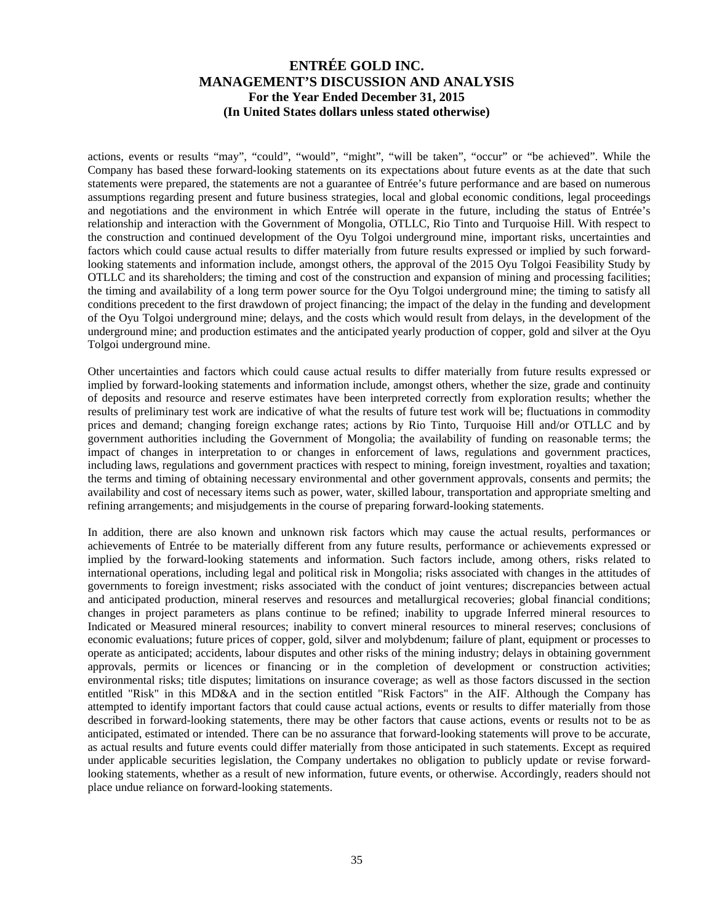actions, events or results "may", "could", "would", "might", "will be taken", "occur" or "be achieved". While the Company has based these forward-looking statements on its expectations about future events as at the date that such statements were prepared, the statements are not a guarantee of Entrée's future performance and are based on numerous assumptions regarding present and future business strategies, local and global economic conditions, legal proceedings and negotiations and the environment in which Entrée will operate in the future, including the status of Entrée's relationship and interaction with the Government of Mongolia, OTLLC, Rio Tinto and Turquoise Hill. With respect to the construction and continued development of the Oyu Tolgoi underground mine, important risks, uncertainties and factors which could cause actual results to differ materially from future results expressed or implied by such forwardlooking statements and information include, amongst others, the approval of the 2015 Oyu Tolgoi Feasibility Study by OTLLC and its shareholders; the timing and cost of the construction and expansion of mining and processing facilities; the timing and availability of a long term power source for the Oyu Tolgoi underground mine; the timing to satisfy all conditions precedent to the first drawdown of project financing; the impact of the delay in the funding and development of the Oyu Tolgoi underground mine; delays, and the costs which would result from delays, in the development of the underground mine; and production estimates and the anticipated yearly production of copper, gold and silver at the Oyu Tolgoi underground mine.

Other uncertainties and factors which could cause actual results to differ materially from future results expressed or implied by forward-looking statements and information include, amongst others, whether the size, grade and continuity of deposits and resource and reserve estimates have been interpreted correctly from exploration results; whether the results of preliminary test work are indicative of what the results of future test work will be; fluctuations in commodity prices and demand; changing foreign exchange rates; actions by Rio Tinto, Turquoise Hill and/or OTLLC and by government authorities including the Government of Mongolia; the availability of funding on reasonable terms; the impact of changes in interpretation to or changes in enforcement of laws, regulations and government practices, including laws, regulations and government practices with respect to mining, foreign investment, royalties and taxation; the terms and timing of obtaining necessary environmental and other government approvals, consents and permits; the availability and cost of necessary items such as power, water, skilled labour, transportation and appropriate smelting and refining arrangements; and misjudgements in the course of preparing forward-looking statements.

In addition, there are also known and unknown risk factors which may cause the actual results, performances or achievements of Entrée to be materially different from any future results, performance or achievements expressed or implied by the forward-looking statements and information. Such factors include, among others, risks related to international operations, including legal and political risk in Mongolia; risks associated with changes in the attitudes of governments to foreign investment; risks associated with the conduct of joint ventures; discrepancies between actual and anticipated production, mineral reserves and resources and metallurgical recoveries; global financial conditions; changes in project parameters as plans continue to be refined; inability to upgrade Inferred mineral resources to Indicated or Measured mineral resources; inability to convert mineral resources to mineral reserves; conclusions of economic evaluations; future prices of copper, gold, silver and molybdenum; failure of plant, equipment or processes to operate as anticipated; accidents, labour disputes and other risks of the mining industry; delays in obtaining government approvals, permits or licences or financing or in the completion of development or construction activities; environmental risks; title disputes; limitations on insurance coverage; as well as those factors discussed in the section entitled "Risk" in this MD&A and in the section entitled "Risk Factors" in the AIF. Although the Company has attempted to identify important factors that could cause actual actions, events or results to differ materially from those described in forward-looking statements, there may be other factors that cause actions, events or results not to be as anticipated, estimated or intended. There can be no assurance that forward-looking statements will prove to be accurate, as actual results and future events could differ materially from those anticipated in such statements. Except as required under applicable securities legislation, the Company undertakes no obligation to publicly update or revise forwardlooking statements, whether as a result of new information, future events, or otherwise. Accordingly, readers should not place undue reliance on forward-looking statements.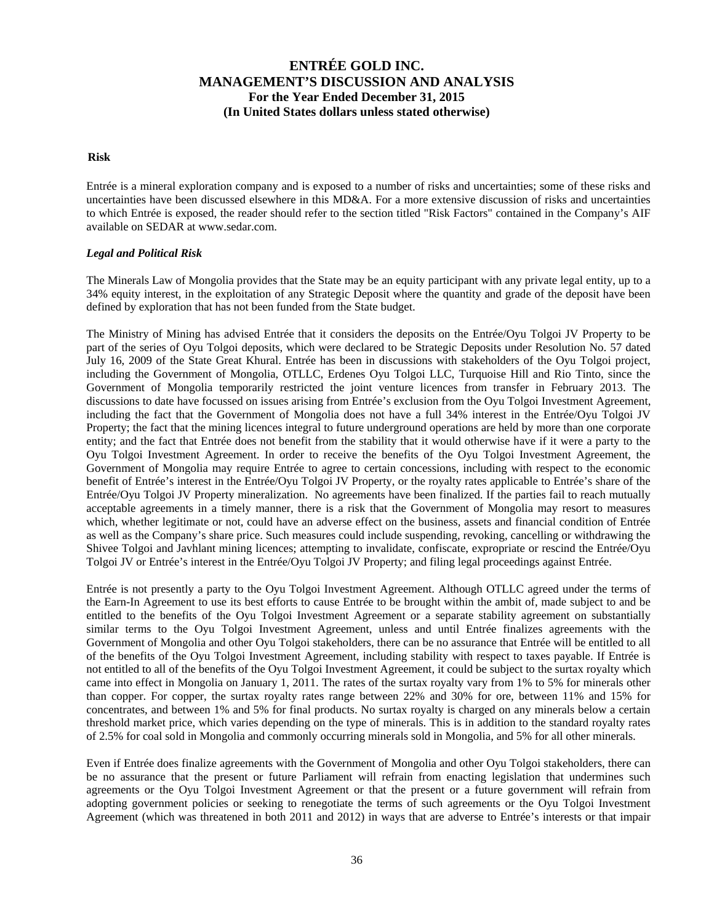#### **Risk**

Entrée is a mineral exploration company and is exposed to a number of risks and uncertainties; some of these risks and uncertainties have been discussed elsewhere in this MD&A. For a more extensive discussion of risks and uncertainties to which Entrée is exposed, the reader should refer to the section titled "Risk Factors" contained in the Company's AIF available on SEDAR at www.sedar.com.

### *Legal and Political Risk*

The Minerals Law of Mongolia provides that the State may be an equity participant with any private legal entity, up to a 34% equity interest, in the exploitation of any Strategic Deposit where the quantity and grade of the deposit have been defined by exploration that has not been funded from the State budget.

The Ministry of Mining has advised Entrée that it considers the deposits on the Entrée/Oyu Tolgoi JV Property to be part of the series of Oyu Tolgoi deposits, which were declared to be Strategic Deposits under Resolution No. 57 dated July 16, 2009 of the State Great Khural. Entrée has been in discussions with stakeholders of the Oyu Tolgoi project, including the Government of Mongolia, OTLLC, Erdenes Oyu Tolgoi LLC, Turquoise Hill and Rio Tinto, since the Government of Mongolia temporarily restricted the joint venture licences from transfer in February 2013. The discussions to date have focussed on issues arising from Entrée's exclusion from the Oyu Tolgoi Investment Agreement, including the fact that the Government of Mongolia does not have a full 34% interest in the Entrée/Oyu Tolgoi JV Property; the fact that the mining licences integral to future underground operations are held by more than one corporate entity; and the fact that Entrée does not benefit from the stability that it would otherwise have if it were a party to the Oyu Tolgoi Investment Agreement. In order to receive the benefits of the Oyu Tolgoi Investment Agreement, the Government of Mongolia may require Entrée to agree to certain concessions, including with respect to the economic benefit of Entrée's interest in the Entrée/Oyu Tolgoi JV Property, or the royalty rates applicable to Entrée's share of the Entrée/Oyu Tolgoi JV Property mineralization. No agreements have been finalized. If the parties fail to reach mutually acceptable agreements in a timely manner, there is a risk that the Government of Mongolia may resort to measures which, whether legitimate or not, could have an adverse effect on the business, assets and financial condition of Entrée as well as the Company's share price. Such measures could include suspending, revoking, cancelling or withdrawing the Shivee Tolgoi and Javhlant mining licences; attempting to invalidate, confiscate, expropriate or rescind the Entrée/Oyu Tolgoi JV or Entrée's interest in the Entrée/Oyu Tolgoi JV Property; and filing legal proceedings against Entrée.

Entrée is not presently a party to the Oyu Tolgoi Investment Agreement. Although OTLLC agreed under the terms of the Earn-In Agreement to use its best efforts to cause Entrée to be brought within the ambit of, made subject to and be entitled to the benefits of the Oyu Tolgoi Investment Agreement or a separate stability agreement on substantially similar terms to the Oyu Tolgoi Investment Agreement, unless and until Entrée finalizes agreements with the Government of Mongolia and other Oyu Tolgoi stakeholders, there can be no assurance that Entrée will be entitled to all of the benefits of the Oyu Tolgoi Investment Agreement, including stability with respect to taxes payable. If Entrée is not entitled to all of the benefits of the Oyu Tolgoi Investment Agreement, it could be subject to the surtax royalty which came into effect in Mongolia on January 1, 2011. The rates of the surtax royalty vary from 1% to 5% for minerals other than copper. For copper, the surtax royalty rates range between 22% and 30% for ore, between 11% and 15% for concentrates, and between 1% and 5% for final products. No surtax royalty is charged on any minerals below a certain threshold market price, which varies depending on the type of minerals. This is in addition to the standard royalty rates of 2.5% for coal sold in Mongolia and commonly occurring minerals sold in Mongolia, and 5% for all other minerals.

Even if Entrée does finalize agreements with the Government of Mongolia and other Oyu Tolgoi stakeholders, there can be no assurance that the present or future Parliament will refrain from enacting legislation that undermines such agreements or the Oyu Tolgoi Investment Agreement or that the present or a future government will refrain from adopting government policies or seeking to renegotiate the terms of such agreements or the Oyu Tolgoi Investment Agreement (which was threatened in both 2011 and 2012) in ways that are adverse to Entrée's interests or that impair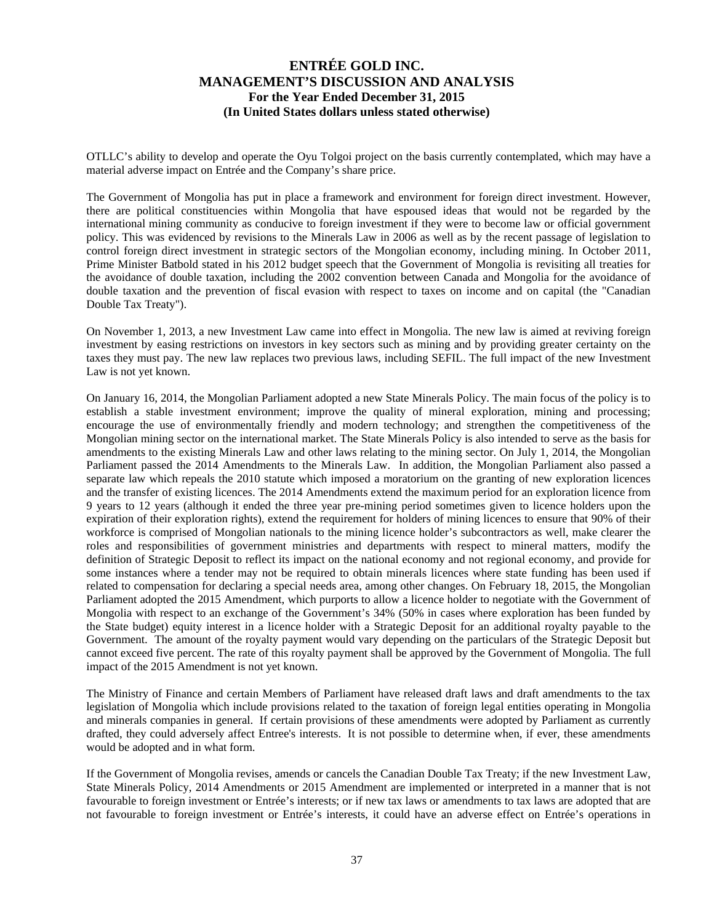OTLLC's ability to develop and operate the Oyu Tolgoi project on the basis currently contemplated, which may have a material adverse impact on Entrée and the Company's share price.

The Government of Mongolia has put in place a framework and environment for foreign direct investment. However, there are political constituencies within Mongolia that have espoused ideas that would not be regarded by the international mining community as conducive to foreign investment if they were to become law or official government policy. This was evidenced by revisions to the Minerals Law in 2006 as well as by the recent passage of legislation to control foreign direct investment in strategic sectors of the Mongolian economy, including mining. In October 2011, Prime Minister Batbold stated in his 2012 budget speech that the Government of Mongolia is revisiting all treaties for the avoidance of double taxation, including the 2002 convention between Canada and Mongolia for the avoidance of double taxation and the prevention of fiscal evasion with respect to taxes on income and on capital (the "Canadian Double Tax Treaty").

On November 1, 2013, a new Investment Law came into effect in Mongolia. The new law is aimed at reviving foreign investment by easing restrictions on investors in key sectors such as mining and by providing greater certainty on the taxes they must pay. The new law replaces two previous laws, including SEFIL. The full impact of the new Investment Law is not yet known.

On January 16, 2014, the Mongolian Parliament adopted a new State Minerals Policy. The main focus of the policy is to establish a stable investment environment; improve the quality of mineral exploration, mining and processing; encourage the use of environmentally friendly and modern technology; and strengthen the competitiveness of the Mongolian mining sector on the international market. The State Minerals Policy is also intended to serve as the basis for amendments to the existing Minerals Law and other laws relating to the mining sector. On July 1, 2014, the Mongolian Parliament passed the 2014 Amendments to the Minerals Law. In addition, the Mongolian Parliament also passed a separate law which repeals the 2010 statute which imposed a moratorium on the granting of new exploration licences and the transfer of existing licences. The 2014 Amendments extend the maximum period for an exploration licence from 9 years to 12 years (although it ended the three year pre-mining period sometimes given to licence holders upon the expiration of their exploration rights), extend the requirement for holders of mining licences to ensure that 90% of their workforce is comprised of Mongolian nationals to the mining licence holder's subcontractors as well, make clearer the roles and responsibilities of government ministries and departments with respect to mineral matters, modify the definition of Strategic Deposit to reflect its impact on the national economy and not regional economy, and provide for some instances where a tender may not be required to obtain minerals licences where state funding has been used if related to compensation for declaring a special needs area, among other changes. On February 18, 2015, the Mongolian Parliament adopted the 2015 Amendment, which purports to allow a licence holder to negotiate with the Government of Mongolia with respect to an exchange of the Government's 34% (50% in cases where exploration has been funded by the State budget) equity interest in a licence holder with a Strategic Deposit for an additional royalty payable to the Government. The amount of the royalty payment would vary depending on the particulars of the Strategic Deposit but cannot exceed five percent. The rate of this royalty payment shall be approved by the Government of Mongolia. The full impact of the 2015 Amendment is not yet known.

The Ministry of Finance and certain Members of Parliament have released draft laws and draft amendments to the tax legislation of Mongolia which include provisions related to the taxation of foreign legal entities operating in Mongolia and minerals companies in general. If certain provisions of these amendments were adopted by Parliament as currently drafted, they could adversely affect Entree's interests. It is not possible to determine when, if ever, these amendments would be adopted and in what form.

If the Government of Mongolia revises, amends or cancels the Canadian Double Tax Treaty; if the new Investment Law, State Minerals Policy, 2014 Amendments or 2015 Amendment are implemented or interpreted in a manner that is not favourable to foreign investment or Entrée's interests; or if new tax laws or amendments to tax laws are adopted that are not favourable to foreign investment or Entrée's interests, it could have an adverse effect on Entrée's operations in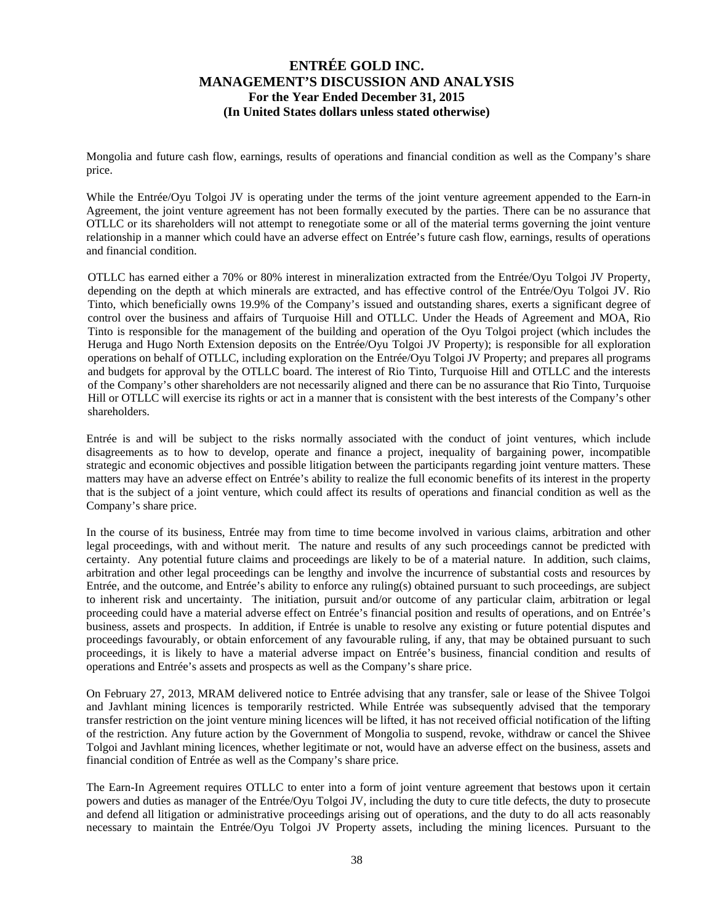Mongolia and future cash flow, earnings, results of operations and financial condition as well as the Company's share price.

While the Entrée/Oyu Tolgoi JV is operating under the terms of the joint venture agreement appended to the Earn-in Agreement, the joint venture agreement has not been formally executed by the parties. There can be no assurance that OTLLC or its shareholders will not attempt to renegotiate some or all of the material terms governing the joint venture relationship in a manner which could have an adverse effect on Entrée's future cash flow, earnings, results of operations and financial condition.

OTLLC has earned either a 70% or 80% interest in mineralization extracted from the Entrée/Oyu Tolgoi JV Property, depending on the depth at which minerals are extracted, and has effective control of the Entrée/Oyu Tolgoi JV. Rio Tinto, which beneficially owns 19.9% of the Company's issued and outstanding shares, exerts a significant degree of control over the business and affairs of Turquoise Hill and OTLLC. Under the Heads of Agreement and MOA, Rio Tinto is responsible for the management of the building and operation of the Oyu Tolgoi project (which includes the Heruga and Hugo North Extension deposits on the Entrée/Oyu Tolgoi JV Property); is responsible for all exploration operations on behalf of OTLLC, including exploration on the Entrée/Oyu Tolgoi JV Property; and prepares all programs and budgets for approval by the OTLLC board. The interest of Rio Tinto, Turquoise Hill and OTLLC and the interests of the Company's other shareholders are not necessarily aligned and there can be no assurance that Rio Tinto, Turquoise Hill or OTLLC will exercise its rights or act in a manner that is consistent with the best interests of the Company's other shareholders.

Entrée is and will be subject to the risks normally associated with the conduct of joint ventures, which include disagreements as to how to develop, operate and finance a project, inequality of bargaining power, incompatible strategic and economic objectives and possible litigation between the participants regarding joint venture matters. These matters may have an adverse effect on Entrée's ability to realize the full economic benefits of its interest in the property that is the subject of a joint venture, which could affect its results of operations and financial condition as well as the Company's share price.

In the course of its business, Entrée may from time to time become involved in various claims, arbitration and other legal proceedings, with and without merit. The nature and results of any such proceedings cannot be predicted with certainty. Any potential future claims and proceedings are likely to be of a material nature. In addition, such claims, arbitration and other legal proceedings can be lengthy and involve the incurrence of substantial costs and resources by Entrée, and the outcome, and Entrée's ability to enforce any ruling(s) obtained pursuant to such proceedings, are subject to inherent risk and uncertainty. The initiation, pursuit and/or outcome of any particular claim, arbitration or legal proceeding could have a material adverse effect on Entrée's financial position and results of operations, and on Entrée's business, assets and prospects. In addition, if Entrée is unable to resolve any existing or future potential disputes and proceedings favourably, or obtain enforcement of any favourable ruling, if any, that may be obtained pursuant to such proceedings, it is likely to have a material adverse impact on Entrée's business, financial condition and results of operations and Entrée's assets and prospects as well as the Company's share price.

On February 27, 2013, MRAM delivered notice to Entrée advising that any transfer, sale or lease of the Shivee Tolgoi and Javhlant mining licences is temporarily restricted. While Entrée was subsequently advised that the temporary transfer restriction on the joint venture mining licences will be lifted, it has not received official notification of the lifting of the restriction. Any future action by the Government of Mongolia to suspend, revoke, withdraw or cancel the Shivee Tolgoi and Javhlant mining licences, whether legitimate or not, would have an adverse effect on the business, assets and financial condition of Entrée as well as the Company's share price.

The Earn-In Agreement requires OTLLC to enter into a form of joint venture agreement that bestows upon it certain powers and duties as manager of the Entrée/Oyu Tolgoi JV, including the duty to cure title defects, the duty to prosecute and defend all litigation or administrative proceedings arising out of operations, and the duty to do all acts reasonably necessary to maintain the Entrée/Oyu Tolgoi JV Property assets, including the mining licences. Pursuant to the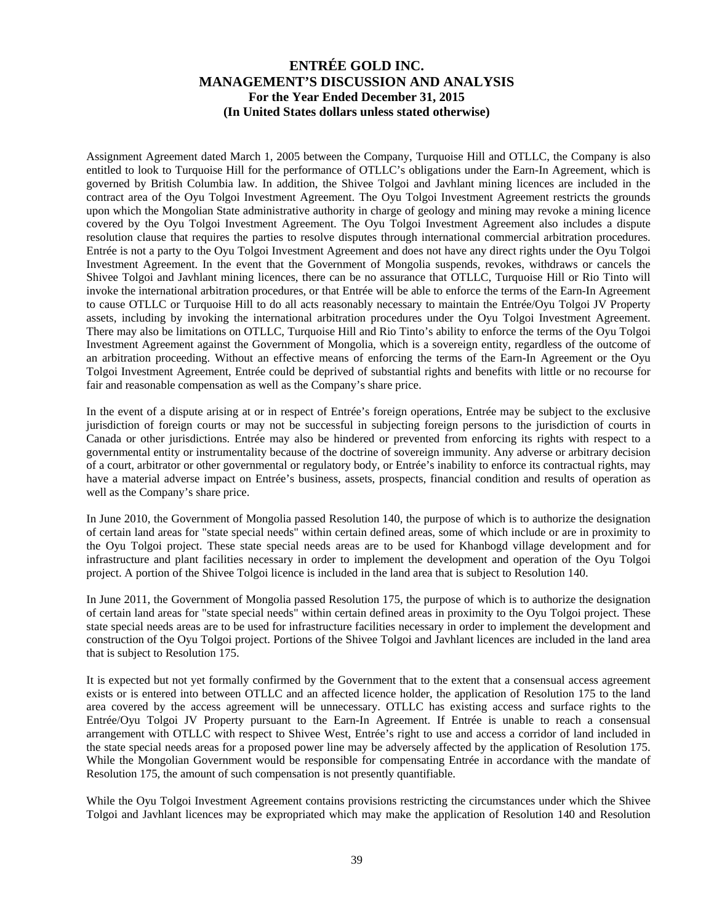Assignment Agreement dated March 1, 2005 between the Company, Turquoise Hill and OTLLC, the Company is also entitled to look to Turquoise Hill for the performance of OTLLC's obligations under the Earn-In Agreement, which is governed by British Columbia law. In addition, the Shivee Tolgoi and Javhlant mining licences are included in the contract area of the Oyu Tolgoi Investment Agreement. The Oyu Tolgoi Investment Agreement restricts the grounds upon which the Mongolian State administrative authority in charge of geology and mining may revoke a mining licence covered by the Oyu Tolgoi Investment Agreement. The Oyu Tolgoi Investment Agreement also includes a dispute resolution clause that requires the parties to resolve disputes through international commercial arbitration procedures. Entrée is not a party to the Oyu Tolgoi Investment Agreement and does not have any direct rights under the Oyu Tolgoi Investment Agreement. In the event that the Government of Mongolia suspends, revokes, withdraws or cancels the Shivee Tolgoi and Javhlant mining licences, there can be no assurance that OTLLC, Turquoise Hill or Rio Tinto will invoke the international arbitration procedures, or that Entrée will be able to enforce the terms of the Earn-In Agreement to cause OTLLC or Turquoise Hill to do all acts reasonably necessary to maintain the Entrée/Oyu Tolgoi JV Property assets, including by invoking the international arbitration procedures under the Oyu Tolgoi Investment Agreement. There may also be limitations on OTLLC, Turquoise Hill and Rio Tinto's ability to enforce the terms of the Oyu Tolgoi Investment Agreement against the Government of Mongolia, which is a sovereign entity, regardless of the outcome of an arbitration proceeding. Without an effective means of enforcing the terms of the Earn-In Agreement or the Oyu Tolgoi Investment Agreement, Entrée could be deprived of substantial rights and benefits with little or no recourse for fair and reasonable compensation as well as the Company's share price.

In the event of a dispute arising at or in respect of Entrée's foreign operations, Entrée may be subject to the exclusive jurisdiction of foreign courts or may not be successful in subjecting foreign persons to the jurisdiction of courts in Canada or other jurisdictions. Entrée may also be hindered or prevented from enforcing its rights with respect to a governmental entity or instrumentality because of the doctrine of sovereign immunity. Any adverse or arbitrary decision of a court, arbitrator or other governmental or regulatory body, or Entrée's inability to enforce its contractual rights, may have a material adverse impact on Entrée's business, assets, prospects, financial condition and results of operation as well as the Company's share price.

In June 2010, the Government of Mongolia passed Resolution 140, the purpose of which is to authorize the designation of certain land areas for "state special needs" within certain defined areas, some of which include or are in proximity to the Oyu Tolgoi project. These state special needs areas are to be used for Khanbogd village development and for infrastructure and plant facilities necessary in order to implement the development and operation of the Oyu Tolgoi project. A portion of the Shivee Tolgoi licence is included in the land area that is subject to Resolution 140.

In June 2011, the Government of Mongolia passed Resolution 175, the purpose of which is to authorize the designation of certain land areas for "state special needs" within certain defined areas in proximity to the Oyu Tolgoi project. These state special needs areas are to be used for infrastructure facilities necessary in order to implement the development and construction of the Oyu Tolgoi project. Portions of the Shivee Tolgoi and Javhlant licences are included in the land area that is subject to Resolution 175.

It is expected but not yet formally confirmed by the Government that to the extent that a consensual access agreement exists or is entered into between OTLLC and an affected licence holder, the application of Resolution 175 to the land area covered by the access agreement will be unnecessary. OTLLC has existing access and surface rights to the Entrée/Oyu Tolgoi JV Property pursuant to the Earn-In Agreement. If Entrée is unable to reach a consensual arrangement with OTLLC with respect to Shivee West, Entrée's right to use and access a corridor of land included in the state special needs areas for a proposed power line may be adversely affected by the application of Resolution 175. While the Mongolian Government would be responsible for compensating Entrée in accordance with the mandate of Resolution 175, the amount of such compensation is not presently quantifiable.

While the Oyu Tolgoi Investment Agreement contains provisions restricting the circumstances under which the Shivee Tolgoi and Javhlant licences may be expropriated which may make the application of Resolution 140 and Resolution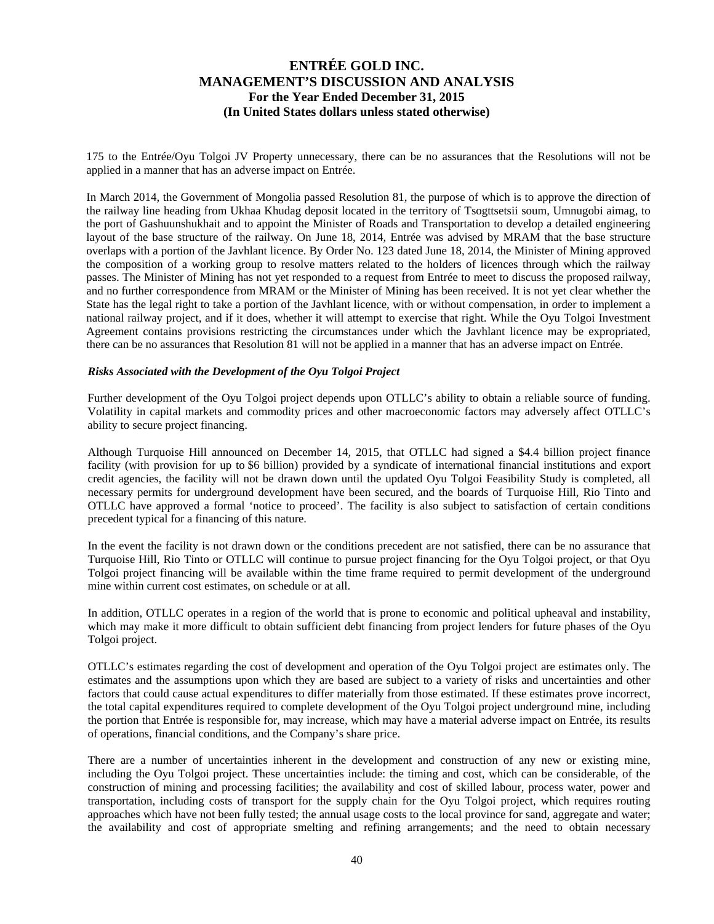175 to the Entrée/Oyu Tolgoi JV Property unnecessary, there can be no assurances that the Resolutions will not be applied in a manner that has an adverse impact on Entrée.

In March 2014, the Government of Mongolia passed Resolution 81, the purpose of which is to approve the direction of the railway line heading from Ukhaa Khudag deposit located in the territory of Tsogttsetsii soum, Umnugobi aimag, to the port of Gashuunshukhait and to appoint the Minister of Roads and Transportation to develop a detailed engineering layout of the base structure of the railway. On June 18, 2014, Entrée was advised by MRAM that the base structure overlaps with a portion of the Javhlant licence. By Order No. 123 dated June 18, 2014, the Minister of Mining approved the composition of a working group to resolve matters related to the holders of licences through which the railway passes. The Minister of Mining has not yet responded to a request from Entrée to meet to discuss the proposed railway, and no further correspondence from MRAM or the Minister of Mining has been received. It is not yet clear whether the State has the legal right to take a portion of the Javhlant licence, with or without compensation, in order to implement a national railway project, and if it does, whether it will attempt to exercise that right. While the Oyu Tolgoi Investment Agreement contains provisions restricting the circumstances under which the Javhlant licence may be expropriated, there can be no assurances that Resolution 81 will not be applied in a manner that has an adverse impact on Entrée.

### *Risks Associated with the Development of the Oyu Tolgoi Project*

Further development of the Oyu Tolgoi project depends upon OTLLC's ability to obtain a reliable source of funding. Volatility in capital markets and commodity prices and other macroeconomic factors may adversely affect OTLLC's ability to secure project financing.

Although Turquoise Hill announced on December 14, 2015, that OTLLC had signed a \$4.4 billion project finance facility (with provision for up to \$6 billion) provided by a syndicate of international financial institutions and export credit agencies, the facility will not be drawn down until the updated Oyu Tolgoi Feasibility Study is completed, all necessary permits for underground development have been secured, and the boards of Turquoise Hill, Rio Tinto and OTLLC have approved a formal 'notice to proceed'. The facility is also subject to satisfaction of certain conditions precedent typical for a financing of this nature.

In the event the facility is not drawn down or the conditions precedent are not satisfied, there can be no assurance that Turquoise Hill, Rio Tinto or OTLLC will continue to pursue project financing for the Oyu Tolgoi project, or that Oyu Tolgoi project financing will be available within the time frame required to permit development of the underground mine within current cost estimates, on schedule or at all.

In addition, OTLLC operates in a region of the world that is prone to economic and political upheaval and instability, which may make it more difficult to obtain sufficient debt financing from project lenders for future phases of the Oyu Tolgoi project.

OTLLC's estimates regarding the cost of development and operation of the Oyu Tolgoi project are estimates only. The estimates and the assumptions upon which they are based are subject to a variety of risks and uncertainties and other factors that could cause actual expenditures to differ materially from those estimated. If these estimates prove incorrect, the total capital expenditures required to complete development of the Oyu Tolgoi project underground mine, including the portion that Entrée is responsible for, may increase, which may have a material adverse impact on Entrée, its results of operations, financial conditions, and the Company's share price.

There are a number of uncertainties inherent in the development and construction of any new or existing mine, including the Oyu Tolgoi project. These uncertainties include: the timing and cost, which can be considerable, of the construction of mining and processing facilities; the availability and cost of skilled labour, process water, power and transportation, including costs of transport for the supply chain for the Oyu Tolgoi project, which requires routing approaches which have not been fully tested; the annual usage costs to the local province for sand, aggregate and water; the availability and cost of appropriate smelting and refining arrangements; and the need to obtain necessary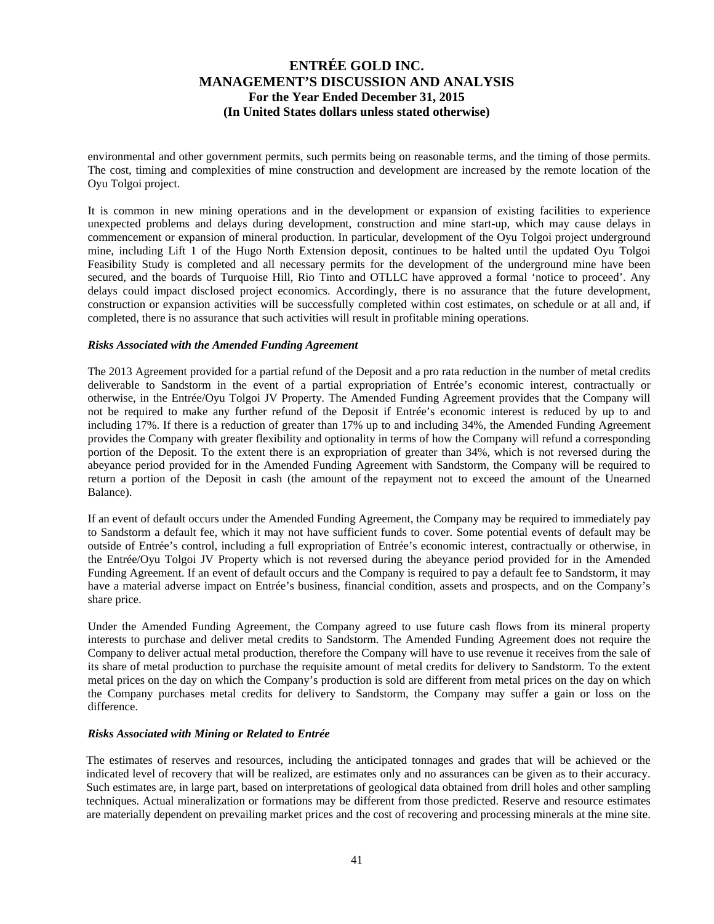environmental and other government permits, such permits being on reasonable terms, and the timing of those permits. The cost, timing and complexities of mine construction and development are increased by the remote location of the Oyu Tolgoi project.

It is common in new mining operations and in the development or expansion of existing facilities to experience unexpected problems and delays during development, construction and mine start-up, which may cause delays in commencement or expansion of mineral production. In particular, development of the Oyu Tolgoi project underground mine, including Lift 1 of the Hugo North Extension deposit, continues to be halted until the updated Oyu Tolgoi Feasibility Study is completed and all necessary permits for the development of the underground mine have been secured, and the boards of Turquoise Hill, Rio Tinto and OTLLC have approved a formal 'notice to proceed'. Any delays could impact disclosed project economics. Accordingly, there is no assurance that the future development, construction or expansion activities will be successfully completed within cost estimates, on schedule or at all and, if completed, there is no assurance that such activities will result in profitable mining operations.

#### *Risks Associated with the Amended Funding Agreement*

The 2013 Agreement provided for a partial refund of the Deposit and a pro rata reduction in the number of metal credits deliverable to Sandstorm in the event of a partial expropriation of Entrée's economic interest, contractually or otherwise, in the Entrée/Oyu Tolgoi JV Property. The Amended Funding Agreement provides that the Company will not be required to make any further refund of the Deposit if Entrée's economic interest is reduced by up to and including 17%. If there is a reduction of greater than 17% up to and including 34%, the Amended Funding Agreement provides the Company with greater flexibility and optionality in terms of how the Company will refund a corresponding portion of the Deposit. To the extent there is an expropriation of greater than 34%, which is not reversed during the abeyance period provided for in the Amended Funding Agreement with Sandstorm, the Company will be required to return a portion of the Deposit in cash (the amount of the repayment not to exceed the amount of the Unearned Balance).

If an event of default occurs under the Amended Funding Agreement, the Company may be required to immediately pay to Sandstorm a default fee, which it may not have sufficient funds to cover. Some potential events of default may be outside of Entrée's control, including a full expropriation of Entrée's economic interest, contractually or otherwise, in the Entrée/Oyu Tolgoi JV Property which is not reversed during the abeyance period provided for in the Amended Funding Agreement. If an event of default occurs and the Company is required to pay a default fee to Sandstorm, it may have a material adverse impact on Entrée's business, financial condition, assets and prospects, and on the Company's share price.

Under the Amended Funding Agreement, the Company agreed to use future cash flows from its mineral property interests to purchase and deliver metal credits to Sandstorm. The Amended Funding Agreement does not require the Company to deliver actual metal production, therefore the Company will have to use revenue it receives from the sale of its share of metal production to purchase the requisite amount of metal credits for delivery to Sandstorm. To the extent metal prices on the day on which the Company's production is sold are different from metal prices on the day on which the Company purchases metal credits for delivery to Sandstorm, the Company may suffer a gain or loss on the difference.

### *Risks Associated with Mining or Related to Entrée*

The estimates of reserves and resources, including the anticipated tonnages and grades that will be achieved or the indicated level of recovery that will be realized, are estimates only and no assurances can be given as to their accuracy. Such estimates are, in large part, based on interpretations of geological data obtained from drill holes and other sampling techniques. Actual mineralization or formations may be different from those predicted. Reserve and resource estimates are materially dependent on prevailing market prices and the cost of recovering and processing minerals at the mine site.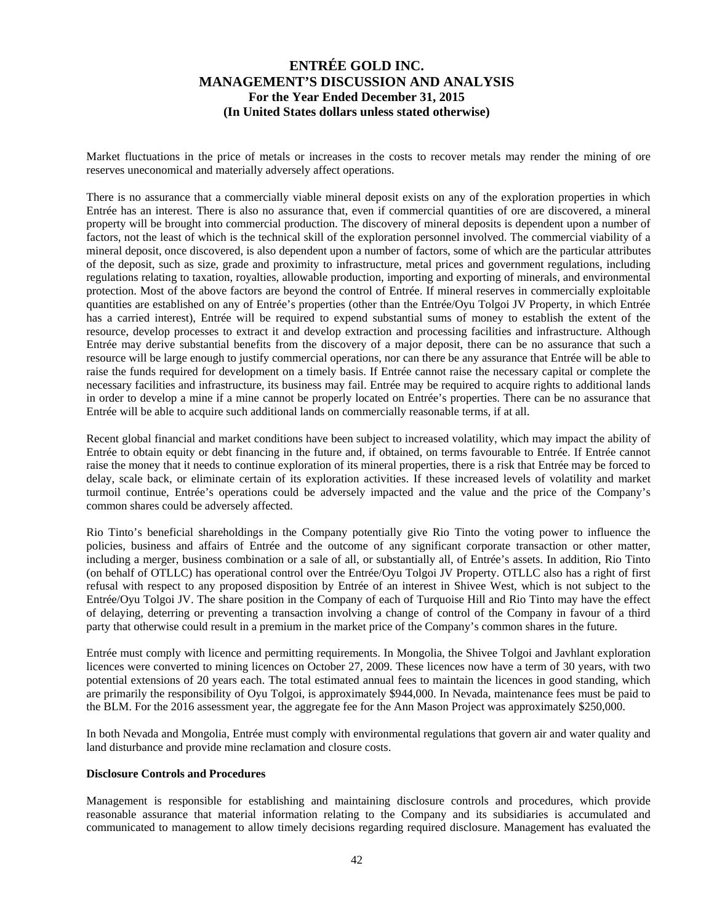Market fluctuations in the price of metals or increases in the costs to recover metals may render the mining of ore reserves uneconomical and materially adversely affect operations.

There is no assurance that a commercially viable mineral deposit exists on any of the exploration properties in which Entrée has an interest. There is also no assurance that, even if commercial quantities of ore are discovered, a mineral property will be brought into commercial production. The discovery of mineral deposits is dependent upon a number of factors, not the least of which is the technical skill of the exploration personnel involved. The commercial viability of a mineral deposit, once discovered, is also dependent upon a number of factors, some of which are the particular attributes of the deposit, such as size, grade and proximity to infrastructure, metal prices and government regulations, including regulations relating to taxation, royalties, allowable production, importing and exporting of minerals, and environmental protection. Most of the above factors are beyond the control of Entrée. If mineral reserves in commercially exploitable quantities are established on any of Entrée's properties (other than the Entrée/Oyu Tolgoi JV Property, in which Entrée has a carried interest), Entrée will be required to expend substantial sums of money to establish the extent of the resource, develop processes to extract it and develop extraction and processing facilities and infrastructure. Although Entrée may derive substantial benefits from the discovery of a major deposit, there can be no assurance that such a resource will be large enough to justify commercial operations, nor can there be any assurance that Entrée will be able to raise the funds required for development on a timely basis. If Entrée cannot raise the necessary capital or complete the necessary facilities and infrastructure, its business may fail. Entrée may be required to acquire rights to additional lands in order to develop a mine if a mine cannot be properly located on Entrée's properties. There can be no assurance that Entrée will be able to acquire such additional lands on commercially reasonable terms, if at all.

Recent global financial and market conditions have been subject to increased volatility, which may impact the ability of Entrée to obtain equity or debt financing in the future and, if obtained, on terms favourable to Entrée. If Entrée cannot raise the money that it needs to continue exploration of its mineral properties, there is a risk that Entrée may be forced to delay, scale back, or eliminate certain of its exploration activities. If these increased levels of volatility and market turmoil continue, Entrée's operations could be adversely impacted and the value and the price of the Company's common shares could be adversely affected.

Rio Tinto's beneficial shareholdings in the Company potentially give Rio Tinto the voting power to influence the policies, business and affairs of Entrée and the outcome of any significant corporate transaction or other matter, including a merger, business combination or a sale of all, or substantially all, of Entrée's assets. In addition, Rio Tinto (on behalf of OTLLC) has operational control over the Entrée/Oyu Tolgoi JV Property. OTLLC also has a right of first refusal with respect to any proposed disposition by Entrée of an interest in Shivee West, which is not subject to the Entrée/Oyu Tolgoi JV. The share position in the Company of each of Turquoise Hill and Rio Tinto may have the effect of delaying, deterring or preventing a transaction involving a change of control of the Company in favour of a third party that otherwise could result in a premium in the market price of the Company's common shares in the future.

Entrée must comply with licence and permitting requirements. In Mongolia, the Shivee Tolgoi and Javhlant exploration licences were converted to mining licences on October 27, 2009. These licences now have a term of 30 years, with two potential extensions of 20 years each. The total estimated annual fees to maintain the licences in good standing, which are primarily the responsibility of Oyu Tolgoi, is approximately \$944,000. In Nevada, maintenance fees must be paid to the BLM. For the 2016 assessment year, the aggregate fee for the Ann Mason Project was approximately \$250,000.

In both Nevada and Mongolia, Entrée must comply with environmental regulations that govern air and water quality and land disturbance and provide mine reclamation and closure costs.

#### **Disclosure Controls and Procedures**

Management is responsible for establishing and maintaining disclosure controls and procedures, which provide reasonable assurance that material information relating to the Company and its subsidiaries is accumulated and communicated to management to allow timely decisions regarding required disclosure. Management has evaluated the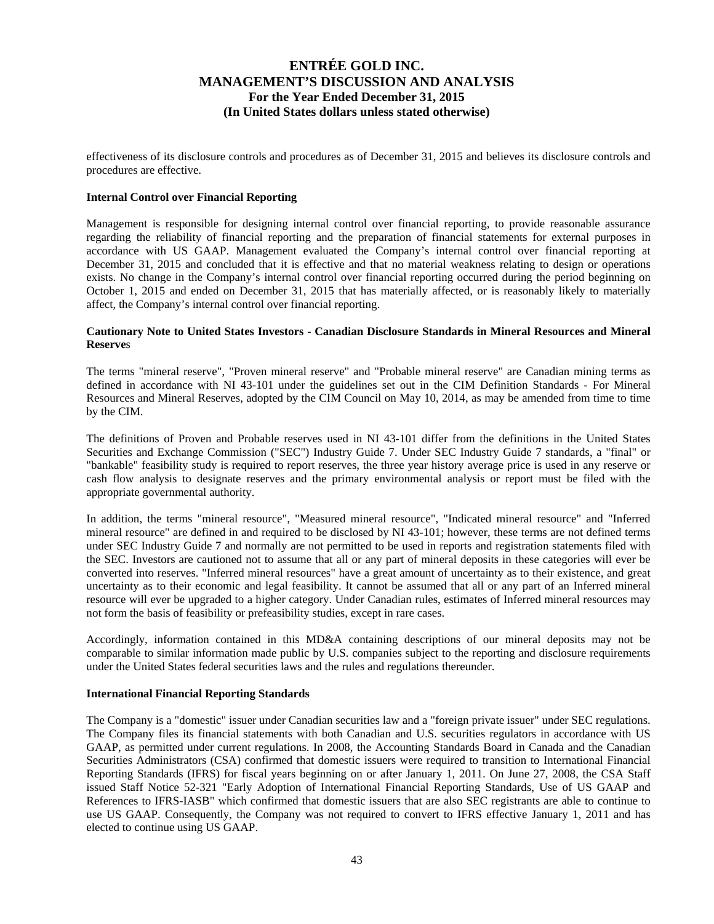effectiveness of its disclosure controls and procedures as of December 31, 2015 and believes its disclosure controls and procedures are effective.

#### **Internal Control over Financial Reporting**

Management is responsible for designing internal control over financial reporting, to provide reasonable assurance regarding the reliability of financial reporting and the preparation of financial statements for external purposes in accordance with US GAAP. Management evaluated the Company's internal control over financial reporting at December 31, 2015 and concluded that it is effective and that no material weakness relating to design or operations exists. No change in the Company's internal control over financial reporting occurred during the period beginning on October 1, 2015 and ended on December 31, 2015 that has materially affected, or is reasonably likely to materially affect, the Company's internal control over financial reporting.

### **Cautionary Note to United States Investors - Canadian Disclosure Standards in Mineral Resources and Mineral Reserve**s

The terms "mineral reserve", "Proven mineral reserve" and "Probable mineral reserve" are Canadian mining terms as defined in accordance with NI 43-101 under the guidelines set out in the CIM Definition Standards - For Mineral Resources and Mineral Reserves, adopted by the CIM Council on May 10, 2014, as may be amended from time to time by the CIM.

The definitions of Proven and Probable reserves used in NI 43-101 differ from the definitions in the United States Securities and Exchange Commission ("SEC") Industry Guide 7. Under SEC Industry Guide 7 standards, a "final" or "bankable" feasibility study is required to report reserves, the three year history average price is used in any reserve or cash flow analysis to designate reserves and the primary environmental analysis or report must be filed with the appropriate governmental authority.

In addition, the terms "mineral resource", "Measured mineral resource", "Indicated mineral resource" and "Inferred mineral resource" are defined in and required to be disclosed by NI 43-101; however, these terms are not defined terms under SEC Industry Guide 7 and normally are not permitted to be used in reports and registration statements filed with the SEC. Investors are cautioned not to assume that all or any part of mineral deposits in these categories will ever be converted into reserves. "Inferred mineral resources" have a great amount of uncertainty as to their existence, and great uncertainty as to their economic and legal feasibility. It cannot be assumed that all or any part of an Inferred mineral resource will ever be upgraded to a higher category. Under Canadian rules, estimates of Inferred mineral resources may not form the basis of feasibility or prefeasibility studies, except in rare cases.

Accordingly, information contained in this MD&A containing descriptions of our mineral deposits may not be comparable to similar information made public by U.S. companies subject to the reporting and disclosure requirements under the United States federal securities laws and the rules and regulations thereunder.

### **International Financial Reporting Standards**

The Company is a "domestic" issuer under Canadian securities law and a "foreign private issuer" under SEC regulations. The Company files its financial statements with both Canadian and U.S. securities regulators in accordance with US GAAP, as permitted under current regulations. In 2008, the Accounting Standards Board in Canada and the Canadian Securities Administrators (CSA) confirmed that domestic issuers were required to transition to International Financial Reporting Standards (IFRS) for fiscal years beginning on or after January 1, 2011. On June 27, 2008, the CSA Staff issued Staff Notice 52-321 "Early Adoption of International Financial Reporting Standards, Use of US GAAP and References to IFRS-IASB" which confirmed that domestic issuers that are also SEC registrants are able to continue to use US GAAP. Consequently, the Company was not required to convert to IFRS effective January 1, 2011 and has elected to continue using US GAAP.